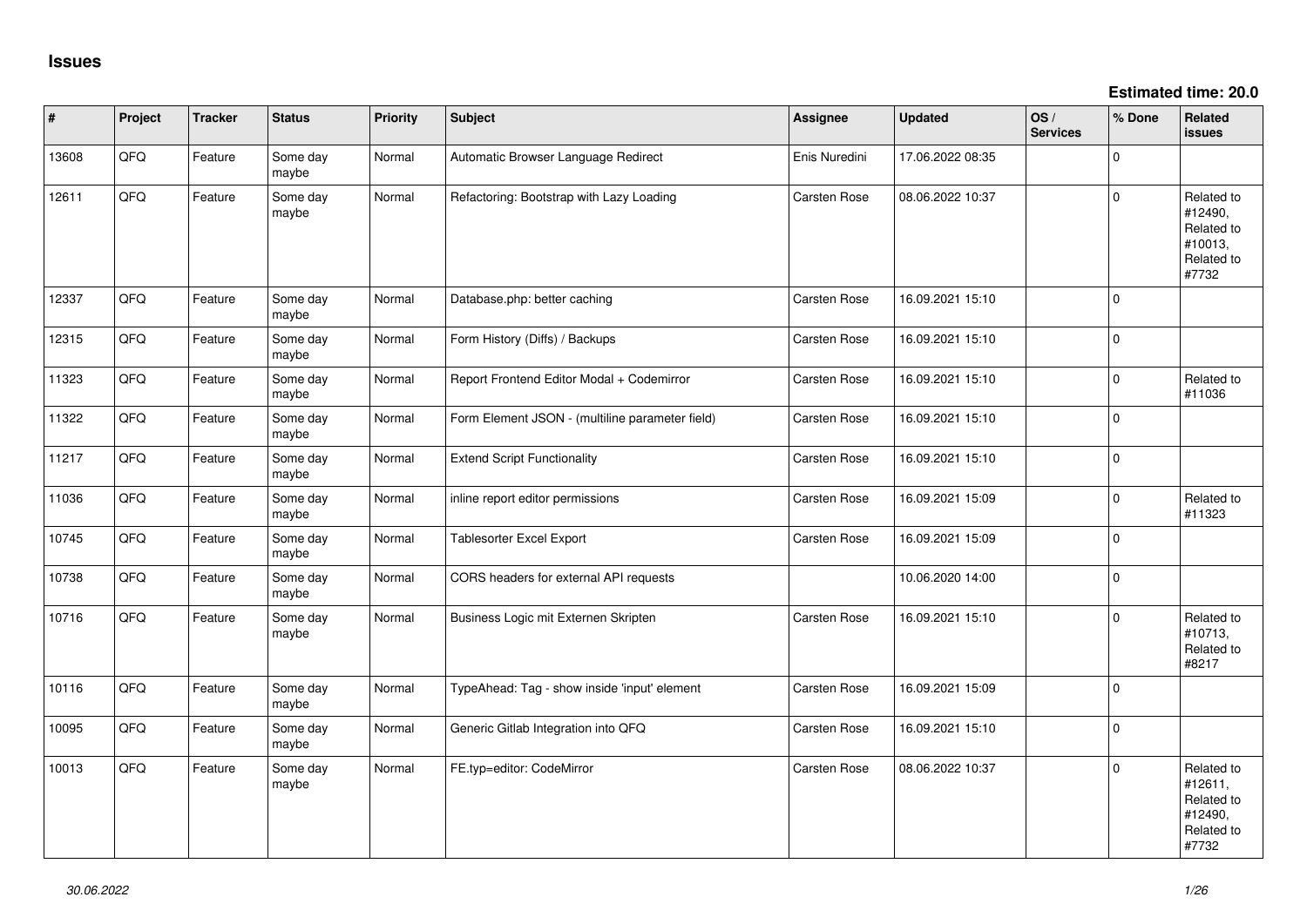**Estimated time: 20.0**

| #     | Project | <b>Tracker</b> | <b>Status</b>     | <b>Priority</b> | <b>Subject</b>                                  | Assignee      | <b>Updated</b>   | OS/<br><b>Services</b> | % Done   | Related<br>issues                                                     |
|-------|---------|----------------|-------------------|-----------------|-------------------------------------------------|---------------|------------------|------------------------|----------|-----------------------------------------------------------------------|
| 13608 | QFQ     | Feature        | Some day<br>maybe | Normal          | Automatic Browser Language Redirect             | Enis Nuredini | 17.06.2022 08:35 |                        | $\Omega$ |                                                                       |
| 12611 | QFQ     | Feature        | Some day<br>maybe | Normal          | Refactoring: Bootstrap with Lazy Loading        | Carsten Rose  | 08.06.2022 10:37 |                        | $\Omega$ | Related to<br>#12490,<br>Related to<br>#10013,<br>Related to<br>#7732 |
| 12337 | QFQ     | Feature        | Some day<br>maybe | Normal          | Database.php: better caching                    | Carsten Rose  | 16.09.2021 15:10 |                        | $\Omega$ |                                                                       |
| 12315 | QFQ     | Feature        | Some day<br>maybe | Normal          | Form History (Diffs) / Backups                  | Carsten Rose  | 16.09.2021 15:10 |                        | $\Omega$ |                                                                       |
| 11323 | QFQ     | Feature        | Some day<br>maybe | Normal          | Report Frontend Editor Modal + Codemirror       | Carsten Rose  | 16.09.2021 15:10 |                        | $\Omega$ | Related to<br>#11036                                                  |
| 11322 | QFQ     | Feature        | Some day<br>maybe | Normal          | Form Element JSON - (multiline parameter field) | Carsten Rose  | 16.09.2021 15:10 |                        | $\Omega$ |                                                                       |
| 11217 | QFQ     | Feature        | Some day<br>maybe | Normal          | <b>Extend Script Functionality</b>              | Carsten Rose  | 16.09.2021 15:10 |                        | $\Omega$ |                                                                       |
| 11036 | QFQ     | Feature        | Some day<br>maybe | Normal          | inline report editor permissions                | Carsten Rose  | 16.09.2021 15:09 |                        | $\Omega$ | Related to<br>#11323                                                  |
| 10745 | QFQ     | Feature        | Some day<br>maybe | Normal          | <b>Tablesorter Excel Export</b>                 | Carsten Rose  | 16.09.2021 15:09 |                        | $\Omega$ |                                                                       |
| 10738 | QFQ     | Feature        | Some day<br>maybe | Normal          | CORS headers for external API requests          |               | 10.06.2020 14:00 |                        | $\Omega$ |                                                                       |
| 10716 | QFQ     | Feature        | Some day<br>maybe | Normal          | Business Logic mit Externen Skripten            | Carsten Rose  | 16.09.2021 15:10 |                        | $\Omega$ | Related to<br>#10713,<br>Related to<br>#8217                          |
| 10116 | QFQ     | Feature        | Some day<br>maybe | Normal          | TypeAhead: Tag - show inside 'input' element    | Carsten Rose  | 16.09.2021 15:09 |                        | $\Omega$ |                                                                       |
| 10095 | QFQ     | Feature        | Some day<br>maybe | Normal          | Generic Gitlab Integration into QFQ             | Carsten Rose  | 16.09.2021 15:10 |                        | $\Omega$ |                                                                       |
| 10013 | QFQ     | Feature        | Some day<br>maybe | Normal          | FE.typ=editor: CodeMirror                       | Carsten Rose  | 08.06.2022 10:37 |                        | $\Omega$ | Related to<br>#12611,<br>Related to<br>#12490.<br>Related to<br>#7732 |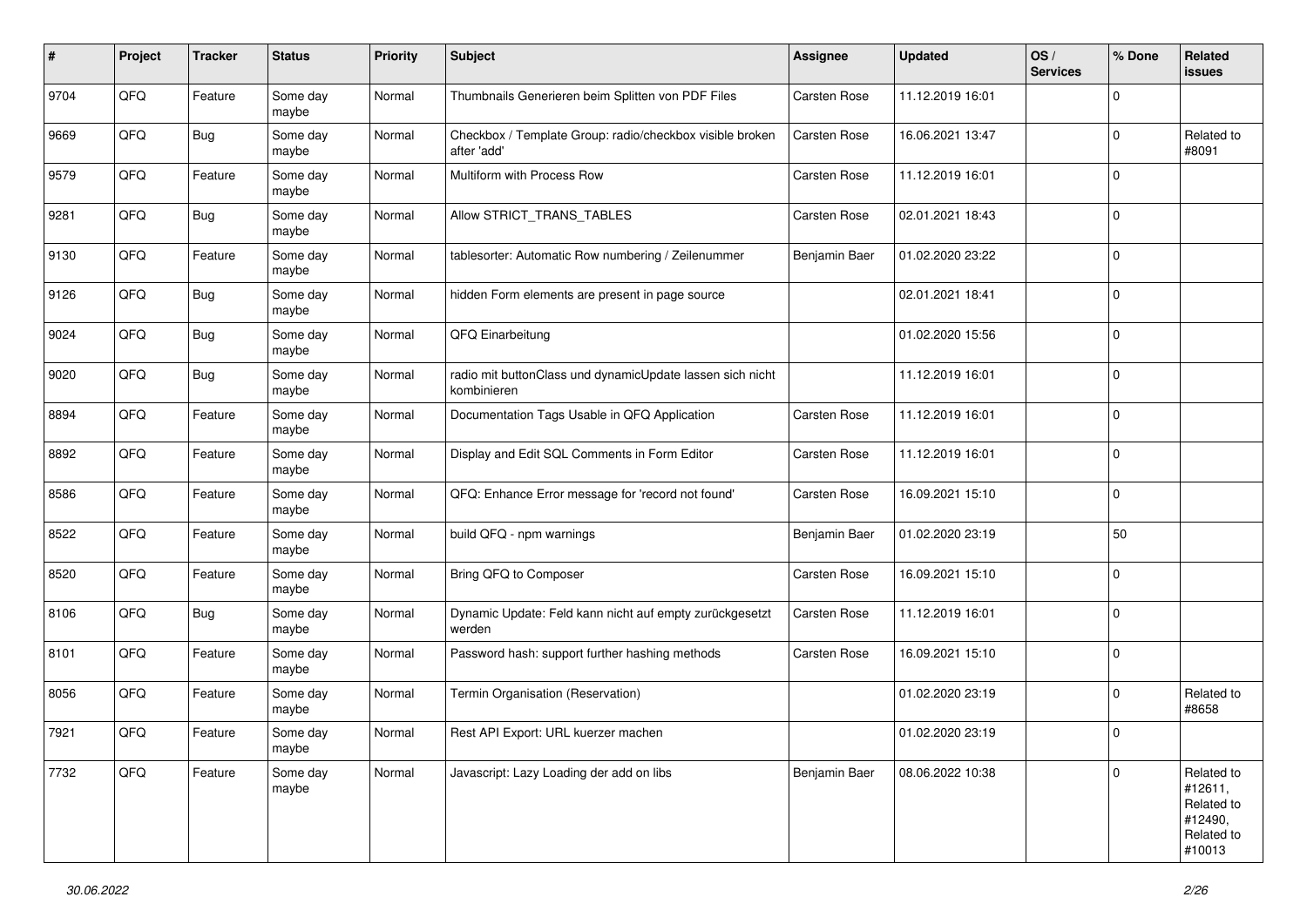| #    | Project | <b>Tracker</b> | <b>Status</b>     | <b>Priority</b> | <b>Subject</b>                                                           | <b>Assignee</b>      | <b>Updated</b>   | OS/<br><b>Services</b> | % Done      | Related<br>issues                                                      |
|------|---------|----------------|-------------------|-----------------|--------------------------------------------------------------------------|----------------------|------------------|------------------------|-------------|------------------------------------------------------------------------|
| 9704 | QFQ     | Feature        | Some day<br>maybe | Normal          | Thumbnails Generieren beim Splitten von PDF Files                        | Carsten Rose         | 11.12.2019 16:01 |                        | $\Omega$    |                                                                        |
| 9669 | QFQ     | Bug            | Some day<br>maybe | Normal          | Checkbox / Template Group: radio/checkbox visible broken<br>after 'add'  | <b>Carsten Rose</b>  | 16.06.2021 13:47 |                        | $\Omega$    | Related to<br>#8091                                                    |
| 9579 | QFQ     | Feature        | Some day<br>maybe | Normal          | Multiform with Process Row                                               | <b>Carsten Rose</b>  | 11.12.2019 16:01 |                        | 0           |                                                                        |
| 9281 | QFQ     | <b>Bug</b>     | Some day<br>maybe | Normal          | Allow STRICT_TRANS_TABLES                                                | <b>Carsten Rose</b>  | 02.01.2021 18:43 |                        | 0           |                                                                        |
| 9130 | QFQ     | Feature        | Some day<br>maybe | Normal          | tablesorter: Automatic Row numbering / Zeilenummer                       | <b>Benjamin Baer</b> | 01.02.2020 23:22 |                        | $\Omega$    |                                                                        |
| 9126 | QFQ     | <b>Bug</b>     | Some day<br>maybe | Normal          | hidden Form elements are present in page source                          |                      | 02.01.2021 18:41 |                        | $\Omega$    |                                                                        |
| 9024 | QFQ     | <b>Bug</b>     | Some day<br>maybe | Normal          | QFQ Einarbeitung                                                         |                      | 01.02.2020 15:56 |                        | $\Omega$    |                                                                        |
| 9020 | QFQ     | <b>Bug</b>     | Some day<br>maybe | Normal          | radio mit buttonClass und dynamicUpdate lassen sich nicht<br>kombinieren |                      | 11.12.2019 16:01 |                        | 0           |                                                                        |
| 8894 | QFQ     | Feature        | Some day<br>maybe | Normal          | Documentation Tags Usable in QFQ Application                             | <b>Carsten Rose</b>  | 11.12.2019 16:01 |                        | $\mathbf 0$ |                                                                        |
| 8892 | QFQ     | Feature        | Some day<br>maybe | Normal          | Display and Edit SQL Comments in Form Editor                             | Carsten Rose         | 11.12.2019 16:01 |                        | 0           |                                                                        |
| 8586 | QFQ     | Feature        | Some day<br>maybe | Normal          | QFQ: Enhance Error message for 'record not found'                        | Carsten Rose         | 16.09.2021 15:10 |                        | $\Omega$    |                                                                        |
| 8522 | QFQ     | Feature        | Some day<br>maybe | Normal          | build QFQ - npm warnings                                                 | Benjamin Baer        | 01.02.2020 23:19 |                        | 50          |                                                                        |
| 8520 | QFQ     | Feature        | Some day<br>maybe | Normal          | Bring QFQ to Composer                                                    | Carsten Rose         | 16.09.2021 15:10 |                        | $\Omega$    |                                                                        |
| 8106 | QFQ     | Bug            | Some day<br>maybe | Normal          | Dynamic Update: Feld kann nicht auf empty zurückgesetzt<br>werden        | Carsten Rose         | 11.12.2019 16:01 |                        | $\Omega$    |                                                                        |
| 8101 | QFQ     | Feature        | Some day<br>maybe | Normal          | Password hash: support further hashing methods                           | Carsten Rose         | 16.09.2021 15:10 |                        | 0           |                                                                        |
| 8056 | QFQ     | Feature        | Some day<br>maybe | Normal          | Termin Organisation (Reservation)                                        |                      | 01.02.2020 23:19 |                        | 0           | Related to<br>#8658                                                    |
| 7921 | QFQ     | Feature        | Some day<br>maybe | Normal          | Rest API Export: URL kuerzer machen                                      |                      | 01.02.2020 23:19 |                        | $\Omega$    |                                                                        |
| 7732 | QFQ     | Feature        | Some day<br>maybe | Normal          | Javascript: Lazy Loading der add on libs                                 | Benjamin Baer        | 08.06.2022 10:38 |                        | $\mathbf 0$ | Related to<br>#12611,<br>Related to<br>#12490,<br>Related to<br>#10013 |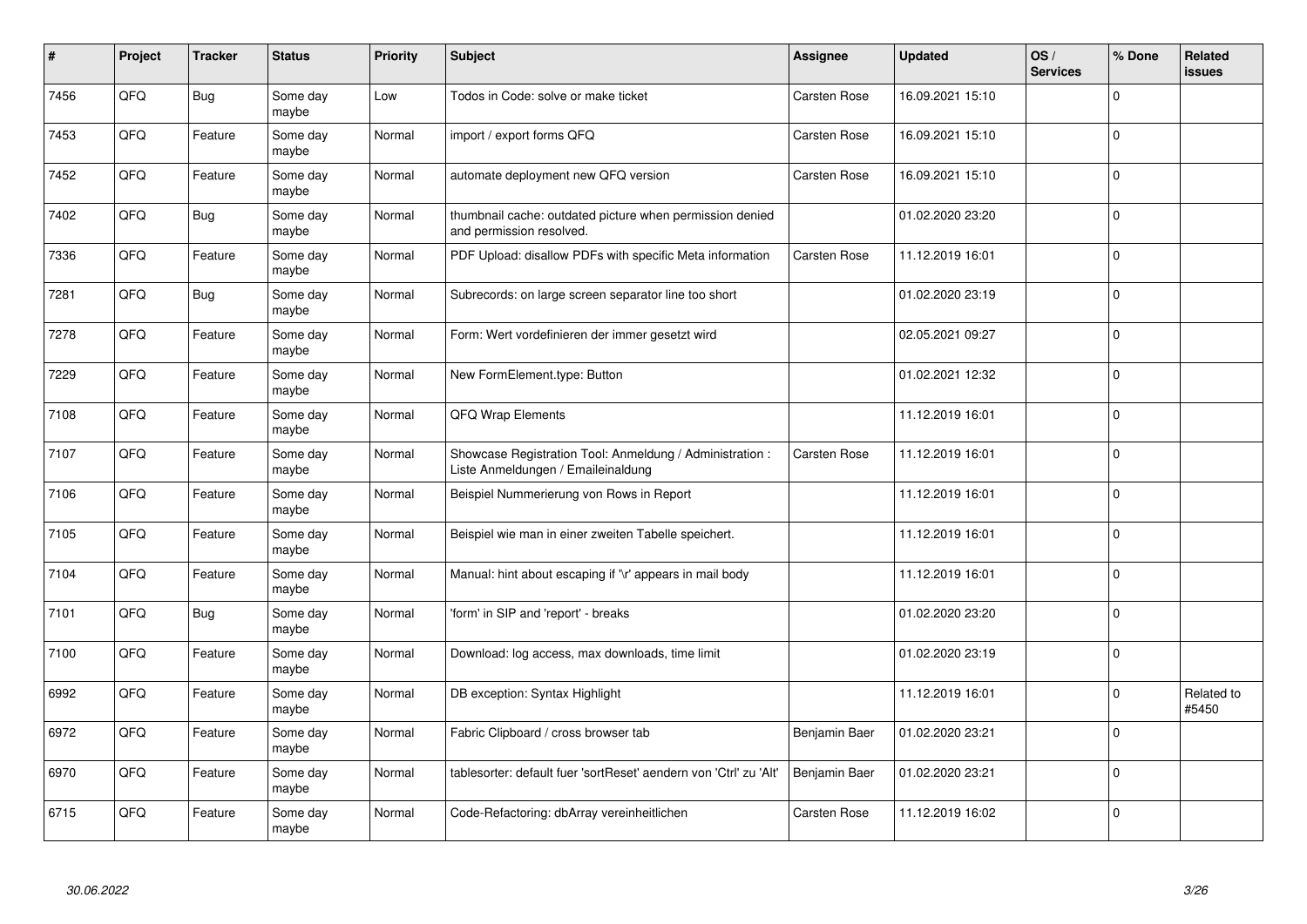| #    | Project | <b>Tracker</b> | <b>Status</b>     | <b>Priority</b> | <b>Subject</b>                                                                                 | <b>Assignee</b>     | <b>Updated</b>   | OS/<br><b>Services</b> | % Done      | Related<br><b>issues</b> |
|------|---------|----------------|-------------------|-----------------|------------------------------------------------------------------------------------------------|---------------------|------------------|------------------------|-------------|--------------------------|
| 7456 | QFQ     | <b>Bug</b>     | Some day<br>maybe | Low             | Todos in Code: solve or make ticket                                                            | <b>Carsten Rose</b> | 16.09.2021 15:10 |                        | $\Omega$    |                          |
| 7453 | QFQ     | Feature        | Some day<br>maybe | Normal          | import / export forms QFQ                                                                      | <b>Carsten Rose</b> | 16.09.2021 15:10 |                        | $\Omega$    |                          |
| 7452 | QFQ     | Feature        | Some day<br>maybe | Normal          | automate deployment new QFQ version                                                            | <b>Carsten Rose</b> | 16.09.2021 15:10 |                        | $\mathbf 0$ |                          |
| 7402 | QFQ     | <b>Bug</b>     | Some day<br>maybe | Normal          | thumbnail cache: outdated picture when permission denied<br>and permission resolved.           |                     | 01.02.2020 23:20 |                        | $\Omega$    |                          |
| 7336 | QFQ     | Feature        | Some day<br>maybe | Normal          | PDF Upload: disallow PDFs with specific Meta information                                       | <b>Carsten Rose</b> | 11.12.2019 16:01 |                        | $\Omega$    |                          |
| 7281 | QFQ     | <b>Bug</b>     | Some day<br>maybe | Normal          | Subrecords: on large screen separator line too short                                           |                     | 01.02.2020 23:19 |                        | $\mathbf 0$ |                          |
| 7278 | QFQ     | Feature        | Some day<br>maybe | Normal          | Form: Wert vordefinieren der immer gesetzt wird                                                |                     | 02.05.2021 09:27 |                        | $\Omega$    |                          |
| 7229 | QFQ     | Feature        | Some day<br>maybe | Normal          | New FormElement.type: Button                                                                   |                     | 01.02.2021 12:32 |                        | $\Omega$    |                          |
| 7108 | QFQ     | Feature        | Some day<br>maybe | Normal          | <b>QFQ Wrap Elements</b>                                                                       |                     | 11.12.2019 16:01 |                        | $\Omega$    |                          |
| 7107 | QFQ     | Feature        | Some day<br>maybe | Normal          | Showcase Registration Tool: Anmeldung / Administration :<br>Liste Anmeldungen / Emaileinaldung | <b>Carsten Rose</b> | 11.12.2019 16:01 |                        | $\mathbf 0$ |                          |
| 7106 | QFQ     | Feature        | Some day<br>maybe | Normal          | Beispiel Nummerierung von Rows in Report                                                       |                     | 11.12.2019 16:01 |                        | $\Omega$    |                          |
| 7105 | QFQ     | Feature        | Some day<br>maybe | Normal          | Beispiel wie man in einer zweiten Tabelle speichert.                                           |                     | 11.12.2019 16:01 |                        | $\Omega$    |                          |
| 7104 | QFQ     | Feature        | Some day<br>maybe | Normal          | Manual: hint about escaping if '\r' appears in mail body                                       |                     | 11.12.2019 16:01 |                        | $\mathbf 0$ |                          |
| 7101 | QFQ     | <b>Bug</b>     | Some day<br>maybe | Normal          | 'form' in SIP and 'report' - breaks                                                            |                     | 01.02.2020 23:20 |                        | $\Omega$    |                          |
| 7100 | QFQ     | Feature        | Some day<br>maybe | Normal          | Download: log access, max downloads, time limit                                                |                     | 01.02.2020 23:19 |                        | $\Omega$    |                          |
| 6992 | QFQ     | Feature        | Some day<br>maybe | Normal          | DB exception: Syntax Highlight                                                                 |                     | 11.12.2019 16:01 |                        | $\Omega$    | Related to<br>#5450      |
| 6972 | QFQ     | Feature        | Some day<br>maybe | Normal          | Fabric Clipboard / cross browser tab                                                           | Benjamin Baer       | 01.02.2020 23:21 |                        | $\Omega$    |                          |
| 6970 | QFQ     | Feature        | Some day<br>maybe | Normal          | tablesorter: default fuer 'sortReset' aendern von 'Ctrl' zu 'Alt'                              | Benjamin Baer       | 01.02.2020 23:21 |                        | $\Omega$    |                          |
| 6715 | QFQ     | Feature        | Some day<br>maybe | Normal          | Code-Refactoring: dbArray vereinheitlichen                                                     | <b>Carsten Rose</b> | 11.12.2019 16:02 |                        | $\Omega$    |                          |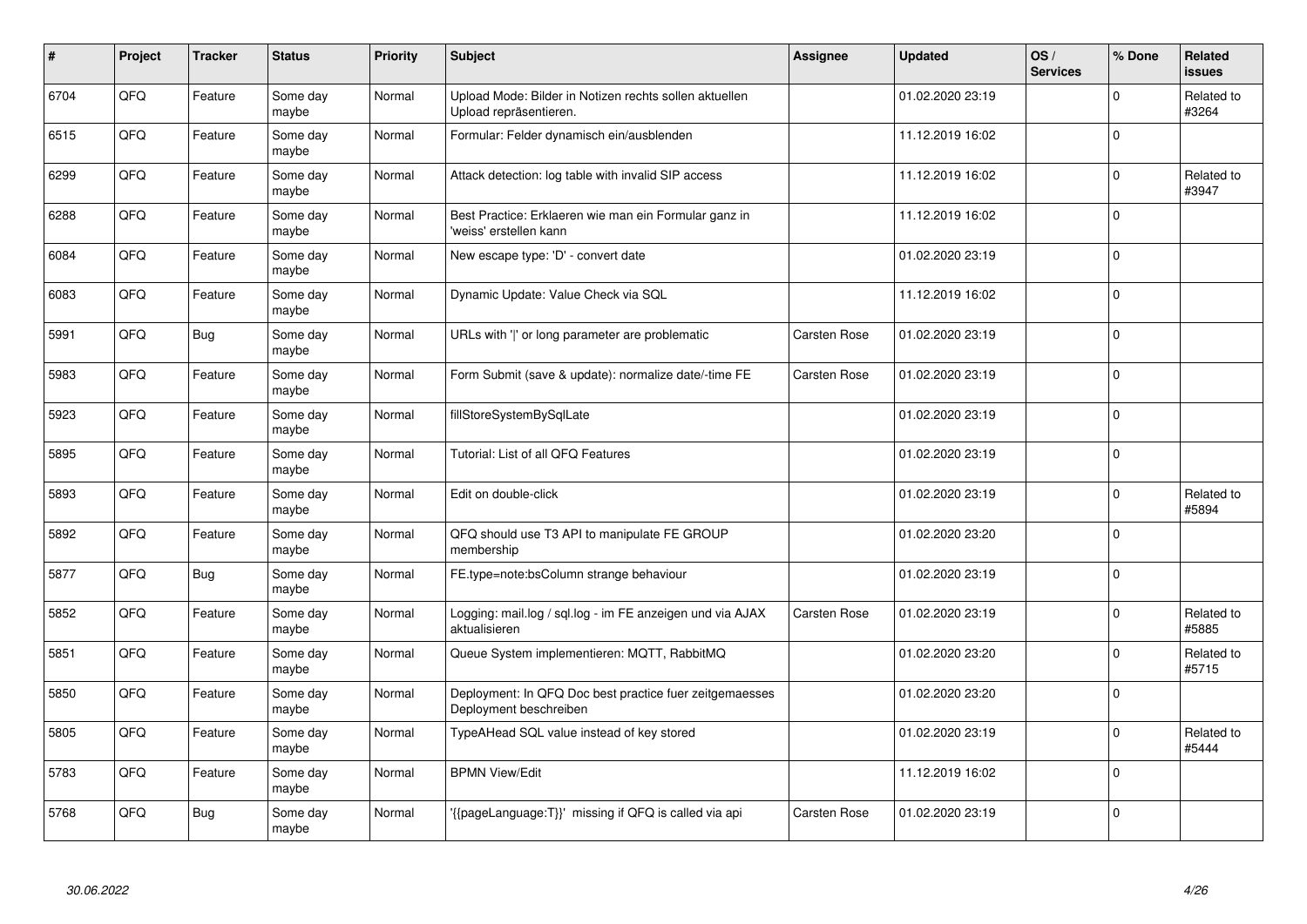| $\pmb{\sharp}$ | Project | <b>Tracker</b> | <b>Status</b>     | <b>Priority</b> | <b>Subject</b>                                                                    | <b>Assignee</b>     | <b>Updated</b>   | OS/<br><b>Services</b> | % Done      | <b>Related</b><br><b>issues</b> |
|----------------|---------|----------------|-------------------|-----------------|-----------------------------------------------------------------------------------|---------------------|------------------|------------------------|-------------|---------------------------------|
| 6704           | QFQ     | Feature        | Some day<br>maybe | Normal          | Upload Mode: Bilder in Notizen rechts sollen aktuellen<br>Upload repräsentieren.  |                     | 01.02.2020 23:19 |                        | $\Omega$    | Related to<br>#3264             |
| 6515           | QFQ     | Feature        | Some day<br>maybe | Normal          | Formular: Felder dynamisch ein/ausblenden                                         |                     | 11.12.2019 16:02 |                        | $\Omega$    |                                 |
| 6299           | QFQ     | Feature        | Some day<br>maybe | Normal          | Attack detection: log table with invalid SIP access                               |                     | 11.12.2019 16:02 |                        | $\Omega$    | Related to<br>#3947             |
| 6288           | QFQ     | Feature        | Some day<br>maybe | Normal          | Best Practice: Erklaeren wie man ein Formular ganz in<br>'weiss' erstellen kann   |                     | 11.12.2019 16:02 |                        | $\Omega$    |                                 |
| 6084           | QFQ     | Feature        | Some day<br>maybe | Normal          | New escape type: 'D' - convert date                                               |                     | 01.02.2020 23:19 |                        | $\Omega$    |                                 |
| 6083           | QFQ     | Feature        | Some day<br>maybe | Normal          | Dynamic Update: Value Check via SQL                                               |                     | 11.12.2019 16:02 |                        | $\mathbf 0$ |                                 |
| 5991           | QFQ     | <b>Bug</b>     | Some day<br>maybe | Normal          | URLs with ' ' or long parameter are problematic                                   | <b>Carsten Rose</b> | 01.02.2020 23:19 |                        | $\Omega$    |                                 |
| 5983           | QFQ     | Feature        | Some day<br>maybe | Normal          | Form Submit (save & update): normalize date/-time FE                              | <b>Carsten Rose</b> | 01.02.2020 23:19 |                        | $\Omega$    |                                 |
| 5923           | QFQ     | Feature        | Some day<br>maybe | Normal          | fillStoreSystemBySqlLate                                                          |                     | 01.02.2020 23:19 |                        | $\Omega$    |                                 |
| 5895           | QFQ     | Feature        | Some day<br>maybe | Normal          | Tutorial: List of all QFQ Features                                                |                     | 01.02.2020 23:19 |                        | $\Omega$    |                                 |
| 5893           | QFQ     | Feature        | Some day<br>maybe | Normal          | Edit on double-click                                                              |                     | 01.02.2020 23:19 |                        | $\Omega$    | Related to<br>#5894             |
| 5892           | QFQ     | Feature        | Some day<br>maybe | Normal          | QFQ should use T3 API to manipulate FE GROUP<br>membership                        |                     | 01.02.2020 23:20 |                        | $\Omega$    |                                 |
| 5877           | QFQ     | <b>Bug</b>     | Some day<br>maybe | Normal          | FE.type=note:bsColumn strange behaviour                                           |                     | 01.02.2020 23:19 |                        | $\mathbf 0$ |                                 |
| 5852           | QFQ     | Feature        | Some day<br>maybe | Normal          | Logging: mail.log / sql.log - im FE anzeigen und via AJAX<br>aktualisieren        | <b>Carsten Rose</b> | 01.02.2020 23:19 |                        | $\Omega$    | Related to<br>#5885             |
| 5851           | QFQ     | Feature        | Some day<br>maybe | Normal          | Queue System implementieren: MQTT, RabbitMQ                                       |                     | 01.02.2020 23:20 |                        | $\Omega$    | Related to<br>#5715             |
| 5850           | QFQ     | Feature        | Some day<br>maybe | Normal          | Deployment: In QFQ Doc best practice fuer zeitgemaesses<br>Deployment beschreiben |                     | 01.02.2020 23:20 |                        | $\Omega$    |                                 |
| 5805           | QFQ     | Feature        | Some day<br>maybe | Normal          | TypeAHead SQL value instead of key stored                                         |                     | 01.02.2020 23:19 |                        | $\Omega$    | Related to<br>#5444             |
| 5783           | QFQ     | Feature        | Some day<br>maybe | Normal          | <b>BPMN View/Edit</b>                                                             |                     | 11.12.2019 16:02 |                        | $\Omega$    |                                 |
| 5768           | QFQ     | Bug            | Some day<br>maybe | Normal          | {{pageLanguage:T}}' missing if QFQ is called via api                              | <b>Carsten Rose</b> | 01.02.2020 23:19 |                        | $\Omega$    |                                 |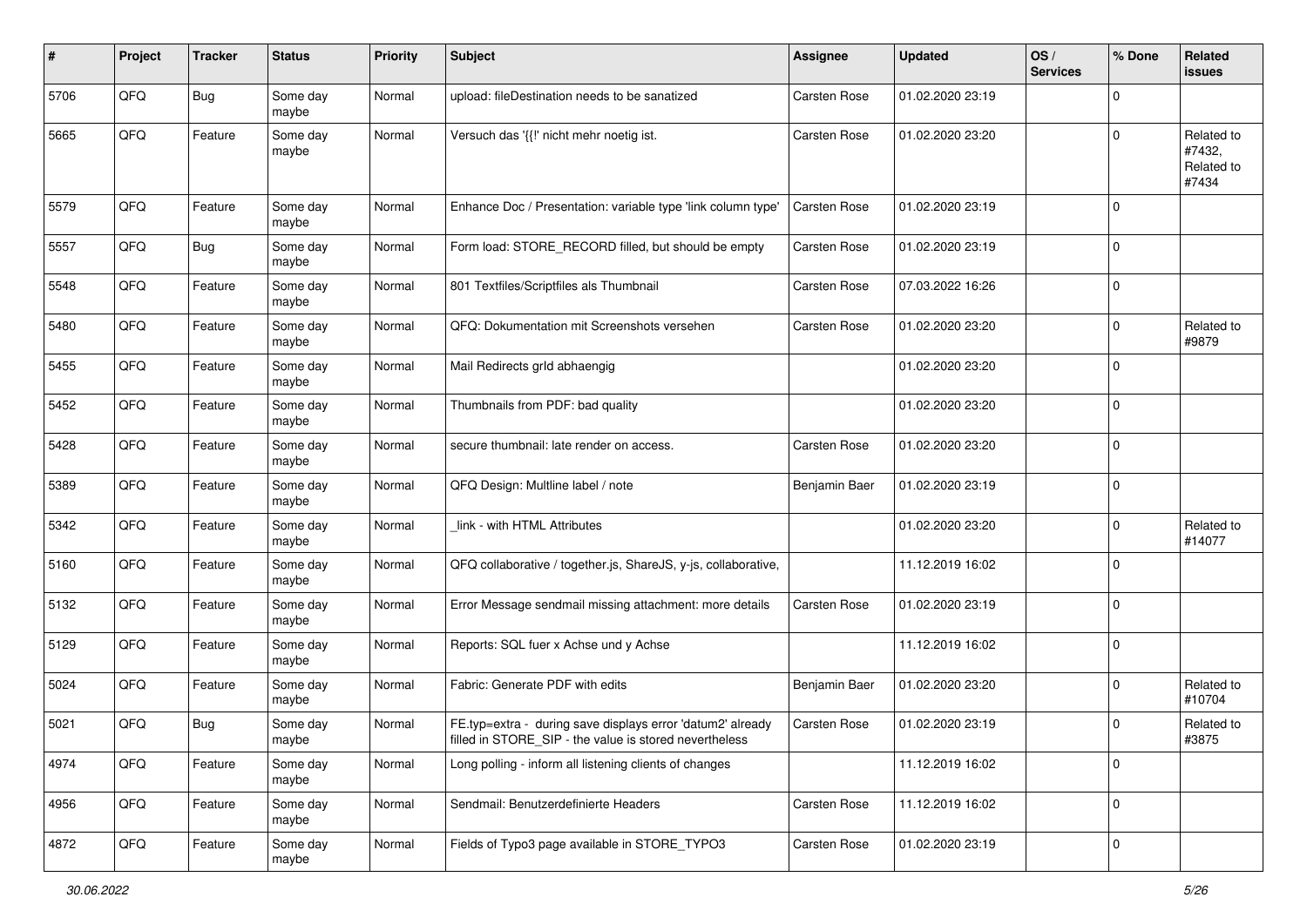| #    | Project | <b>Tracker</b> | <b>Status</b>     | Priority | <b>Subject</b>                                                                                                       | <b>Assignee</b>     | <b>Updated</b>   | OS/<br><b>Services</b> | % Done         | Related<br>issues                           |
|------|---------|----------------|-------------------|----------|----------------------------------------------------------------------------------------------------------------------|---------------------|------------------|------------------------|----------------|---------------------------------------------|
| 5706 | QFQ     | <b>Bug</b>     | Some day<br>maybe | Normal   | upload: fileDestination needs to be sanatized                                                                        | <b>Carsten Rose</b> | 01.02.2020 23:19 |                        | 0              |                                             |
| 5665 | QFQ     | Feature        | Some day<br>maybe | Normal   | Versuch das '{{!' nicht mehr noetig ist.                                                                             | <b>Carsten Rose</b> | 01.02.2020 23:20 |                        | $\Omega$       | Related to<br>#7432,<br>Related to<br>#7434 |
| 5579 | QFQ     | Feature        | Some day<br>maybe | Normal   | Enhance Doc / Presentation: variable type 'link column type'                                                         | <b>Carsten Rose</b> | 01.02.2020 23:19 |                        | $\Omega$       |                                             |
| 5557 | QFQ     | Bug            | Some day<br>maybe | Normal   | Form load: STORE_RECORD filled, but should be empty                                                                  | <b>Carsten Rose</b> | 01.02.2020 23:19 |                        | $\mathbf 0$    |                                             |
| 5548 | QFQ     | Feature        | Some day<br>maybe | Normal   | 801 Textfiles/Scriptfiles als Thumbnail                                                                              | <b>Carsten Rose</b> | 07.03.2022 16:26 |                        | $\Omega$       |                                             |
| 5480 | QFQ     | Feature        | Some day<br>maybe | Normal   | QFQ: Dokumentation mit Screenshots versehen                                                                          | <b>Carsten Rose</b> | 01.02.2020 23:20 |                        | $\Omega$       | Related to<br>#9879                         |
| 5455 | QFQ     | Feature        | Some day<br>maybe | Normal   | Mail Redirects grld abhaengig                                                                                        |                     | 01.02.2020 23:20 |                        | $\Omega$       |                                             |
| 5452 | QFQ     | Feature        | Some day<br>maybe | Normal   | Thumbnails from PDF: bad quality                                                                                     |                     | 01.02.2020 23:20 |                        | $\mathbf 0$    |                                             |
| 5428 | QFQ     | Feature        | Some day<br>maybe | Normal   | secure thumbnail: late render on access.                                                                             | Carsten Rose        | 01.02.2020 23:20 |                        | $\Omega$       |                                             |
| 5389 | QFQ     | Feature        | Some day<br>maybe | Normal   | QFQ Design: Multline label / note                                                                                    | Benjamin Baer       | 01.02.2020 23:19 |                        | $\mathbf 0$    |                                             |
| 5342 | QFQ     | Feature        | Some day<br>maybe | Normal   | link - with HTML Attributes                                                                                          |                     | 01.02.2020 23:20 |                        | $\Omega$       | Related to<br>#14077                        |
| 5160 | QFQ     | Feature        | Some day<br>maybe | Normal   | QFQ collaborative / together.js, ShareJS, y-js, collaborative,                                                       |                     | 11.12.2019 16:02 |                        | $\mathbf 0$    |                                             |
| 5132 | QFQ     | Feature        | Some day<br>maybe | Normal   | Error Message sendmail missing attachment: more details                                                              | Carsten Rose        | 01.02.2020 23:19 |                        | 0              |                                             |
| 5129 | QFQ     | Feature        | Some day<br>maybe | Normal   | Reports: SQL fuer x Achse und y Achse                                                                                |                     | 11.12.2019 16:02 |                        | $\Omega$       |                                             |
| 5024 | QFQ     | Feature        | Some day<br>maybe | Normal   | Fabric: Generate PDF with edits                                                                                      | Benjamin Baer       | 01.02.2020 23:20 |                        | $\Omega$       | Related to<br>#10704                        |
| 5021 | QFQ     | <b>Bug</b>     | Some day<br>maybe | Normal   | FE.typ=extra - during save displays error 'datum2' already<br>filled in STORE_SIP - the value is stored nevertheless | Carsten Rose        | 01.02.2020 23:19 |                        | O              | Related to<br>#3875                         |
| 4974 | QFQ     | Feature        | Some day<br>maybe | Normal   | Long polling - inform all listening clients of changes                                                               |                     | 11.12.2019 16:02 |                        | $\mathbf 0$    |                                             |
| 4956 | QFQ     | Feature        | Some day<br>maybe | Normal   | Sendmail: Benutzerdefinierte Headers                                                                                 | Carsten Rose        | 11.12.2019 16:02 |                        | $\overline{0}$ |                                             |
| 4872 | QFQ     | Feature        | Some day<br>maybe | Normal   | Fields of Typo3 page available in STORE_TYPO3                                                                        | Carsten Rose        | 01.02.2020 23:19 |                        | $\overline{0}$ |                                             |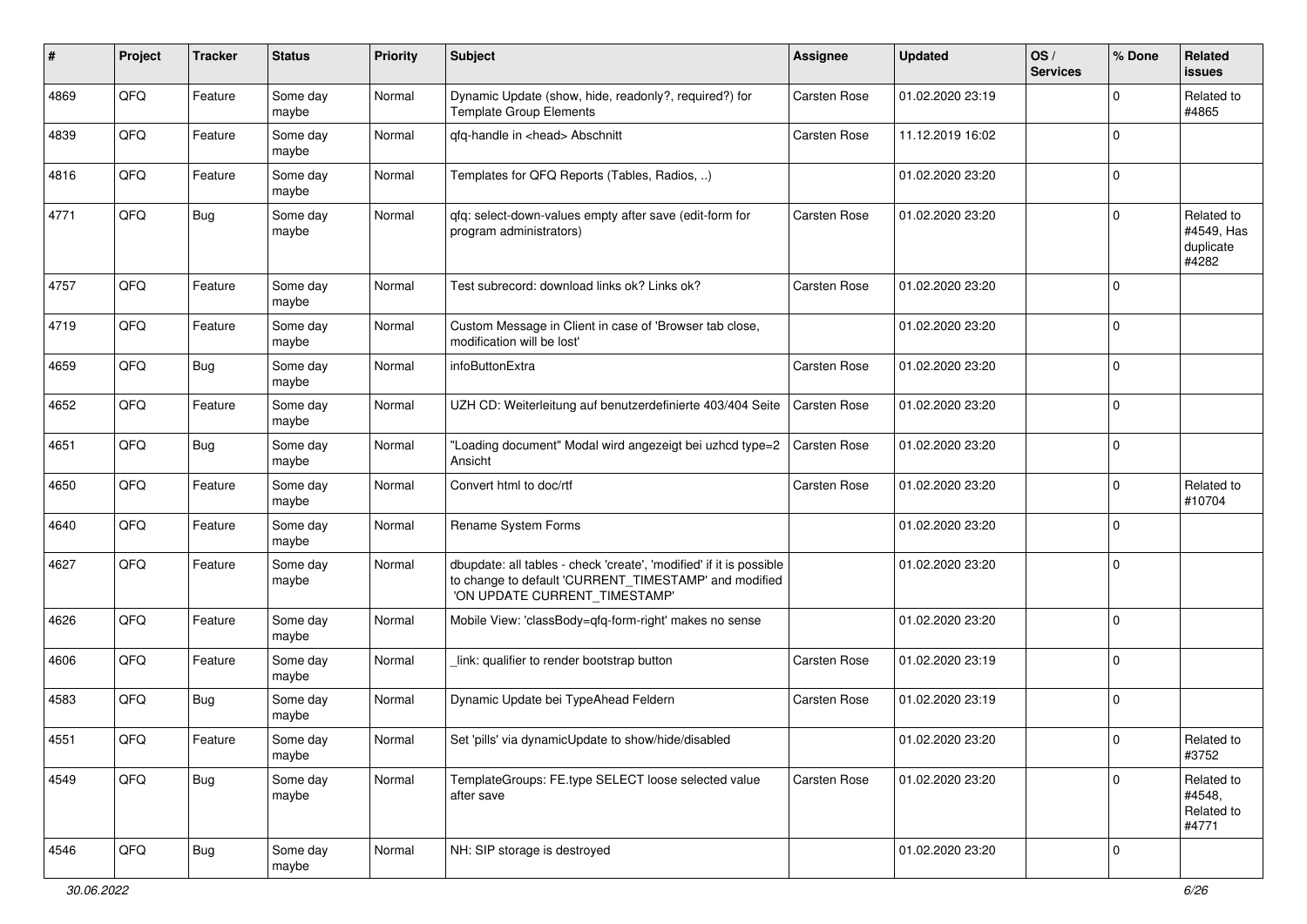| ∦    | Project | <b>Tracker</b> | <b>Status</b>     | Priority | <b>Subject</b>                                                                                                                                                | <b>Assignee</b>     | <b>Updated</b>   | OS/<br><b>Services</b> | % Done      | Related<br><b>issues</b>                       |
|------|---------|----------------|-------------------|----------|---------------------------------------------------------------------------------------------------------------------------------------------------------------|---------------------|------------------|------------------------|-------------|------------------------------------------------|
| 4869 | QFQ     | Feature        | Some day<br>maybe | Normal   | Dynamic Update (show, hide, readonly?, required?) for<br><b>Template Group Elements</b>                                                                       | <b>Carsten Rose</b> | 01.02.2020 23:19 |                        | $\mathbf 0$ | Related to<br>#4865                            |
| 4839 | QFQ     | Feature        | Some day<br>maybe | Normal   | qfq-handle in <head> Abschnitt</head>                                                                                                                         | <b>Carsten Rose</b> | 11.12.2019 16:02 |                        | $\mathbf 0$ |                                                |
| 4816 | QFQ     | Feature        | Some day<br>maybe | Normal   | Templates for QFQ Reports (Tables, Radios, )                                                                                                                  |                     | 01.02.2020 23:20 |                        | $\mathbf 0$ |                                                |
| 4771 | QFQ     | <b>Bug</b>     | Some day<br>maybe | Normal   | qfq: select-down-values empty after save (edit-form for<br>program administrators)                                                                            | <b>Carsten Rose</b> | 01.02.2020 23:20 |                        | $\mathbf 0$ | Related to<br>#4549, Has<br>duplicate<br>#4282 |
| 4757 | QFQ     | Feature        | Some day<br>maybe | Normal   | Test subrecord: download links ok? Links ok?                                                                                                                  | <b>Carsten Rose</b> | 01.02.2020 23:20 |                        | $\mathbf 0$ |                                                |
| 4719 | QFQ     | Feature        | Some day<br>maybe | Normal   | Custom Message in Client in case of 'Browser tab close,<br>modification will be lost'                                                                         |                     | 01.02.2020 23:20 |                        | $\mathbf 0$ |                                                |
| 4659 | QFQ     | <b>Bug</b>     | Some day<br>maybe | Normal   | infoButtonExtra                                                                                                                                               | Carsten Rose        | 01.02.2020 23:20 |                        | $\mathbf 0$ |                                                |
| 4652 | QFQ     | Feature        | Some day<br>maybe | Normal   | UZH CD: Weiterleitung auf benutzerdefinierte 403/404 Seite                                                                                                    | <b>Carsten Rose</b> | 01.02.2020 23:20 |                        | $\mathbf 0$ |                                                |
| 4651 | QFQ     | <b>Bug</b>     | Some day<br>maybe | Normal   | "Loading document" Modal wird angezeigt bei uzhcd type=2<br>Ansicht                                                                                           | <b>Carsten Rose</b> | 01.02.2020 23:20 |                        | $\mathbf 0$ |                                                |
| 4650 | QFQ     | Feature        | Some day<br>maybe | Normal   | Convert html to doc/rtf                                                                                                                                       | <b>Carsten Rose</b> | 01.02.2020 23:20 |                        | $\mathbf 0$ | Related to<br>#10704                           |
| 4640 | QFQ     | Feature        | Some day<br>maybe | Normal   | Rename System Forms                                                                                                                                           |                     | 01.02.2020 23:20 |                        | $\mathbf 0$ |                                                |
| 4627 | QFQ     | Feature        | Some day<br>maybe | Normal   | dbupdate: all tables - check 'create', 'modified' if it is possible<br>to change to default 'CURRENT_TIMESTAMP' and modified<br>'ON UPDATE CURRENT_TIMESTAMP' |                     | 01.02.2020 23:20 |                        | $\mathbf 0$ |                                                |
| 4626 | QFQ     | Feature        | Some day<br>maybe | Normal   | Mobile View: 'classBody=qfq-form-right' makes no sense                                                                                                        |                     | 01.02.2020 23:20 |                        | $\mathbf 0$ |                                                |
| 4606 | QFQ     | Feature        | Some day<br>maybe | Normal   | link: qualifier to render bootstrap button                                                                                                                    | <b>Carsten Rose</b> | 01.02.2020 23:19 |                        | $\mathbf 0$ |                                                |
| 4583 | QFQ     | Bug            | Some day<br>maybe | Normal   | Dynamic Update bei TypeAhead Feldern                                                                                                                          | <b>Carsten Rose</b> | 01.02.2020 23:19 |                        | $\mathbf 0$ |                                                |
| 4551 | QFO     | Feature        | Some day<br>maybe | Normal   | Set 'pills' via dynamicUpdate to show/hide/disabled                                                                                                           |                     | 01.02.2020 23:20 |                        | $\pmb{0}$   | Related to<br>#3752                            |
| 4549 | QFQ     | <b>Bug</b>     | Some day<br>maybe | Normal   | TemplateGroups: FE.type SELECT loose selected value<br>after save                                                                                             | Carsten Rose        | 01.02.2020 23:20 |                        | $\mathbf 0$ | Related to<br>#4548,<br>Related to<br>#4771    |
| 4546 | QFG     | <b>Bug</b>     | Some day<br>maybe | Normal   | NH: SIP storage is destroyed                                                                                                                                  |                     | 01.02.2020 23:20 |                        | $\mathbf 0$ |                                                |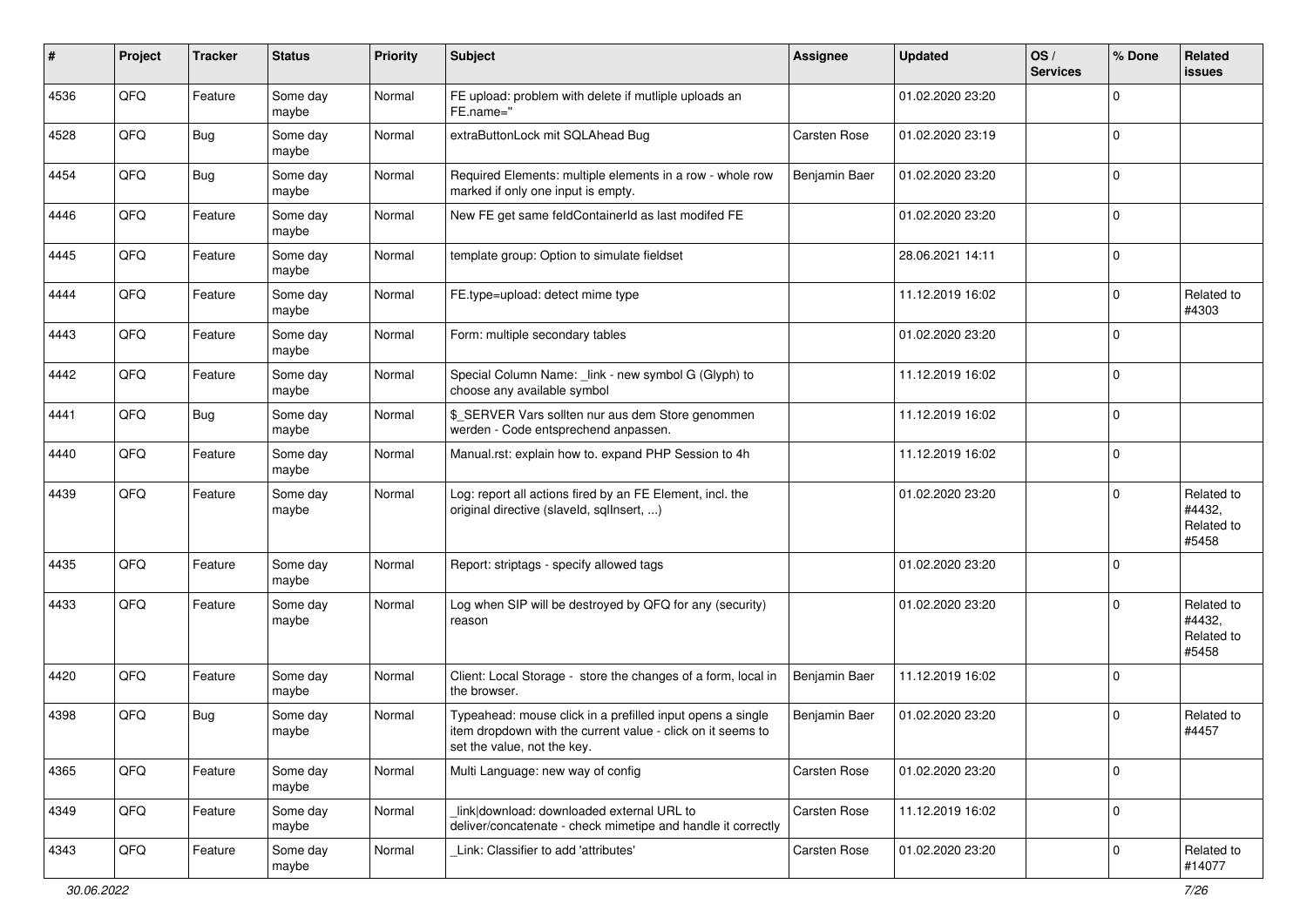| #    | Project | <b>Tracker</b> | <b>Status</b>     | Priority | <b>Subject</b>                                                                                                                                           | <b>Assignee</b> | <b>Updated</b>   | OS/<br><b>Services</b> | % Done      | <b>Related</b><br>issues                    |
|------|---------|----------------|-------------------|----------|----------------------------------------------------------------------------------------------------------------------------------------------------------|-----------------|------------------|------------------------|-------------|---------------------------------------------|
| 4536 | QFQ     | Feature        | Some day<br>maybe | Normal   | FE upload: problem with delete if mutliple uploads an<br>FE.name="                                                                                       |                 | 01.02.2020 23:20 |                        | $\Omega$    |                                             |
| 4528 | QFQ     | <b>Bug</b>     | Some day<br>maybe | Normal   | extraButtonLock mit SQLAhead Bug                                                                                                                         | Carsten Rose    | 01.02.2020 23:19 |                        | $\mathbf 0$ |                                             |
| 4454 | QFQ     | <b>Bug</b>     | Some day<br>maybe | Normal   | Required Elements: multiple elements in a row - whole row<br>marked if only one input is empty.                                                          | Benjamin Baer   | 01.02.2020 23:20 |                        | $\Omega$    |                                             |
| 4446 | QFQ     | Feature        | Some day<br>maybe | Normal   | New FE get same feldContainerId as last modifed FE                                                                                                       |                 | 01.02.2020 23:20 |                        | 0           |                                             |
| 4445 | QFQ     | Feature        | Some day<br>maybe | Normal   | template group: Option to simulate fieldset                                                                                                              |                 | 28.06.2021 14:11 |                        | $\mathbf 0$ |                                             |
| 4444 | QFQ     | Feature        | Some day<br>maybe | Normal   | FE.type=upload: detect mime type                                                                                                                         |                 | 11.12.2019 16:02 |                        | $\mathbf 0$ | Related to<br>#4303                         |
| 4443 | QFQ     | Feature        | Some day<br>maybe | Normal   | Form: multiple secondary tables                                                                                                                          |                 | 01.02.2020 23:20 |                        | $\mathbf 0$ |                                             |
| 4442 | QFQ     | Feature        | Some day<br>maybe | Normal   | Special Column Name: _link - new symbol G (Glyph) to<br>choose any available symbol                                                                      |                 | 11.12.2019 16:02 |                        | $\mathbf 0$ |                                             |
| 4441 | QFQ     | <b>Bug</b>     | Some day<br>maybe | Normal   | \$ SERVER Vars sollten nur aus dem Store genommen<br>werden - Code entsprechend anpassen.                                                                |                 | 11.12.2019 16:02 |                        | $\mathbf 0$ |                                             |
| 4440 | QFQ     | Feature        | Some day<br>maybe | Normal   | Manual.rst: explain how to. expand PHP Session to 4h                                                                                                     |                 | 11.12.2019 16:02 |                        | $\mathbf 0$ |                                             |
| 4439 | QFQ     | Feature        | Some day<br>maybe | Normal   | Log: report all actions fired by an FE Element, incl. the<br>original directive (slaveld, sqllnsert, )                                                   |                 | 01.02.2020 23:20 |                        | $\mathbf 0$ | Related to<br>#4432,<br>Related to<br>#5458 |
| 4435 | QFQ     | Feature        | Some day<br>maybe | Normal   | Report: striptags - specify allowed tags                                                                                                                 |                 | 01.02.2020 23:20 |                        | $\mathbf 0$ |                                             |
| 4433 | QFQ     | Feature        | Some day<br>maybe | Normal   | Log when SIP will be destroyed by QFQ for any (security)<br>reason                                                                                       |                 | 01.02.2020 23:20 |                        | $\Omega$    | Related to<br>#4432,<br>Related to<br>#5458 |
| 4420 | QFQ     | Feature        | Some day<br>maybe | Normal   | Client: Local Storage - store the changes of a form, local in<br>the browser.                                                                            | Benjamin Baer   | 11.12.2019 16:02 |                        | $\mathbf 0$ |                                             |
| 4398 | QFQ     | <b>Bug</b>     | Some day<br>maybe | Normal   | Typeahead: mouse click in a prefilled input opens a single<br>item dropdown with the current value - click on it seems to<br>set the value, not the key. | Benjamin Baer   | 01.02.2020 23:20 |                        | $\mathbf 0$ | Related to<br>#4457                         |
| 4365 | QFO     | Feature        | Some day<br>maybe | Normal   | Multi Language: new way of config                                                                                                                        | Carsten Rose    | 01.02.2020 23:20 |                        | $\mathbf 0$ |                                             |
| 4349 | QFQ     | Feature        | Some day<br>maybe | Normal   | link download: downloaded external URL to<br>deliver/concatenate - check mimetipe and handle it correctly                                                | Carsten Rose    | 11.12.2019 16:02 |                        | $\mathbf 0$ |                                             |
| 4343 | QFO     | Feature        | Some day<br>maybe | Normal   | Link: Classifier to add 'attributes'                                                                                                                     | Carsten Rose    | 01.02.2020 23:20 |                        | $\mathbf 0$ | Related to<br>#14077                        |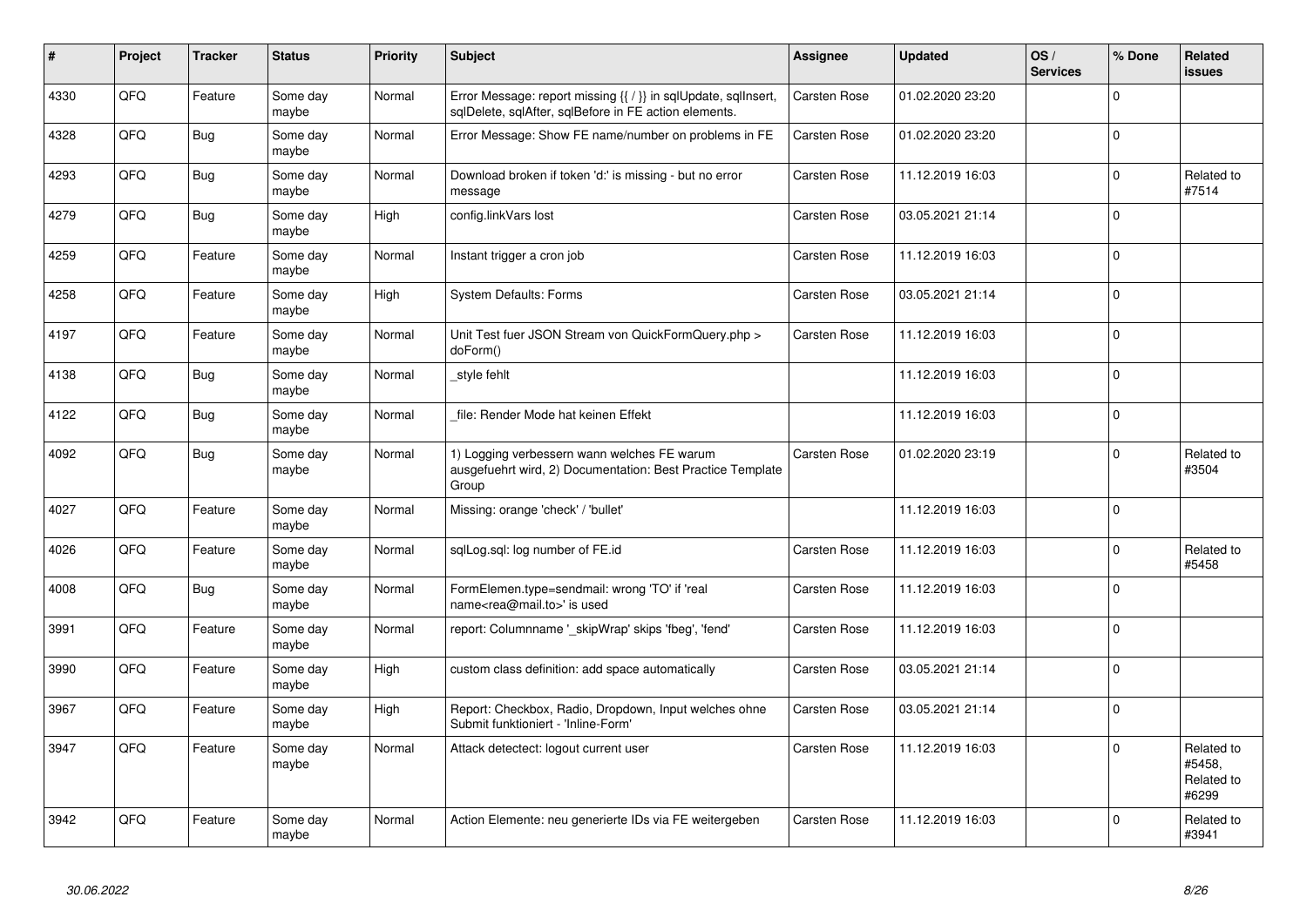| #    | Project | <b>Tracker</b> | <b>Status</b>     | <b>Priority</b> | <b>Subject</b>                                                                                                          | <b>Assignee</b>     | <b>Updated</b>   | OS/<br><b>Services</b> | % Done      | Related<br>issues                           |
|------|---------|----------------|-------------------|-----------------|-------------------------------------------------------------------------------------------------------------------------|---------------------|------------------|------------------------|-------------|---------------------------------------------|
| 4330 | QFQ     | Feature        | Some day<br>maybe | Normal          | Error Message: report missing {{ / }} in sqlUpdate, sqlInsert,<br>sqlDelete, sqlAfter, sqlBefore in FE action elements. | <b>Carsten Rose</b> | 01.02.2020 23:20 |                        | $\Omega$    |                                             |
| 4328 | QFQ     | <b>Bug</b>     | Some dav<br>maybe | Normal          | Error Message: Show FE name/number on problems in FE                                                                    | <b>Carsten Rose</b> | 01.02.2020 23:20 |                        | $\Omega$    |                                             |
| 4293 | QFQ     | Bug            | Some day<br>maybe | Normal          | Download broken if token 'd:' is missing - but no error<br>message                                                      | <b>Carsten Rose</b> | 11.12.2019 16:03 |                        | 0           | Related to<br>#7514                         |
| 4279 | QFQ     | <b>Bug</b>     | Some day<br>maybe | High            | config.linkVars lost                                                                                                    | <b>Carsten Rose</b> | 03.05.2021 21:14 |                        | $\Omega$    |                                             |
| 4259 | QFQ     | Feature        | Some day<br>maybe | Normal          | Instant trigger a cron job                                                                                              | Carsten Rose        | 11.12.2019 16:03 |                        | $\Omega$    |                                             |
| 4258 | QFQ     | Feature        | Some day<br>maybe | High            | <b>System Defaults: Forms</b>                                                                                           | Carsten Rose        | 03.05.2021 21:14 |                        | $\mathbf 0$ |                                             |
| 4197 | QFQ     | Feature        | Some day<br>maybe | Normal          | Unit Test fuer JSON Stream von QuickFormQuery.php ><br>doForm()                                                         | <b>Carsten Rose</b> | 11.12.2019 16:03 |                        | $\Omega$    |                                             |
| 4138 | QFQ     | <b>Bug</b>     | Some day<br>maybe | Normal          | style fehlt                                                                                                             |                     | 11.12.2019 16:03 |                        | $\Omega$    |                                             |
| 4122 | QFQ     | <b>Bug</b>     | Some day<br>maybe | Normal          | file: Render Mode hat keinen Effekt                                                                                     |                     | 11.12.2019 16:03 |                        | $\Omega$    |                                             |
| 4092 | QFQ     | <b>Bug</b>     | Some day<br>maybe | Normal          | 1) Logging verbessern wann welches FE warum<br>ausgefuehrt wird, 2) Documentation: Best Practice Template<br>Group      | <b>Carsten Rose</b> | 01.02.2020 23:19 |                        | 0           | Related to<br>#3504                         |
| 4027 | QFQ     | Feature        | Some day<br>maybe | Normal          | Missing: orange 'check' / 'bullet'                                                                                      |                     | 11.12.2019 16:03 |                        | $\Omega$    |                                             |
| 4026 | QFQ     | Feature        | Some day<br>maybe | Normal          | sqlLog.sql: log number of FE.id                                                                                         | <b>Carsten Rose</b> | 11.12.2019 16:03 |                        | $\Omega$    | Related to<br>#5458                         |
| 4008 | QFQ     | <b>Bug</b>     | Some day<br>maybe | Normal          | FormElemen.type=sendmail: wrong 'TO' if 'real<br>name <rea@mail.to>' is used</rea@mail.to>                              | <b>Carsten Rose</b> | 11.12.2019 16:03 |                        | $\Omega$    |                                             |
| 3991 | QFQ     | Feature        | Some day<br>maybe | Normal          | report: Columnname '_skipWrap' skips 'fbeg', 'fend'                                                                     | Carsten Rose        | 11.12.2019 16:03 |                        | $\Omega$    |                                             |
| 3990 | QFQ     | Feature        | Some day<br>maybe | High            | custom class definition: add space automatically                                                                        | <b>Carsten Rose</b> | 03.05.2021 21:14 |                        | $\Omega$    |                                             |
| 3967 | QFQ     | Feature        | Some day<br>maybe | High            | Report: Checkbox, Radio, Dropdown, Input welches ohne<br>Submit funktioniert - 'Inline-Form'                            | <b>Carsten Rose</b> | 03.05.2021 21:14 |                        | $\Omega$    |                                             |
| 3947 | QFQ     | Feature        | Some day<br>maybe | Normal          | Attack detectect: logout current user                                                                                   | <b>Carsten Rose</b> | 11.12.2019 16:03 |                        | $\Omega$    | Related to<br>#5458,<br>Related to<br>#6299 |
| 3942 | QFQ     | Feature        | Some day<br>maybe | Normal          | Action Elemente: neu generierte IDs via FE weitergeben                                                                  | <b>Carsten Rose</b> | 11.12.2019 16:03 |                        | $\Omega$    | Related to<br>#3941                         |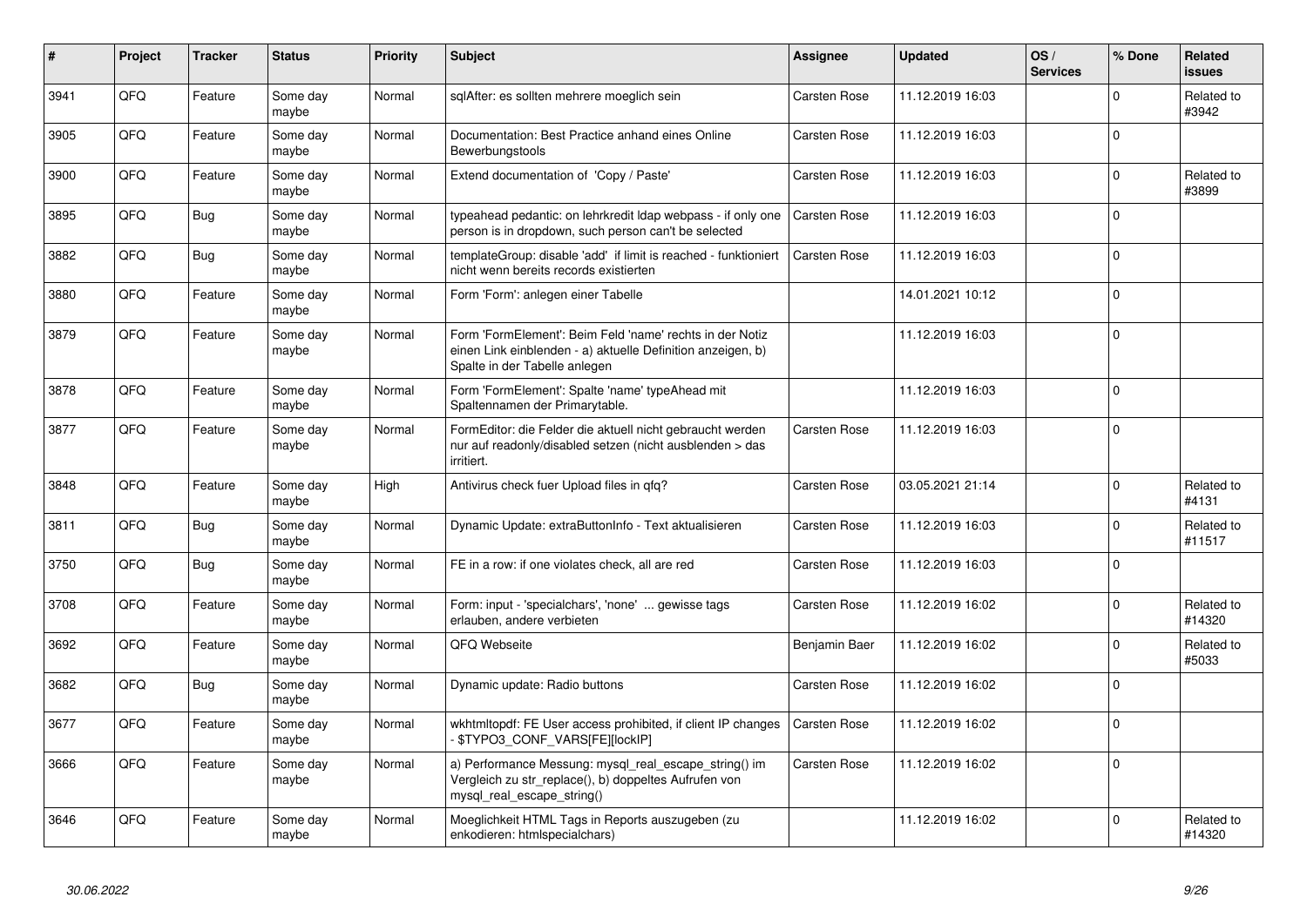| $\vert$ # | Project | <b>Tracker</b> | <b>Status</b>     | <b>Priority</b> | <b>Subject</b>                                                                                                                                           | Assignee            | <b>Updated</b>   | OS/<br><b>Services</b> | % Done      | <b>Related</b><br><b>issues</b> |
|-----------|---------|----------------|-------------------|-----------------|----------------------------------------------------------------------------------------------------------------------------------------------------------|---------------------|------------------|------------------------|-------------|---------------------------------|
| 3941      | QFQ     | Feature        | Some day<br>maybe | Normal          | sglAfter: es sollten mehrere moeglich sein                                                                                                               | <b>Carsten Rose</b> | 11.12.2019 16:03 |                        | $\mathbf 0$ | Related to<br>#3942             |
| 3905      | QFQ     | Feature        | Some day<br>maybe | Normal          | Documentation: Best Practice anhand eines Online<br>Bewerbungstools                                                                                      | <b>Carsten Rose</b> | 11.12.2019 16:03 |                        | $\mathbf 0$ |                                 |
| 3900      | QFQ     | Feature        | Some day<br>maybe | Normal          | Extend documentation of 'Copy / Paste'                                                                                                                   | Carsten Rose        | 11.12.2019 16:03 |                        | $\mathbf 0$ | Related to<br>#3899             |
| 3895      | QFQ     | <b>Bug</b>     | Some day<br>maybe | Normal          | typeahead pedantic: on lehrkredit Idap webpass - if only one<br>person is in dropdown, such person can't be selected                                     | Carsten Rose        | 11.12.2019 16:03 |                        | $\Omega$    |                                 |
| 3882      | QFQ     | Bug            | Some day<br>maybe | Normal          | templateGroup: disable 'add' if limit is reached - funktioniert<br>nicht wenn bereits records existierten                                                | <b>Carsten Rose</b> | 11.12.2019 16:03 |                        | $\mathbf 0$ |                                 |
| 3880      | QFQ     | Feature        | Some day<br>maybe | Normal          | Form 'Form': anlegen einer Tabelle                                                                                                                       |                     | 14.01.2021 10:12 |                        | $\mathbf 0$ |                                 |
| 3879      | QFQ     | Feature        | Some day<br>maybe | Normal          | Form 'FormElement': Beim Feld 'name' rechts in der Notiz<br>einen Link einblenden - a) aktuelle Definition anzeigen, b)<br>Spalte in der Tabelle anlegen |                     | 11.12.2019 16:03 |                        | $\mathbf 0$ |                                 |
| 3878      | QFQ     | Feature        | Some day<br>maybe | Normal          | Form 'FormElement': Spalte 'name' typeAhead mit<br>Spaltennamen der Primarytable.                                                                        |                     | 11.12.2019 16:03 |                        | $\mathbf 0$ |                                 |
| 3877      | QFQ     | Feature        | Some day<br>maybe | Normal          | FormEditor: die Felder die aktuell nicht gebraucht werden<br>nur auf readonly/disabled setzen (nicht ausblenden > das<br>irritiert.                      | Carsten Rose        | 11.12.2019 16:03 |                        | $\mathbf 0$ |                                 |
| 3848      | QFQ     | Feature        | Some day<br>maybe | High            | Antivirus check fuer Upload files in qfq?                                                                                                                | <b>Carsten Rose</b> | 03.05.2021 21:14 |                        | $\mathbf 0$ | Related to<br>#4131             |
| 3811      | QFQ     | <b>Bug</b>     | Some day<br>maybe | Normal          | Dynamic Update: extraButtonInfo - Text aktualisieren                                                                                                     | <b>Carsten Rose</b> | 11.12.2019 16:03 |                        | $\mathbf 0$ | Related to<br>#11517            |
| 3750      | QFQ     | <b>Bug</b>     | Some day<br>maybe | Normal          | FE in a row: if one violates check, all are red                                                                                                          | Carsten Rose        | 11.12.2019 16:03 |                        | $\mathbf 0$ |                                 |
| 3708      | QFQ     | Feature        | Some day<br>maybe | Normal          | Form: input - 'specialchars', 'none'  gewisse tags<br>erlauben, andere verbieten                                                                         | Carsten Rose        | 11.12.2019 16:02 |                        | $\Omega$    | Related to<br>#14320            |
| 3692      | QFQ     | Feature        | Some day<br>maybe | Normal          | QFQ Webseite                                                                                                                                             | Benjamin Baer       | 11.12.2019 16:02 |                        | $\Omega$    | Related to<br>#5033             |
| 3682      | QFQ     | Bug            | Some day<br>maybe | Normal          | Dynamic update: Radio buttons                                                                                                                            | <b>Carsten Rose</b> | 11.12.2019 16:02 |                        | $\mathbf 0$ |                                 |
| 3677      | QFQ     | Feature        | Some day<br>maybe | Normal          | wkhtmltopdf: FE User access prohibited, if client IP changes<br>- \$TYPO3_CONF_VARS[FE][lockIP]                                                          | <b>Carsten Rose</b> | 11.12.2019 16:02 |                        | $\mathbf 0$ |                                 |
| 3666      | QFQ     | Feature        | Some day<br>maybe | Normal          | a) Performance Messung: mysql_real_escape_string() im<br>Vergleich zu str_replace(), b) doppeltes Aufrufen von<br>mysql_real_escape_string()             | <b>Carsten Rose</b> | 11.12.2019 16:02 |                        | $\Omega$    |                                 |
| 3646      | QFQ     | Feature        | Some day<br>maybe | Normal          | Moeglichkeit HTML Tags in Reports auszugeben (zu<br>enkodieren: htmlspecialchars)                                                                        |                     | 11.12.2019 16:02 |                        | $\Omega$    | Related to<br>#14320            |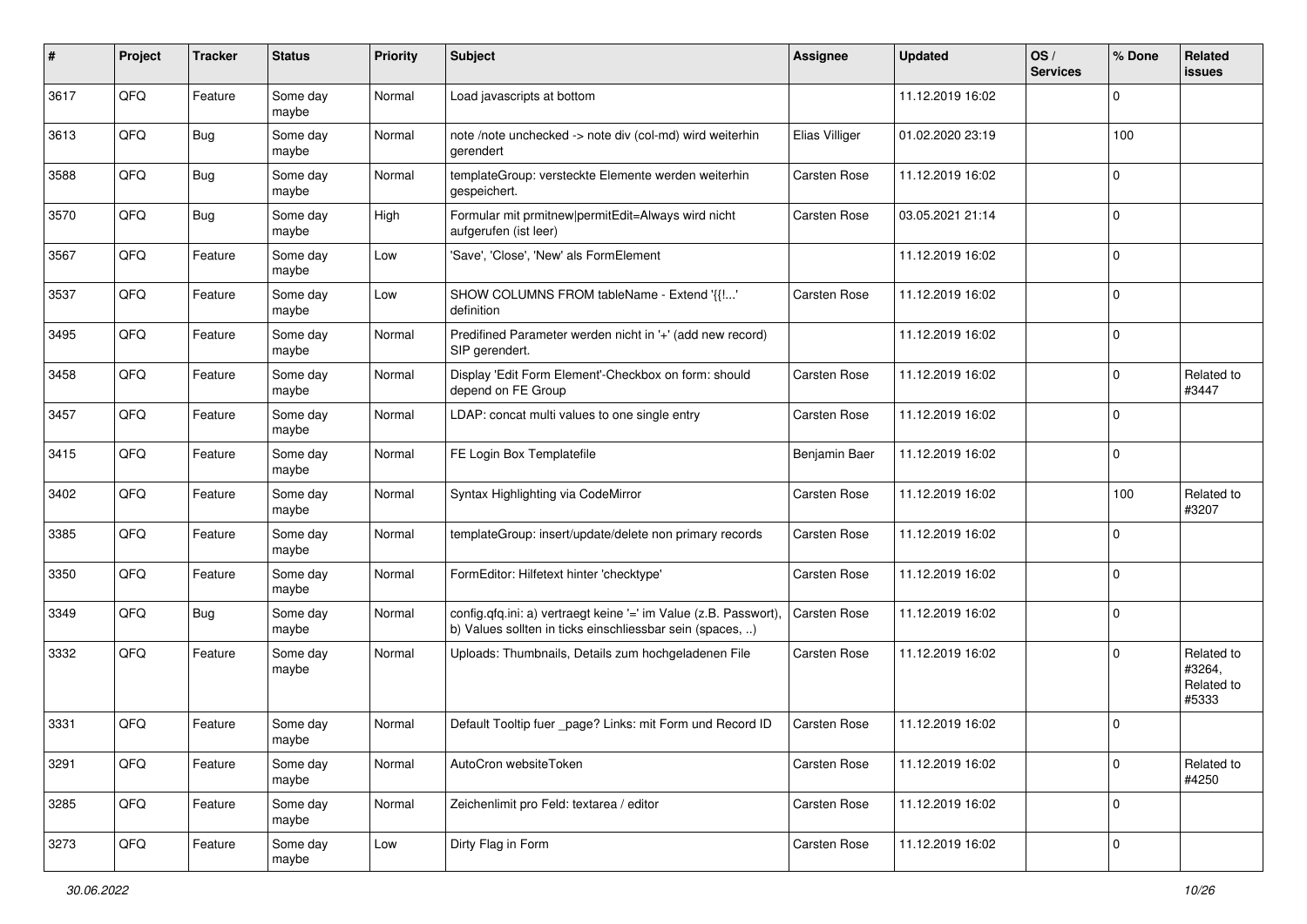| #    | Project | <b>Tracker</b> | <b>Status</b>     | <b>Priority</b> | <b>Subject</b>                                                                                                                | <b>Assignee</b>     | <b>Updated</b>   | OS/<br><b>Services</b> | % Done      | Related<br>issues                           |
|------|---------|----------------|-------------------|-----------------|-------------------------------------------------------------------------------------------------------------------------------|---------------------|------------------|------------------------|-------------|---------------------------------------------|
| 3617 | QFQ     | Feature        | Some day<br>maybe | Normal          | Load javascripts at bottom                                                                                                    |                     | 11.12.2019 16:02 |                        | $\Omega$    |                                             |
| 3613 | QFQ     | <b>Bug</b>     | Some day<br>maybe | Normal          | note /note unchecked -> note div (col-md) wird weiterhin<br>gerendert                                                         | Elias Villiger      | 01.02.2020 23:19 |                        | 100         |                                             |
| 3588 | QFQ     | Bug            | Some day<br>maybe | Normal          | templateGroup: versteckte Elemente werden weiterhin<br>gespeichert.                                                           | <b>Carsten Rose</b> | 11.12.2019 16:02 |                        | $\Omega$    |                                             |
| 3570 | QFQ     | <b>Bug</b>     | Some day<br>maybe | High            | Formular mit prmitnew permitEdit=Always wird nicht<br>aufgerufen (ist leer)                                                   | <b>Carsten Rose</b> | 03.05.2021 21:14 |                        | $\Omega$    |                                             |
| 3567 | QFQ     | Feature        | Some day<br>maybe | Low             | 'Save', 'Close', 'New' als FormElement                                                                                        |                     | 11.12.2019 16:02 |                        | $\Omega$    |                                             |
| 3537 | QFQ     | Feature        | Some day<br>maybe | Low             | SHOW COLUMNS FROM tableName - Extend '{{!'<br>definition                                                                      | <b>Carsten Rose</b> | 11.12.2019 16:02 |                        | $\Omega$    |                                             |
| 3495 | QFQ     | Feature        | Some day<br>maybe | Normal          | Predifined Parameter werden nicht in '+' (add new record)<br>SIP gerendert.                                                   |                     | 11.12.2019 16:02 |                        | $\Omega$    |                                             |
| 3458 | QFQ     | Feature        | Some day<br>maybe | Normal          | Display 'Edit Form Element'-Checkbox on form: should<br>depend on FE Group                                                    | <b>Carsten Rose</b> | 11.12.2019 16:02 |                        | $\Omega$    | Related to<br>#3447                         |
| 3457 | QFQ     | Feature        | Some day<br>maybe | Normal          | LDAP: concat multi values to one single entry                                                                                 | <b>Carsten Rose</b> | 11.12.2019 16:02 |                        | $\mathbf 0$ |                                             |
| 3415 | QFQ     | Feature        | Some day<br>maybe | Normal          | FE Login Box Templatefile                                                                                                     | Benjamin Baer       | 11.12.2019 16:02 |                        | 0           |                                             |
| 3402 | QFQ     | Feature        | Some day<br>maybe | Normal          | Syntax Highlighting via CodeMirror                                                                                            | <b>Carsten Rose</b> | 11.12.2019 16:02 |                        | 100         | Related to<br>#3207                         |
| 3385 | QFQ     | Feature        | Some day<br>maybe | Normal          | templateGroup: insert/update/delete non primary records                                                                       | <b>Carsten Rose</b> | 11.12.2019 16:02 |                        | $\Omega$    |                                             |
| 3350 | QFQ     | Feature        | Some day<br>maybe | Normal          | FormEditor: Hilfetext hinter 'checktype'                                                                                      | <b>Carsten Rose</b> | 11.12.2019 16:02 |                        | $\Omega$    |                                             |
| 3349 | QFQ     | <b>Bug</b>     | Some day<br>maybe | Normal          | config.qfq.ini: a) vertraegt keine '=' im Value (z.B. Passwort),<br>b) Values sollten in ticks einschliessbar sein (spaces, ) | <b>Carsten Rose</b> | 11.12.2019 16:02 |                        | $\Omega$    |                                             |
| 3332 | QFQ     | Feature        | Some day<br>maybe | Normal          | Uploads: Thumbnails, Details zum hochgeladenen File                                                                           | <b>Carsten Rose</b> | 11.12.2019 16:02 |                        | $\Omega$    | Related to<br>#3264,<br>Related to<br>#5333 |
| 3331 | QFQ     | Feature        | Some day<br>maybe | Normal          | Default Tooltip fuer _page? Links: mit Form und Record ID                                                                     | <b>Carsten Rose</b> | 11.12.2019 16:02 |                        | O           |                                             |
| 3291 | QFQ     | Feature        | Some day<br>maybe | Normal          | AutoCron websiteToken                                                                                                         | <b>Carsten Rose</b> | 11.12.2019 16:02 |                        | $\mathbf 0$ | Related to<br>#4250                         |
| 3285 | QFQ     | Feature        | Some day<br>maybe | Normal          | Zeichenlimit pro Feld: textarea / editor                                                                                      | Carsten Rose        | 11.12.2019 16:02 |                        | $\mathbf 0$ |                                             |
| 3273 | QFQ     | Feature        | Some day<br>maybe | Low             | Dirty Flag in Form                                                                                                            | Carsten Rose        | 11.12.2019 16:02 |                        | $\mathbf 0$ |                                             |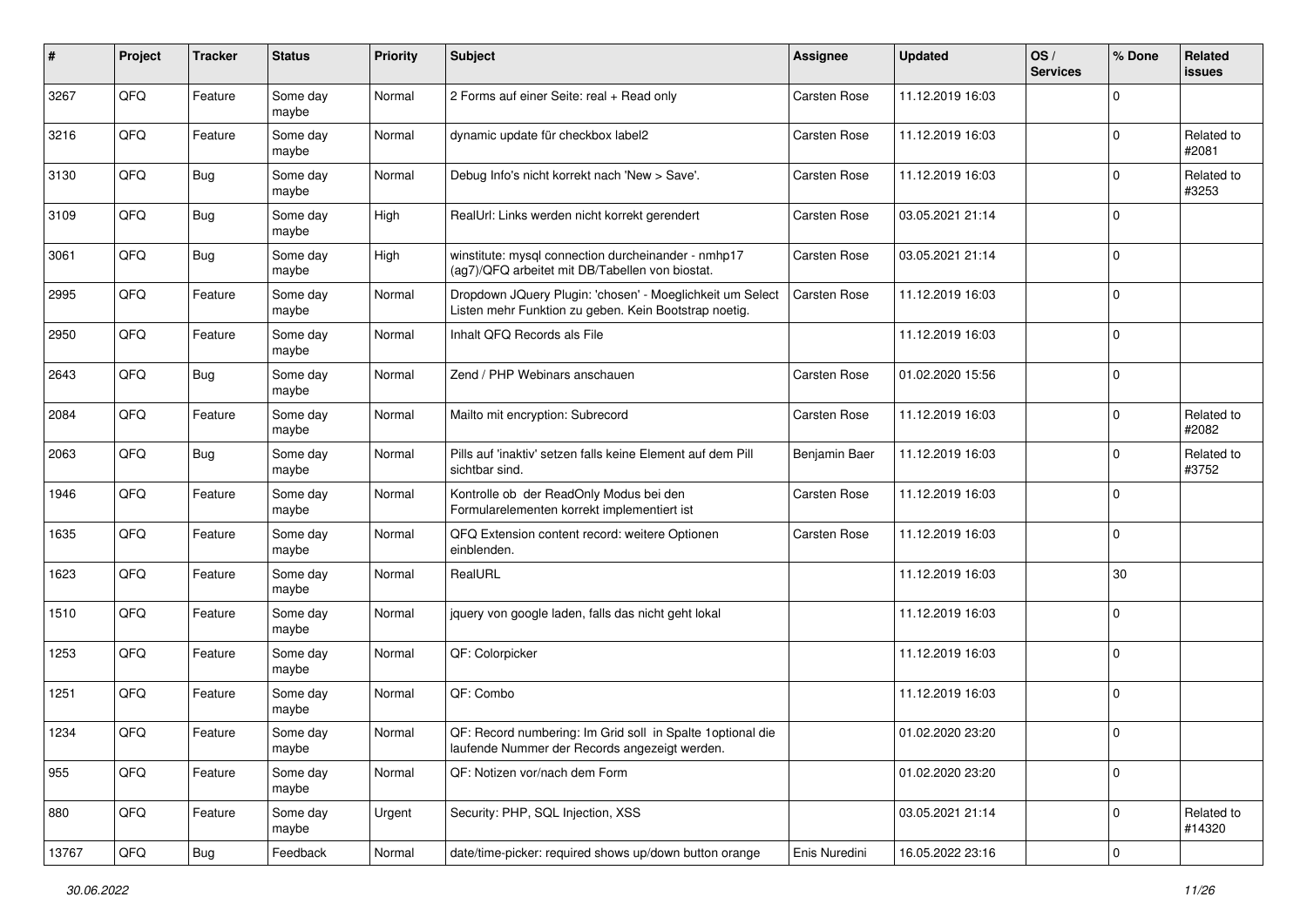| $\vert$ # | Project | <b>Tracker</b> | <b>Status</b>     | Priority | <b>Subject</b>                                                                                                     | <b>Assignee</b>     | <b>Updated</b>   | OS/<br><b>Services</b> | % Done              | Related<br><b>issues</b> |
|-----------|---------|----------------|-------------------|----------|--------------------------------------------------------------------------------------------------------------------|---------------------|------------------|------------------------|---------------------|--------------------------|
| 3267      | QFQ     | Feature        | Some day<br>maybe | Normal   | 2 Forms auf einer Seite: real + Read only                                                                          | <b>Carsten Rose</b> | 11.12.2019 16:03 |                        | $\mathbf 0$         |                          |
| 3216      | QFQ     | Feature        | Some day<br>maybe | Normal   | dynamic update für checkbox label2                                                                                 | <b>Carsten Rose</b> | 11.12.2019 16:03 |                        | $\mathbf 0$         | Related to<br>#2081      |
| 3130      | QFQ     | <b>Bug</b>     | Some day<br>maybe | Normal   | Debug Info's nicht korrekt nach 'New > Save'.                                                                      | <b>Carsten Rose</b> | 11.12.2019 16:03 |                        | $\mathbf 0$         | Related to<br>#3253      |
| 3109      | QFQ     | <b>Bug</b>     | Some day<br>maybe | High     | RealUrl: Links werden nicht korrekt gerendert                                                                      | <b>Carsten Rose</b> | 03.05.2021 21:14 |                        | $\mathbf 0$         |                          |
| 3061      | QFQ     | Bug            | Some day<br>maybe | High     | winstitute: mysql connection durcheinander - nmhp17<br>(ag7)/QFQ arbeitet mit DB/Tabellen von biostat.             | <b>Carsten Rose</b> | 03.05.2021 21:14 |                        | $\mathbf 0$         |                          |
| 2995      | QFQ     | Feature        | Some day<br>maybe | Normal   | Dropdown JQuery Plugin: 'chosen' - Moeglichkeit um Select<br>Listen mehr Funktion zu geben. Kein Bootstrap noetig. | Carsten Rose        | 11.12.2019 16:03 |                        | $\mathbf 0$         |                          |
| 2950      | QFQ     | Feature        | Some day<br>maybe | Normal   | Inhalt QFQ Records als File                                                                                        |                     | 11.12.2019 16:03 |                        | $\mathbf 0$         |                          |
| 2643      | QFQ     | <b>Bug</b>     | Some day<br>maybe | Normal   | Zend / PHP Webinars anschauen                                                                                      | <b>Carsten Rose</b> | 01.02.2020 15:56 |                        | $\mathsf 0$         |                          |
| 2084      | QFQ     | Feature        | Some day<br>maybe | Normal   | Mailto mit encryption: Subrecord                                                                                   | <b>Carsten Rose</b> | 11.12.2019 16:03 |                        | $\mathbf 0$         | Related to<br>#2082      |
| 2063      | QFQ     | <b>Bug</b>     | Some day<br>maybe | Normal   | Pills auf 'inaktiv' setzen falls keine Element auf dem Pill<br>sichtbar sind.                                      | Benjamin Baer       | 11.12.2019 16:03 |                        | $\mathbf 0$         | Related to<br>#3752      |
| 1946      | QFQ     | Feature        | Some day<br>maybe | Normal   | Kontrolle ob der ReadOnly Modus bei den<br>Formularelementen korrekt implementiert ist                             | Carsten Rose        | 11.12.2019 16:03 |                        | $\mathbf 0$         |                          |
| 1635      | QFQ     | Feature        | Some day<br>maybe | Normal   | QFQ Extension content record: weitere Optionen<br>einblenden.                                                      | <b>Carsten Rose</b> | 11.12.2019 16:03 |                        | $\mathbf 0$         |                          |
| 1623      | QFQ     | Feature        | Some day<br>maybe | Normal   | RealURL                                                                                                            |                     | 11.12.2019 16:03 |                        | 30                  |                          |
| 1510      | QFQ     | Feature        | Some day<br>maybe | Normal   | jquery von google laden, falls das nicht geht lokal                                                                |                     | 11.12.2019 16:03 |                        | $\mathbf 0$         |                          |
| 1253      | QFQ     | Feature        | Some day<br>maybe | Normal   | QF: Colorpicker                                                                                                    |                     | 11.12.2019 16:03 |                        | $\mathbf 0$         |                          |
| 1251      | QFQ     | Feature        | Some day<br>maybe | Normal   | QF: Combo                                                                                                          |                     | 11.12.2019 16:03 |                        | $\mathbf 0$         |                          |
| 1234      | QFQ     | Feature        | Some day<br>maybe | Normal   | QF: Record numbering: Im Grid soll in Spalte 1 optional die<br>laufende Nummer der Records angezeigt werden.       |                     | 01.02.2020 23:20 |                        | $\mathbf 0$         |                          |
| 955       | QFG     | Feature        | Some day<br>maybe | Normal   | QF: Notizen vor/nach dem Form                                                                                      |                     | 01.02.2020 23:20 |                        | $\mathsf 0$         |                          |
| 880       | QFO     | Feature        | Some day<br>maybe | Urgent   | Security: PHP, SQL Injection, XSS                                                                                  |                     | 03.05.2021 21:14 |                        | $\mathbf 0$         | Related to<br>#14320     |
| 13767     | QFG     | <b>Bug</b>     | Feedback          | Normal   | date/time-picker: required shows up/down button orange                                                             | Enis Nuredini       | 16.05.2022 23:16 |                        | $\mathsf{O}\xspace$ |                          |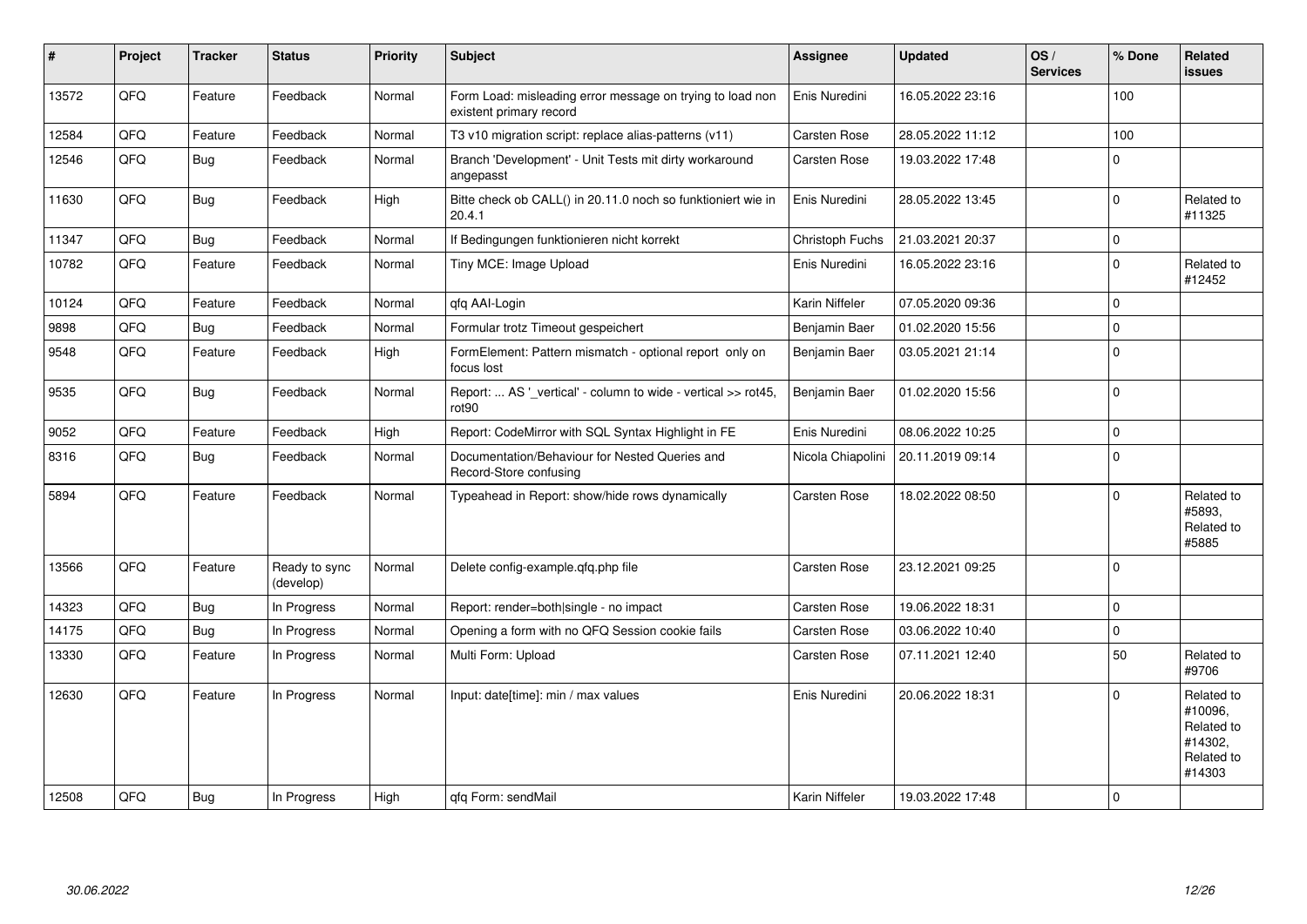| $\sharp$ | Project | <b>Tracker</b> | <b>Status</b>              | <b>Priority</b> | <b>Subject</b>                                                                       | <b>Assignee</b>     | <b>Updated</b>   | OS/<br><b>Services</b> | % Done      | Related<br>issues                                                      |
|----------|---------|----------------|----------------------------|-----------------|--------------------------------------------------------------------------------------|---------------------|------------------|------------------------|-------------|------------------------------------------------------------------------|
| 13572    | QFQ     | Feature        | Feedback                   | Normal          | Form Load: misleading error message on trying to load non<br>existent primary record | Enis Nuredini       | 16.05.2022 23:16 |                        | 100         |                                                                        |
| 12584    | QFQ     | Feature        | Feedback                   | Normal          | T3 v10 migration script: replace alias-patterns (v11)                                | <b>Carsten Rose</b> | 28.05.2022 11:12 |                        | 100         |                                                                        |
| 12546    | QFQ     | Bug            | Feedback                   | Normal          | Branch 'Development' - Unit Tests mit dirty workaround<br>angepasst                  | <b>Carsten Rose</b> | 19.03.2022 17:48 |                        | $\mathbf 0$ |                                                                        |
| 11630    | QFQ     | Bug            | Feedback                   | High            | Bitte check ob CALL() in 20.11.0 noch so funktioniert wie in<br>20.4.1               | Enis Nuredini       | 28.05.2022 13:45 |                        | $\mathbf 0$ | Related to<br>#11325                                                   |
| 11347    | QFQ     | <b>Bug</b>     | Feedback                   | Normal          | If Bedingungen funktionieren nicht korrekt                                           | Christoph Fuchs     | 21.03.2021 20:37 |                        | $\mathbf 0$ |                                                                        |
| 10782    | QFQ     | Feature        | Feedback                   | Normal          | Tiny MCE: Image Upload                                                               | Enis Nuredini       | 16.05.2022 23:16 |                        | $\mathbf 0$ | Related to<br>#12452                                                   |
| 10124    | QFQ     | Feature        | Feedback                   | Normal          | qfq AAI-Login                                                                        | Karin Niffeler      | 07.05.2020 09:36 |                        | $\mathbf 0$ |                                                                        |
| 9898     | QFQ     | <b>Bug</b>     | Feedback                   | Normal          | Formular trotz Timeout gespeichert                                                   | Benjamin Baer       | 01.02.2020 15:56 |                        | $\mathbf 0$ |                                                                        |
| 9548     | QFQ     | Feature        | Feedback                   | High            | FormElement: Pattern mismatch - optional report only on<br>focus lost                | Benjamin Baer       | 03.05.2021 21:14 |                        | $\mathbf 0$ |                                                                        |
| 9535     | QFQ     | Bug            | Feedback                   | Normal          | Report:  AS '_vertical' - column to wide - vertical >> rot45,<br>rot <sub>90</sub>   | Benjamin Baer       | 01.02.2020 15:56 |                        | $\mathbf 0$ |                                                                        |
| 9052     | QFQ     | Feature        | Feedback                   | High            | Report: CodeMirror with SQL Syntax Highlight in FE                                   | Enis Nuredini       | 08.06.2022 10:25 |                        | $\mathbf 0$ |                                                                        |
| 8316     | QFQ     | Bug            | Feedback                   | Normal          | Documentation/Behaviour for Nested Queries and<br>Record-Store confusing             | Nicola Chiapolini   | 20.11.2019 09:14 |                        | $\mathbf 0$ |                                                                        |
| 5894     | QFQ     | Feature        | Feedback                   | Normal          | Typeahead in Report: show/hide rows dynamically                                      | <b>Carsten Rose</b> | 18.02.2022 08:50 |                        | $\Omega$    | Related to<br>#5893.<br>Related to<br>#5885                            |
| 13566    | QFQ     | Feature        | Ready to sync<br>(develop) | Normal          | Delete config-example.qfq.php file                                                   | <b>Carsten Rose</b> | 23.12.2021 09:25 |                        | $\Omega$    |                                                                        |
| 14323    | QFQ     | <b>Bug</b>     | In Progress                | Normal          | Report: render=both single - no impact                                               | <b>Carsten Rose</b> | 19.06.2022 18:31 |                        | $\Omega$    |                                                                        |
| 14175    | QFQ     | Bug            | In Progress                | Normal          | Opening a form with no QFQ Session cookie fails                                      | <b>Carsten Rose</b> | 03.06.2022 10:40 |                        | $\mathbf 0$ |                                                                        |
| 13330    | QFQ     | Feature        | In Progress                | Normal          | Multi Form: Upload                                                                   | <b>Carsten Rose</b> | 07.11.2021 12:40 |                        | 50          | Related to<br>#9706                                                    |
| 12630    | QFQ     | Feature        | In Progress                | Normal          | Input: date[time]: min / max values                                                  | Enis Nuredini       | 20.06.2022 18:31 |                        | $\Omega$    | Related to<br>#10096,<br>Related to<br>#14302,<br>Related to<br>#14303 |
| 12508    | QFQ     | <b>Bug</b>     | In Progress                | High            | qfq Form: sendMail                                                                   | Karin Niffeler      | 19.03.2022 17:48 |                        | $\mathbf 0$ |                                                                        |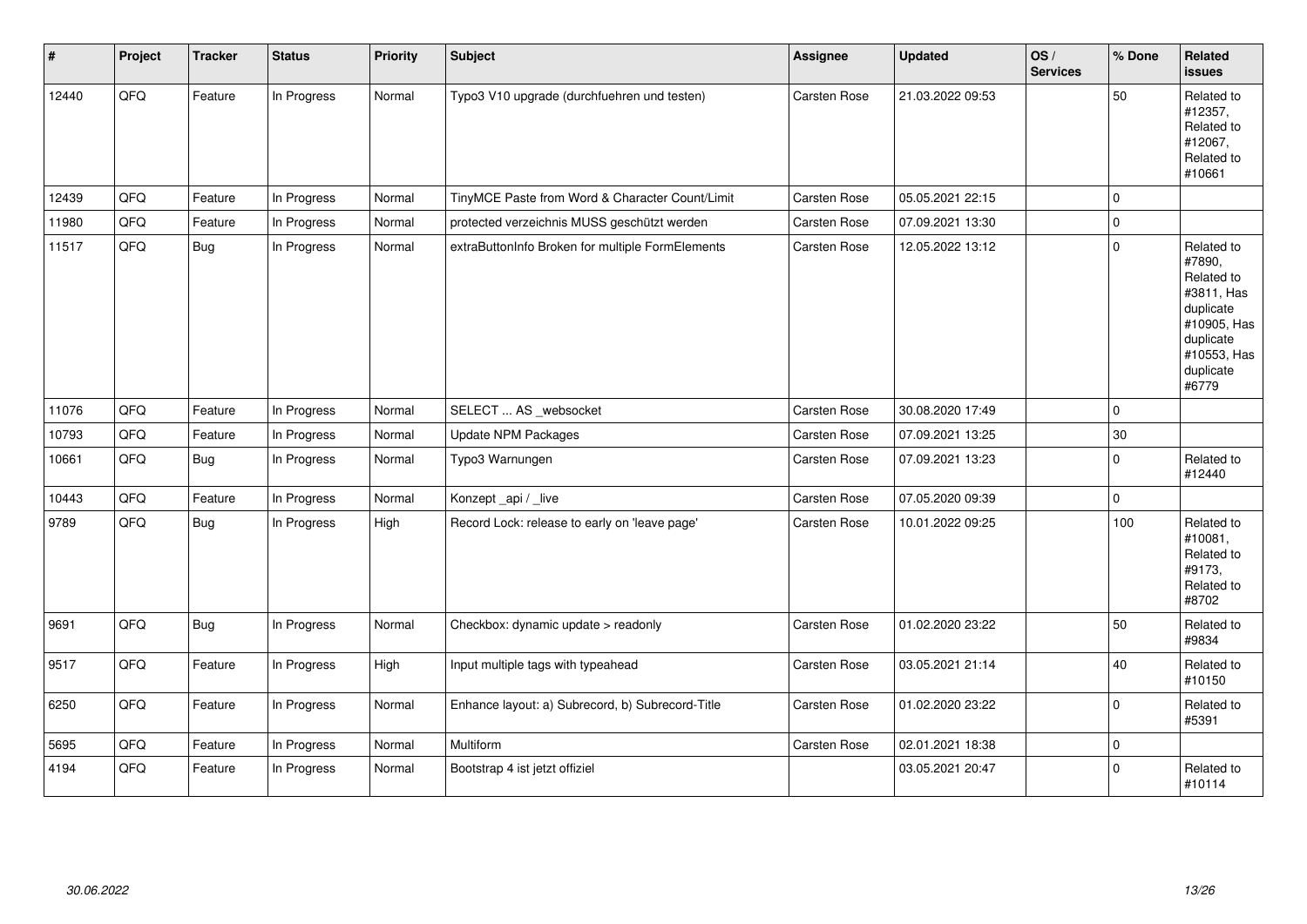| $\sharp$ | Project | <b>Tracker</b> | <b>Status</b> | <b>Priority</b> | <b>Subject</b>                                   | <b>Assignee</b>     | <b>Updated</b>   | OS/<br><b>Services</b> | % Done      | Related<br><b>issues</b>                                                                                                       |
|----------|---------|----------------|---------------|-----------------|--------------------------------------------------|---------------------|------------------|------------------------|-------------|--------------------------------------------------------------------------------------------------------------------------------|
| 12440    | QFQ     | Feature        | In Progress   | Normal          | Typo3 V10 upgrade (durchfuehren und testen)      | Carsten Rose        | 21.03.2022 09:53 |                        | 50          | Related to<br>#12357,<br>Related to<br>#12067,<br>Related to<br>#10661                                                         |
| 12439    | QFQ     | Feature        | In Progress   | Normal          | TinyMCE Paste from Word & Character Count/Limit  | Carsten Rose        | 05.05.2021 22:15 |                        | $\mathbf 0$ |                                                                                                                                |
| 11980    | QFQ     | Feature        | In Progress   | Normal          | protected verzeichnis MUSS geschützt werden      | Carsten Rose        | 07.09.2021 13:30 |                        | $\mathbf 0$ |                                                                                                                                |
| 11517    | QFQ     | <b>Bug</b>     | In Progress   | Normal          | extraButtonInfo Broken for multiple FormElements | <b>Carsten Rose</b> | 12.05.2022 13:12 |                        | $\mathbf 0$ | Related to<br>#7890,<br>Related to<br>#3811, Has<br>duplicate<br>#10905, Has<br>duplicate<br>#10553, Has<br>duplicate<br>#6779 |
| 11076    | QFQ     | Feature        | In Progress   | Normal          | SELECT  AS _websocket                            | Carsten Rose        | 30.08.2020 17:49 |                        | $\mathbf 0$ |                                                                                                                                |
| 10793    | QFQ     | Feature        | In Progress   | Normal          | <b>Update NPM Packages</b>                       | Carsten Rose        | 07.09.2021 13:25 |                        | 30          |                                                                                                                                |
| 10661    | QFQ     | <b>Bug</b>     | In Progress   | Normal          | Typo3 Warnungen                                  | <b>Carsten Rose</b> | 07.09.2021 13:23 |                        | $\mathbf 0$ | Related to<br>#12440                                                                                                           |
| 10443    | QFQ     | Feature        | In Progress   | Normal          | Konzept_api / _live                              | Carsten Rose        | 07.05.2020 09:39 |                        | $\mathbf 0$ |                                                                                                                                |
| 9789     | QFQ     | Bug            | In Progress   | High            | Record Lock: release to early on 'leave page'    | Carsten Rose        | 10.01.2022 09:25 |                        | 100         | Related to<br>#10081,<br>Related to<br>#9173,<br>Related to<br>#8702                                                           |
| 9691     | QFQ     | <b>Bug</b>     | In Progress   | Normal          | Checkbox: dynamic update > readonly              | Carsten Rose        | 01.02.2020 23:22 |                        | 50          | Related to<br>#9834                                                                                                            |
| 9517     | QFQ     | Feature        | In Progress   | High            | Input multiple tags with typeahead               | Carsten Rose        | 03.05.2021 21:14 |                        | 40          | Related to<br>#10150                                                                                                           |
| 6250     | QFQ     | Feature        | In Progress   | Normal          | Enhance layout: a) Subrecord, b) Subrecord-Title | Carsten Rose        | 01.02.2020 23:22 |                        | $\mathbf 0$ | Related to<br>#5391                                                                                                            |
| 5695     | QFQ     | Feature        | In Progress   | Normal          | Multiform                                        | Carsten Rose        | 02.01.2021 18:38 |                        | $\pmb{0}$   |                                                                                                                                |
| 4194     | QFQ     | Feature        | In Progress   | Normal          | Bootstrap 4 ist jetzt offiziel                   |                     | 03.05.2021 20:47 |                        | $\Omega$    | Related to<br>#10114                                                                                                           |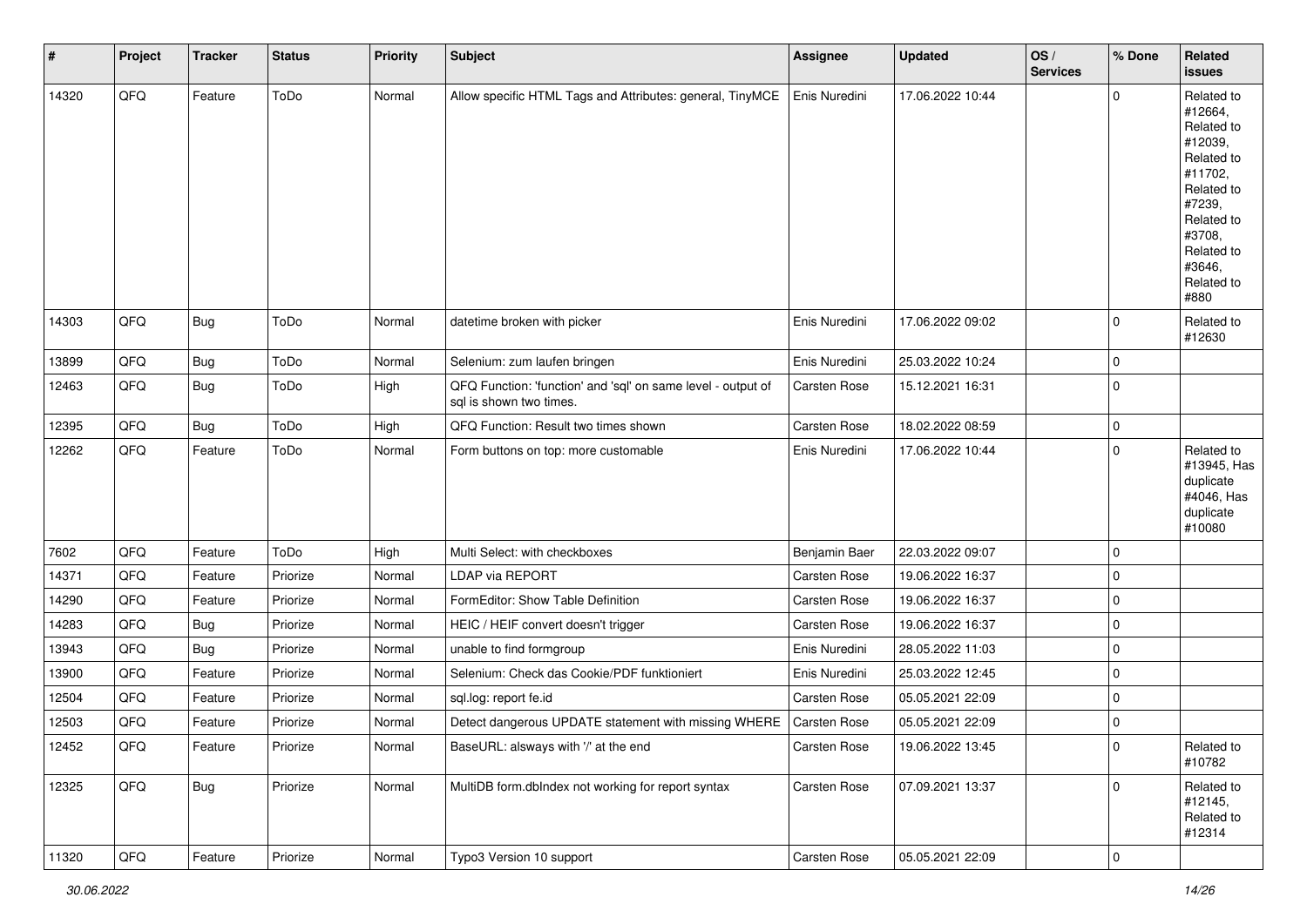| #     | Project | <b>Tracker</b> | <b>Status</b> | <b>Priority</b> | <b>Subject</b>                                                                          | <b>Assignee</b>     | <b>Updated</b>   | OS/<br><b>Services</b> | % Done              | Related<br><b>issues</b>                                                                                                                                              |
|-------|---------|----------------|---------------|-----------------|-----------------------------------------------------------------------------------------|---------------------|------------------|------------------------|---------------------|-----------------------------------------------------------------------------------------------------------------------------------------------------------------------|
| 14320 | QFQ     | Feature        | ToDo          | Normal          | Allow specific HTML Tags and Attributes: general, TinyMCE                               | Enis Nuredini       | 17.06.2022 10:44 |                        | $\mathbf 0$         | Related to<br>#12664,<br>Related to<br>#12039,<br>Related to<br>#11702,<br>Related to<br>#7239,<br>Related to<br>#3708,<br>Related to<br>#3646,<br>Related to<br>#880 |
| 14303 | QFQ     | <b>Bug</b>     | ToDo          | Normal          | datetime broken with picker                                                             | Enis Nuredini       | 17.06.2022 09:02 |                        | $\mathbf 0$         | Related to<br>#12630                                                                                                                                                  |
| 13899 | QFQ     | <b>Bug</b>     | ToDo          | Normal          | Selenium: zum laufen bringen                                                            | Enis Nuredini       | 25.03.2022 10:24 |                        | $\mathbf 0$         |                                                                                                                                                                       |
| 12463 | QFQ     | <b>Bug</b>     | ToDo          | High            | QFQ Function: 'function' and 'sql' on same level - output of<br>sql is shown two times. | <b>Carsten Rose</b> | 15.12.2021 16:31 |                        | $\mathbf 0$         |                                                                                                                                                                       |
| 12395 | QFQ     | <b>Bug</b>     | ToDo          | High            | QFQ Function: Result two times shown                                                    | Carsten Rose        | 18.02.2022 08:59 |                        | $\mathbf 0$         |                                                                                                                                                                       |
| 12262 | QFQ     | Feature        | ToDo          | Normal          | Form buttons on top: more customable                                                    | Enis Nuredini       | 17.06.2022 10:44 |                        | $\mathbf 0$         | Related to<br>#13945, Has<br>duplicate<br>#4046, Has<br>duplicate<br>#10080                                                                                           |
| 7602  | QFQ     | Feature        | ToDo          | High            | Multi Select: with checkboxes                                                           | Benjamin Baer       | 22.03.2022 09:07 |                        | $\mathbf 0$         |                                                                                                                                                                       |
| 14371 | QFQ     | Feature        | Priorize      | Normal          | LDAP via REPORT                                                                         | Carsten Rose        | 19.06.2022 16:37 |                        | $\mathsf 0$         |                                                                                                                                                                       |
| 14290 | QFQ     | Feature        | Priorize      | Normal          | FormEditor: Show Table Definition                                                       | Carsten Rose        | 19.06.2022 16:37 |                        | $\pmb{0}$           |                                                                                                                                                                       |
| 14283 | QFQ     | <b>Bug</b>     | Priorize      | Normal          | HEIC / HEIF convert doesn't trigger                                                     | <b>Carsten Rose</b> | 19.06.2022 16:37 |                        | $\mathbf 0$         |                                                                                                                                                                       |
| 13943 | QFQ     | <b>Bug</b>     | Priorize      | Normal          | unable to find formgroup                                                                | Enis Nuredini       | 28.05.2022 11:03 |                        | $\mathbf 0$         |                                                                                                                                                                       |
| 13900 | QFQ     | Feature        | Priorize      | Normal          | Selenium: Check das Cookie/PDF funktioniert                                             | Enis Nuredini       | 25.03.2022 12:45 |                        | $\mathbf 0$         |                                                                                                                                                                       |
| 12504 | QFQ     | Feature        | Priorize      | Normal          | sql.log: report fe.id                                                                   | Carsten Rose        | 05.05.2021 22:09 |                        | $\mathbf 0$         |                                                                                                                                                                       |
| 12503 | QFQ     | Feature        | Priorize      | Normal          | Detect dangerous UPDATE statement with missing WHERE                                    | <b>Carsten Rose</b> | 05.05.2021 22:09 |                        | $\mathbf 0$         |                                                                                                                                                                       |
| 12452 | QFQ     | Feature        | Priorize      | Normal          | BaseURL: alsways with '/' at the end                                                    | <b>Carsten Rose</b> | 19.06.2022 13:45 |                        | $\mathbf 0$         | Related to<br>#10782                                                                                                                                                  |
| 12325 | QFG     | <b>Bug</b>     | Priorize      | Normal          | MultiDB form.dblndex not working for report syntax                                      | Carsten Rose        | 07.09.2021 13:37 |                        | $\mathbf 0$         | Related to<br>#12145,<br>Related to<br>#12314                                                                                                                         |
| 11320 | QFG     | Feature        | Priorize      | Normal          | Typo3 Version 10 support                                                                | Carsten Rose        | 05.05.2021 22:09 |                        | $\mathsf{O}\xspace$ |                                                                                                                                                                       |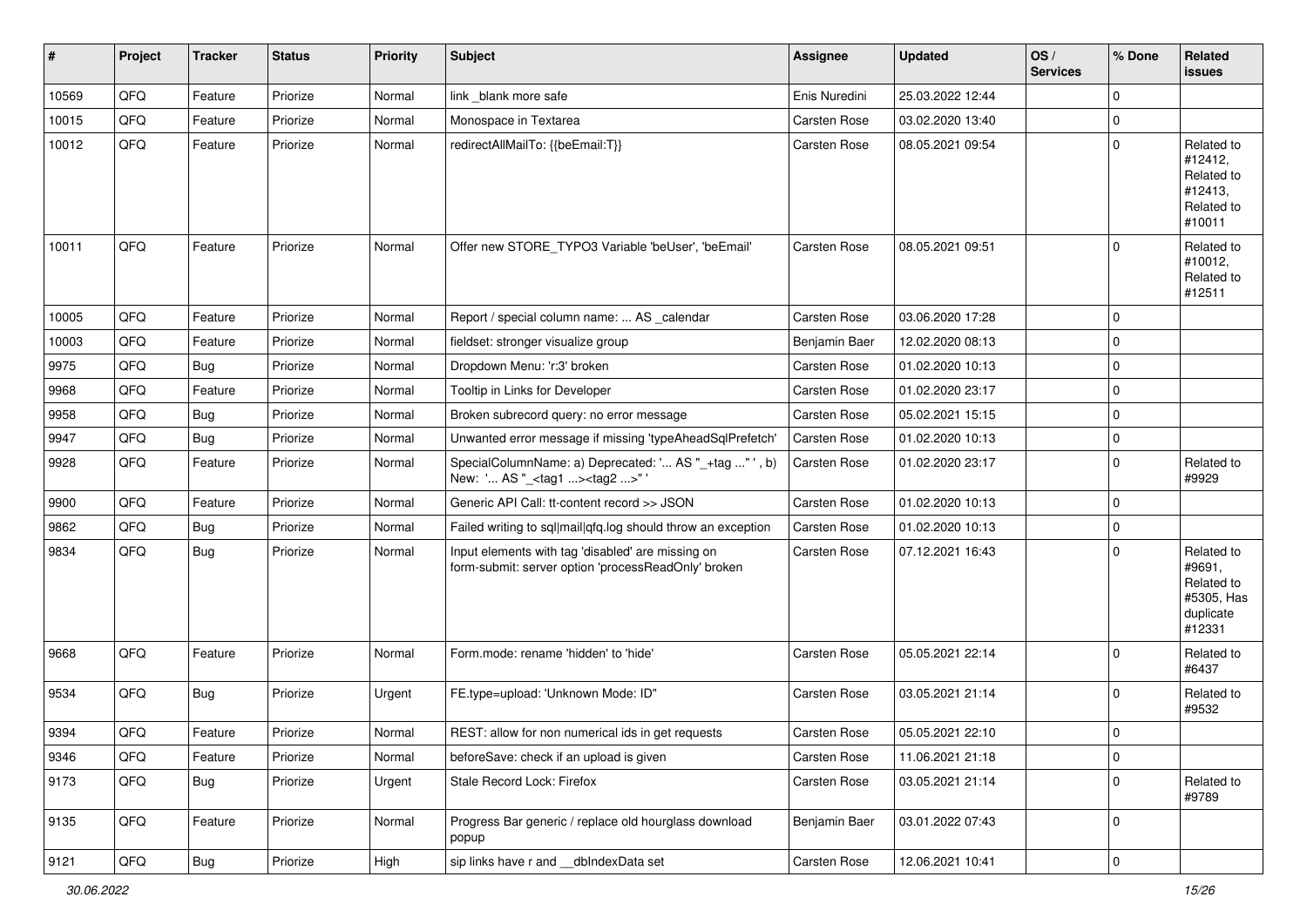| #     | Project        | <b>Tracker</b> | <b>Status</b> | <b>Priority</b> | <b>Subject</b>                                                                                           | Assignee            | <b>Updated</b>   | OS/<br><b>Services</b> | % Done      | Related<br>issues                                                       |
|-------|----------------|----------------|---------------|-----------------|----------------------------------------------------------------------------------------------------------|---------------------|------------------|------------------------|-------------|-------------------------------------------------------------------------|
| 10569 | QFQ            | Feature        | Priorize      | Normal          | link _blank more safe                                                                                    | Enis Nuredini       | 25.03.2022 12:44 |                        | $\mathbf 0$ |                                                                         |
| 10015 | QFQ            | Feature        | Priorize      | Normal          | Monospace in Textarea                                                                                    | Carsten Rose        | 03.02.2020 13:40 |                        | 0           |                                                                         |
| 10012 | QFQ            | Feature        | Priorize      | Normal          | redirectAllMailTo: {{beEmail:T}}                                                                         | Carsten Rose        | 08.05.2021 09:54 |                        | $\Omega$    | Related to<br>#12412,<br>Related to<br>#12413,<br>Related to<br>#10011  |
| 10011 | QFQ            | Feature        | Priorize      | Normal          | Offer new STORE_TYPO3 Variable 'beUser', 'beEmail'                                                       | Carsten Rose        | 08.05.2021 09:51 |                        | $\Omega$    | Related to<br>#10012,<br>Related to<br>#12511                           |
| 10005 | QFQ            | Feature        | Priorize      | Normal          | Report / special column name:  AS _calendar                                                              | Carsten Rose        | 03.06.2020 17:28 |                        | $\mathbf 0$ |                                                                         |
| 10003 | QFQ            | Feature        | Priorize      | Normal          | fieldset: stronger visualize group                                                                       | Benjamin Baer       | 12.02.2020 08:13 |                        | $\Omega$    |                                                                         |
| 9975  | QFQ            | Bug            | Priorize      | Normal          | Dropdown Menu: 'r:3' broken                                                                              | Carsten Rose        | 01.02.2020 10:13 |                        | $\Omega$    |                                                                         |
| 9968  | QFQ            | Feature        | Priorize      | Normal          | Tooltip in Links for Developer                                                                           | Carsten Rose        | 01.02.2020 23:17 |                        | $\mathbf 0$ |                                                                         |
| 9958  | QFQ            | Bug            | Priorize      | Normal          | Broken subrecord query: no error message                                                                 | Carsten Rose        | 05.02.2021 15:15 |                        | $\mathbf 0$ |                                                                         |
| 9947  | QFQ            | <b>Bug</b>     | Priorize      | Normal          | Unwanted error message if missing 'typeAheadSqlPrefetch'                                                 | Carsten Rose        | 01.02.2020 10:13 |                        | $\mathbf 0$ |                                                                         |
| 9928  | QFQ            | Feature        | Priorize      | Normal          | SpecialColumnName: a) Deprecated: ' AS "_+tag " ', b)<br>New: ' AS "_ <tag1><tag2>"</tag2></tag1>        | Carsten Rose        | 01.02.2020 23:17 |                        | $\Omega$    | Related to<br>#9929                                                     |
| 9900  | QFQ            | Feature        | Priorize      | Normal          | Generic API Call: tt-content record >> JSON                                                              | Carsten Rose        | 01.02.2020 10:13 |                        | $\mathbf 0$ |                                                                         |
| 9862  | QFQ            | Bug            | Priorize      | Normal          | Failed writing to sql mail qfq.log should throw an exception                                             | Carsten Rose        | 01.02.2020 10:13 |                        | $\Omega$    |                                                                         |
| 9834  | QFQ            | <b>Bug</b>     | Priorize      | Normal          | Input elements with tag 'disabled' are missing on<br>form-submit: server option 'processReadOnly' broken | Carsten Rose        | 07.12.2021 16:43 |                        | $\Omega$    | Related to<br>#9691,<br>Related to<br>#5305, Has<br>duplicate<br>#12331 |
| 9668  | QFQ            | Feature        | Priorize      | Normal          | Form.mode: rename 'hidden' to 'hide'                                                                     | Carsten Rose        | 05.05.2021 22:14 |                        | $\Omega$    | Related to<br>#6437                                                     |
| 9534  | QFQ            | Bug            | Priorize      | Urgent          | FE.type=upload: 'Unknown Mode: ID"                                                                       | <b>Carsten Rose</b> | 03.05.2021 21:14 |                        | $\mathbf 0$ | Related to<br>#9532                                                     |
| 9394  | QFQ            | Feature        | Priorize      | Normal          | REST: allow for non numerical ids in get requests                                                        | <b>Carsten Rose</b> | 05.05.2021 22:10 |                        | $\mathbf 0$ |                                                                         |
| 9346  | QFQ            | Feature        | Priorize      | Normal          | beforeSave: check if an upload is given                                                                  | Carsten Rose        | 11.06.2021 21:18 |                        | 0           |                                                                         |
| 9173  | QFQ            | Bug            | Priorize      | Urgent          | Stale Record Lock: Firefox                                                                               | Carsten Rose        | 03.05.2021 21:14 |                        | 0           | Related to<br>#9789                                                     |
| 9135  | QFQ            | Feature        | Priorize      | Normal          | Progress Bar generic / replace old hourglass download<br>popup                                           | Benjamin Baer       | 03.01.2022 07:43 |                        | $\mathbf 0$ |                                                                         |
| 9121  | $\mathsf{QFQ}$ | Bug            | Priorize      | High            | sip links have r and __dbIndexData set                                                                   | Carsten Rose        | 12.06.2021 10:41 |                        | $\pmb{0}$   |                                                                         |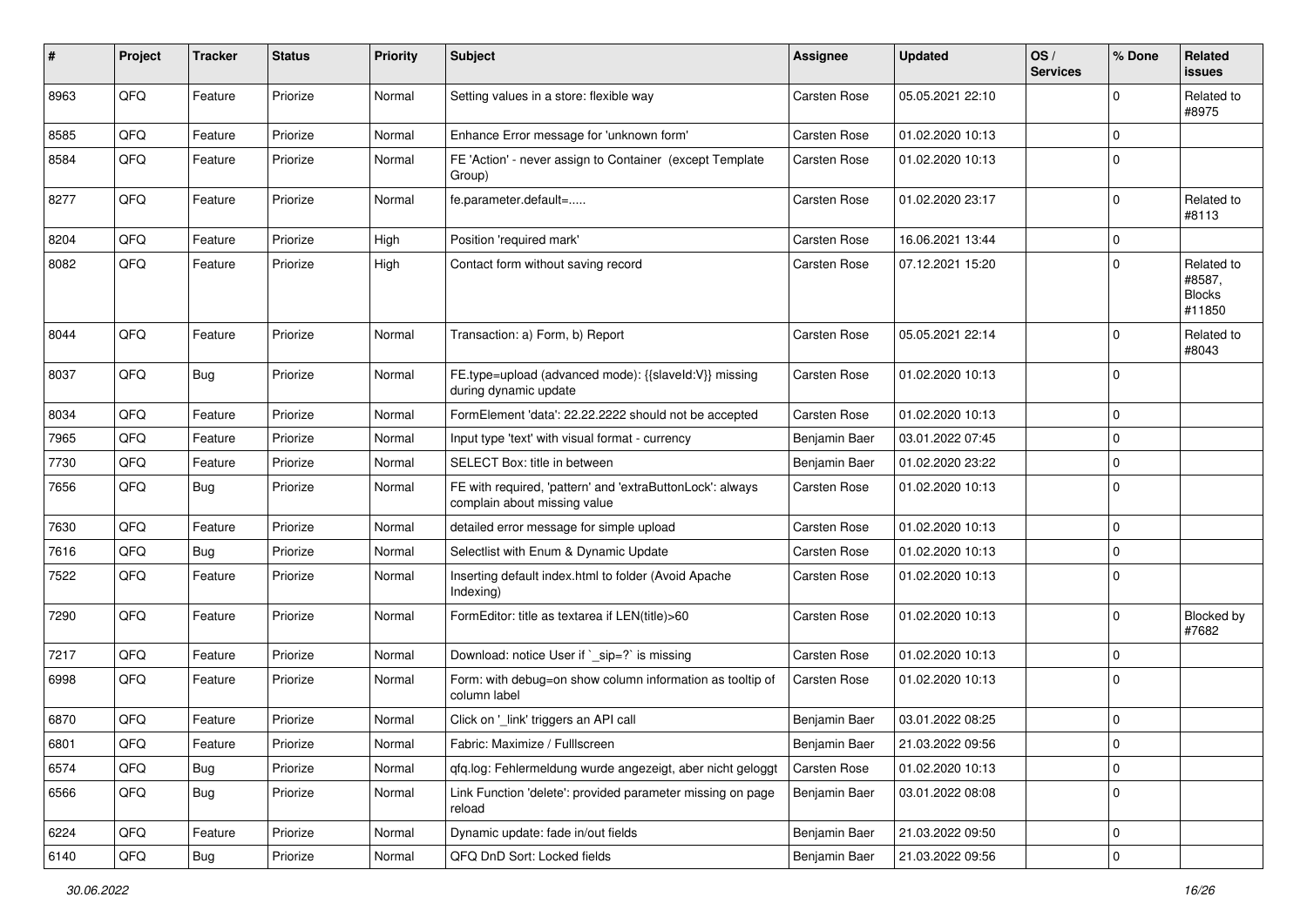| $\#$ | Project | <b>Tracker</b> | <b>Status</b> | <b>Priority</b> | <b>Subject</b>                                                                            | <b>Assignee</b>     | <b>Updated</b>   | OS/<br><b>Services</b> | % Done      | Related<br>issues                               |
|------|---------|----------------|---------------|-----------------|-------------------------------------------------------------------------------------------|---------------------|------------------|------------------------|-------------|-------------------------------------------------|
| 8963 | QFQ     | Feature        | Priorize      | Normal          | Setting values in a store: flexible way                                                   | Carsten Rose        | 05.05.2021 22:10 |                        | $\Omega$    | Related to<br>#8975                             |
| 8585 | QFQ     | Feature        | Priorize      | Normal          | Enhance Error message for 'unknown form'                                                  | Carsten Rose        | 01.02.2020 10:13 |                        | $\mathbf 0$ |                                                 |
| 8584 | QFQ     | Feature        | Priorize      | Normal          | FE 'Action' - never assign to Container (except Template<br>Group)                        | <b>Carsten Rose</b> | 01.02.2020 10:13 |                        | $\Omega$    |                                                 |
| 8277 | QFQ     | Feature        | Priorize      | Normal          | fe.parameter.default=                                                                     | <b>Carsten Rose</b> | 01.02.2020 23:17 |                        | $\mathbf 0$ | Related to<br>#8113                             |
| 8204 | QFQ     | Feature        | Priorize      | High            | Position 'required mark'                                                                  | <b>Carsten Rose</b> | 16.06.2021 13:44 |                        | $\Omega$    |                                                 |
| 8082 | QFQ     | Feature        | Priorize      | High            | Contact form without saving record                                                        | <b>Carsten Rose</b> | 07.12.2021 15:20 |                        | $\Omega$    | Related to<br>#8587,<br><b>Blocks</b><br>#11850 |
| 8044 | QFQ     | Feature        | Priorize      | Normal          | Transaction: a) Form, b) Report                                                           | <b>Carsten Rose</b> | 05.05.2021 22:14 |                        | $\mathbf 0$ | Related to<br>#8043                             |
| 8037 | QFQ     | <b>Bug</b>     | Priorize      | Normal          | FE.type=upload (advanced mode): {{slaveId:V}} missing<br>during dynamic update            | Carsten Rose        | 01.02.2020 10:13 |                        | $\mathbf 0$ |                                                 |
| 8034 | QFQ     | Feature        | Priorize      | Normal          | FormElement 'data': 22.22.2222 should not be accepted                                     | <b>Carsten Rose</b> | 01.02.2020 10:13 |                        | $\mathbf 0$ |                                                 |
| 7965 | QFQ     | Feature        | Priorize      | Normal          | Input type 'text' with visual format - currency                                           | Benjamin Baer       | 03.01.2022 07:45 |                        | $\Omega$    |                                                 |
| 7730 | QFQ     | Feature        | Priorize      | Normal          | SELECT Box: title in between                                                              | Benjamin Baer       | 01.02.2020 23:22 |                        | $\mathbf 0$ |                                                 |
| 7656 | QFQ     | <b>Bug</b>     | Priorize      | Normal          | FE with required, 'pattern' and 'extraButtonLock': always<br>complain about missing value | <b>Carsten Rose</b> | 01.02.2020 10:13 |                        | 0           |                                                 |
| 7630 | QFQ     | Feature        | Priorize      | Normal          | detailed error message for simple upload                                                  | <b>Carsten Rose</b> | 01.02.2020 10:13 |                        | $\Omega$    |                                                 |
| 7616 | QFQ     | <b>Bug</b>     | Priorize      | Normal          | Selectlist with Enum & Dynamic Update                                                     | <b>Carsten Rose</b> | 01.02.2020 10:13 |                        | $\Omega$    |                                                 |
| 7522 | QFQ     | Feature        | Priorize      | Normal          | Inserting default index.html to folder (Avoid Apache<br>Indexing)                         | <b>Carsten Rose</b> | 01.02.2020 10:13 |                        | $\Omega$    |                                                 |
| 7290 | QFQ     | Feature        | Priorize      | Normal          | FormEditor: title as textarea if LEN(title)>60                                            | <b>Carsten Rose</b> | 01.02.2020 10:13 |                        | $\mathbf 0$ | Blocked by<br>#7682                             |
| 7217 | QFQ     | Feature        | Priorize      | Normal          | Download: notice User if `_sip=?` is missing                                              | <b>Carsten Rose</b> | 01.02.2020 10:13 |                        | $\mathbf 0$ |                                                 |
| 6998 | QFQ     | Feature        | Priorize      | Normal          | Form: with debug=on show column information as tooltip of<br>column label                 | Carsten Rose        | 01.02.2020 10:13 |                        | $\Omega$    |                                                 |
| 6870 | QFQ     | Feature        | Priorize      | Normal          | Click on '_link' triggers an API call                                                     | Benjamin Baer       | 03.01.2022 08:25 |                        | $\mathbf 0$ |                                                 |
| 6801 | QFQ     | Feature        | Priorize      | Normal          | Fabric: Maximize / FullIscreen                                                            | Benjamin Baer       | 21.03.2022 09:56 |                        | 0           |                                                 |
| 6574 | QFQ     | <b>Bug</b>     | Priorize      | Normal          | qfq.log: Fehlermeldung wurde angezeigt, aber nicht geloggt                                | Carsten Rose        | 01.02.2020 10:13 |                        | $\mathbf 0$ |                                                 |
| 6566 | QFQ     | <b>Bug</b>     | Priorize      | Normal          | Link Function 'delete': provided parameter missing on page<br>reload                      | Benjamin Baer       | 03.01.2022 08:08 |                        | $\mathbf 0$ |                                                 |
| 6224 | QFQ     | Feature        | Priorize      | Normal          | Dynamic update: fade in/out fields                                                        | Benjamin Baer       | 21.03.2022 09:50 |                        | $\mathbf 0$ |                                                 |
| 6140 | QFQ     | <b>Bug</b>     | Priorize      | Normal          | QFQ DnD Sort: Locked fields                                                               | Benjamin Baer       | 21.03.2022 09:56 |                        | 0           |                                                 |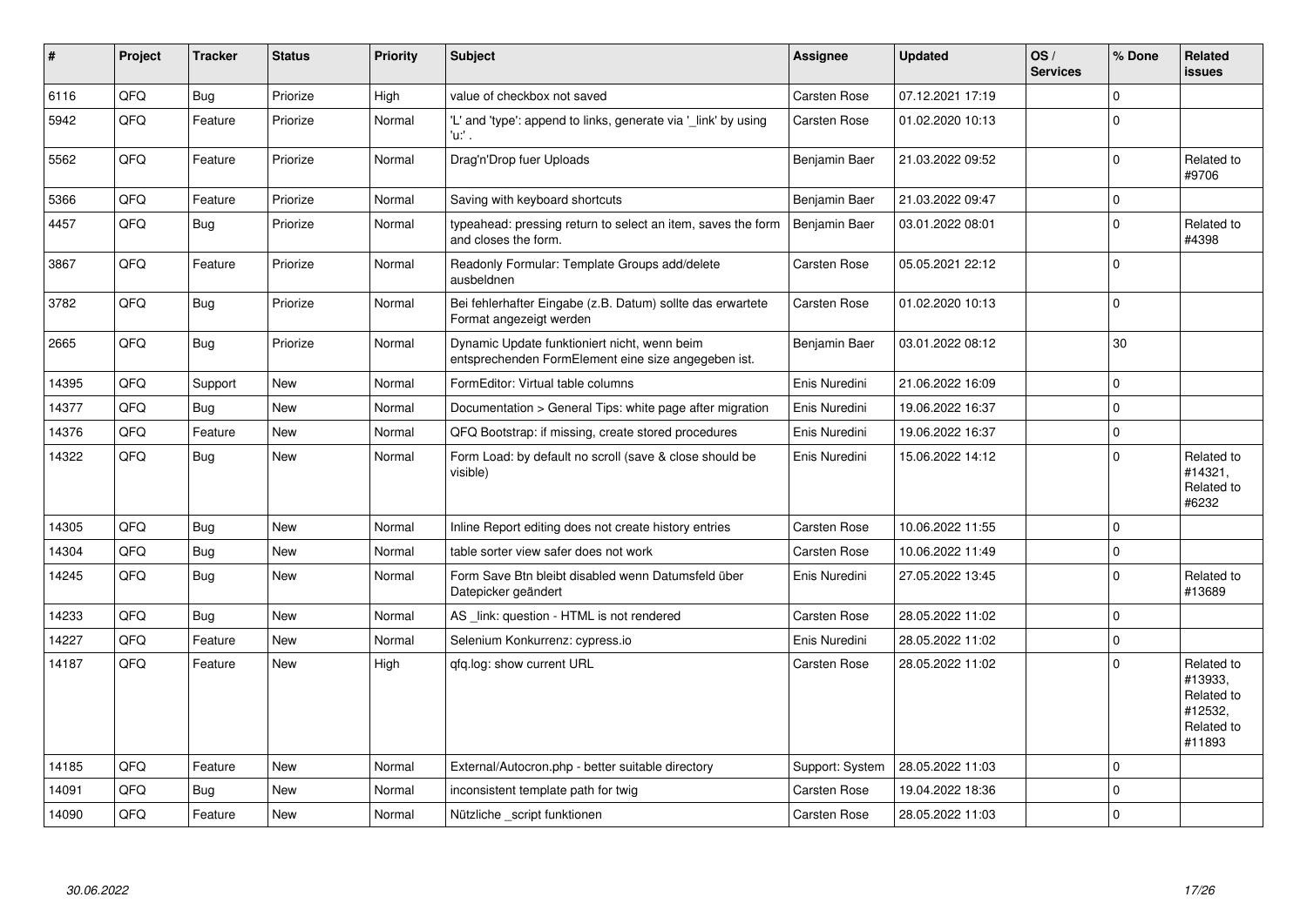| #     | Project | <b>Tracker</b> | <b>Status</b> | Priority | <b>Subject</b>                                                                                      | <b>Assignee</b>     | <b>Updated</b>   | OS/<br><b>Services</b> | % Done       | Related<br><b>issues</b>                                               |
|-------|---------|----------------|---------------|----------|-----------------------------------------------------------------------------------------------------|---------------------|------------------|------------------------|--------------|------------------------------------------------------------------------|
| 6116  | QFQ     | <b>Bug</b>     | Priorize      | High     | value of checkbox not saved                                                                         | <b>Carsten Rose</b> | 07.12.2021 17:19 |                        | $\mathbf{0}$ |                                                                        |
| 5942  | QFQ     | Feature        | Priorize      | Normal   | 'L' and 'type': append to links, generate via '_link' by using<br>'u:' .                            | <b>Carsten Rose</b> | 01.02.2020 10:13 |                        | $\mathbf 0$  |                                                                        |
| 5562  | QFQ     | Feature        | Priorize      | Normal   | Drag'n'Drop fuer Uploads                                                                            | Benjamin Baer       | 21.03.2022 09:52 |                        | $\Omega$     | Related to<br>#9706                                                    |
| 5366  | QFQ     | Feature        | Priorize      | Normal   | Saving with keyboard shortcuts                                                                      | Benjamin Baer       | 21.03.2022 09:47 |                        | $\mathbf 0$  |                                                                        |
| 4457  | QFQ     | <b>Bug</b>     | Priorize      | Normal   | typeahead: pressing return to select an item, saves the form<br>and closes the form.                | Benjamin Baer       | 03.01.2022 08:01 |                        | $\mathbf 0$  | Related to<br>#4398                                                    |
| 3867  | QFQ     | Feature        | Priorize      | Normal   | Readonly Formular: Template Groups add/delete<br>ausbeldnen                                         | <b>Carsten Rose</b> | 05.05.2021 22:12 |                        | $\Omega$     |                                                                        |
| 3782  | QFQ     | <b>Bug</b>     | Priorize      | Normal   | Bei fehlerhafter Eingabe (z.B. Datum) sollte das erwartete<br>Format angezeigt werden               | <b>Carsten Rose</b> | 01.02.2020 10:13 |                        | $\mathbf 0$  |                                                                        |
| 2665  | QFQ     | <b>Bug</b>     | Priorize      | Normal   | Dynamic Update funktioniert nicht, wenn beim<br>entsprechenden FormElement eine size angegeben ist. | Benjamin Baer       | 03.01.2022 08:12 |                        | 30           |                                                                        |
| 14395 | QFQ     | Support        | <b>New</b>    | Normal   | FormEditor: Virtual table columns                                                                   | Enis Nuredini       | 21.06.2022 16:09 |                        | $\pmb{0}$    |                                                                        |
| 14377 | QFQ     | Bug            | <b>New</b>    | Normal   | Documentation > General Tips: white page after migration                                            | Enis Nuredini       | 19.06.2022 16:37 |                        | $\mathbf 0$  |                                                                        |
| 14376 | QFQ     | Feature        | New           | Normal   | QFQ Bootstrap: if missing, create stored procedures                                                 | Enis Nuredini       | 19.06.2022 16:37 |                        | $\mathbf 0$  |                                                                        |
| 14322 | QFQ     | <b>Bug</b>     | New           | Normal   | Form Load: by default no scroll (save & close should be<br>visible)                                 | Enis Nuredini       | 15.06.2022 14:12 |                        | $\Omega$     | Related to<br>#14321,<br>Related to<br>#6232                           |
| 14305 | QFQ     | <b>Bug</b>     | <b>New</b>    | Normal   | Inline Report editing does not create history entries                                               | <b>Carsten Rose</b> | 10.06.2022 11:55 |                        | $\mathbf 0$  |                                                                        |
| 14304 | QFQ     | <b>Bug</b>     | New           | Normal   | table sorter view safer does not work                                                               | <b>Carsten Rose</b> | 10.06.2022 11:49 |                        | $\mathbf 0$  |                                                                        |
| 14245 | QFQ     | <b>Bug</b>     | New           | Normal   | Form Save Btn bleibt disabled wenn Datumsfeld über<br>Datepicker geändert                           | Enis Nuredini       | 27.05.2022 13:45 |                        | $\mathbf 0$  | Related to<br>#13689                                                   |
| 14233 | QFQ     | Bug            | <b>New</b>    | Normal   | AS link: question - HTML is not rendered                                                            | <b>Carsten Rose</b> | 28.05.2022 11:02 |                        | $\mathbf 0$  |                                                                        |
| 14227 | QFQ     | Feature        | New           | Normal   | Selenium Konkurrenz: cypress.io                                                                     | Enis Nuredini       | 28.05.2022 11:02 |                        | $\mathbf 0$  |                                                                        |
| 14187 | QFQ     | Feature        | New           | High     | gfg.log: show current URL                                                                           | <b>Carsten Rose</b> | 28.05.2022 11:02 |                        | $\mathbf 0$  | Related to<br>#13933.<br>Related to<br>#12532,<br>Related to<br>#11893 |
| 14185 | QFQ     | Feature        | New           | Normal   | External/Autocron.php - better suitable directory                                                   | Support: System     | 28.05.2022 11:03 |                        | $\mathbf 0$  |                                                                        |
| 14091 | QFQ     | Bug            | New           | Normal   | inconsistent template path for twig                                                                 | <b>Carsten Rose</b> | 19.04.2022 18:36 |                        | $\mathbf 0$  |                                                                        |
| 14090 | QFQ     | Feature        | New           | Normal   | Nützliche script funktionen                                                                         | <b>Carsten Rose</b> | 28.05.2022 11:03 |                        | $\mathbf 0$  |                                                                        |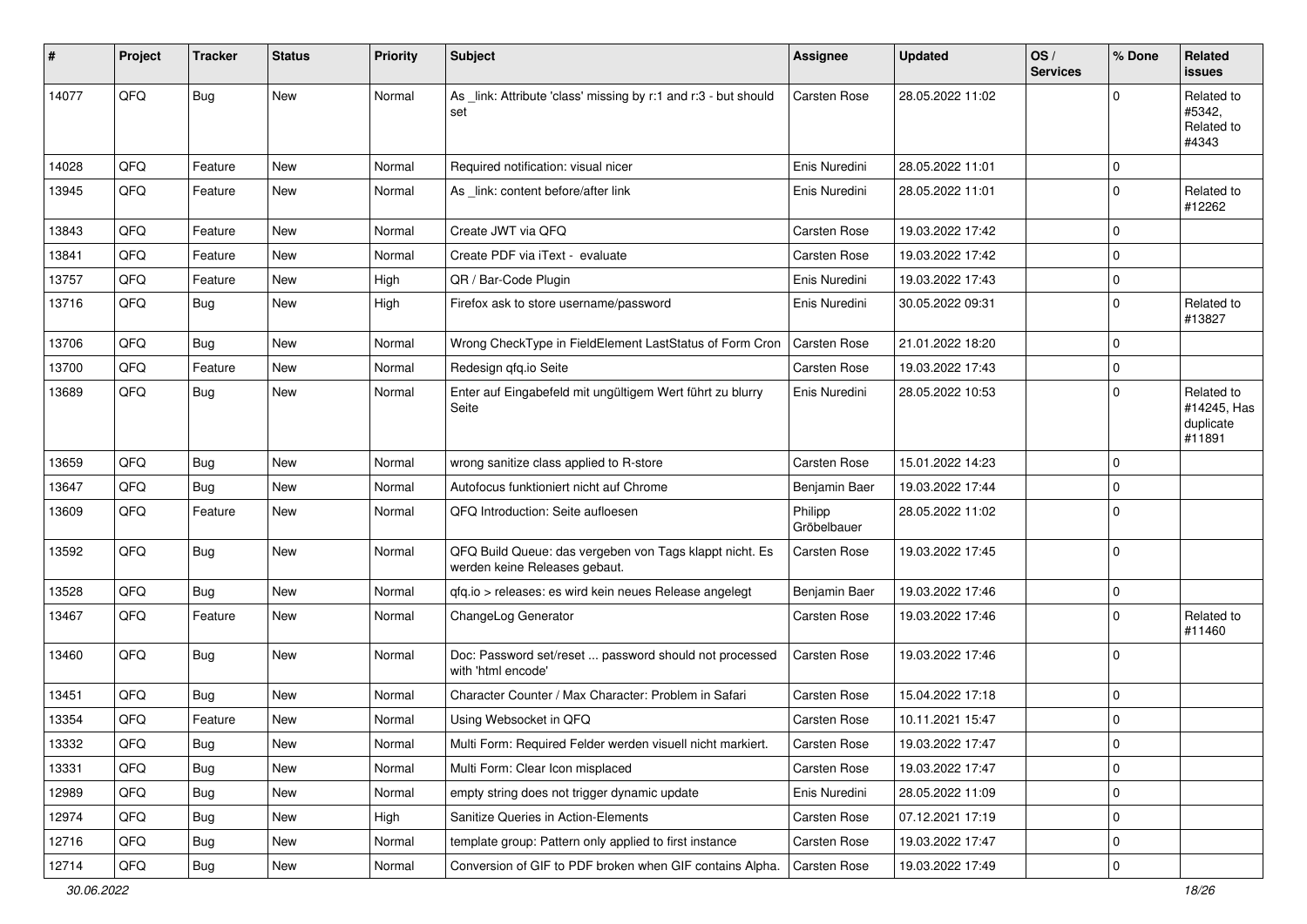| ∦     | Project | <b>Tracker</b> | <b>Status</b> | Priority | Subject                                                                                  | <b>Assignee</b>        | <b>Updated</b>   | OS/<br><b>Services</b> | % Done      | Related<br>issues                                |
|-------|---------|----------------|---------------|----------|------------------------------------------------------------------------------------------|------------------------|------------------|------------------------|-------------|--------------------------------------------------|
| 14077 | QFQ     | <b>Bug</b>     | New           | Normal   | As _link: Attribute 'class' missing by r:1 and r:3 - but should<br>set                   | Carsten Rose           | 28.05.2022 11:02 |                        | $\Omega$    | Related to<br>#5342.<br>Related to<br>#4343      |
| 14028 | QFQ     | Feature        | <b>New</b>    | Normal   | Required notification: visual nicer                                                      | Enis Nuredini          | 28.05.2022 11:01 |                        | $\mathbf 0$ |                                                  |
| 13945 | QFQ     | Feature        | New           | Normal   | As _link: content before/after link                                                      | Enis Nuredini          | 28.05.2022 11:01 |                        | $\mathbf 0$ | Related to<br>#12262                             |
| 13843 | QFQ     | Feature        | <b>New</b>    | Normal   | Create JWT via QFQ                                                                       | <b>Carsten Rose</b>    | 19.03.2022 17:42 |                        | $\Omega$    |                                                  |
| 13841 | QFQ     | Feature        | <b>New</b>    | Normal   | Create PDF via iText - evaluate                                                          | <b>Carsten Rose</b>    | 19.03.2022 17:42 |                        | $\mathbf 0$ |                                                  |
| 13757 | QFQ     | Feature        | New           | High     | QR / Bar-Code Plugin                                                                     | Enis Nuredini          | 19.03.2022 17:43 |                        | $\mathbf 0$ |                                                  |
| 13716 | QFQ     | <b>Bug</b>     | New           | High     | Firefox ask to store username/password                                                   | Enis Nuredini          | 30.05.2022 09:31 |                        | $\Omega$    | Related to<br>#13827                             |
| 13706 | QFQ     | <b>Bug</b>     | <b>New</b>    | Normal   | Wrong CheckType in FieldElement LastStatus of Form Cron                                  | <b>Carsten Rose</b>    | 21.01.2022 18:20 |                        | $\mathbf 0$ |                                                  |
| 13700 | QFQ     | Feature        | New           | Normal   | Redesign qfq.io Seite                                                                    | Carsten Rose           | 19.03.2022 17:43 |                        | $\mathbf 0$ |                                                  |
| 13689 | QFQ     | <b>Bug</b>     | <b>New</b>    | Normal   | Enter auf Eingabefeld mit ungültigem Wert führt zu blurry<br>Seite                       | Enis Nuredini          | 28.05.2022 10:53 |                        | $\Omega$    | Related to<br>#14245, Has<br>duplicate<br>#11891 |
| 13659 | QFQ     | <b>Bug</b>     | New           | Normal   | wrong sanitize class applied to R-store                                                  | <b>Carsten Rose</b>    | 15.01.2022 14:23 |                        | $\Omega$    |                                                  |
| 13647 | QFQ     | <b>Bug</b>     | <b>New</b>    | Normal   | Autofocus funktioniert nicht auf Chrome                                                  | Benjamin Baer          | 19.03.2022 17:44 |                        | $\mathbf 0$ |                                                  |
| 13609 | QFQ     | Feature        | New           | Normal   | QFQ Introduction: Seite aufloesen                                                        | Philipp<br>Gröbelbauer | 28.05.2022 11:02 |                        | $\mathbf 0$ |                                                  |
| 13592 | QFQ     | <b>Bug</b>     | New           | Normal   | QFQ Build Queue: das vergeben von Tags klappt nicht. Es<br>werden keine Releases gebaut. | Carsten Rose           | 19.03.2022 17:45 |                        | $\Omega$    |                                                  |
| 13528 | QFQ     | <b>Bug</b>     | <b>New</b>    | Normal   | qfq.io > releases: es wird kein neues Release angelegt                                   | Benjamin Baer          | 19.03.2022 17:46 |                        | $\mathbf 0$ |                                                  |
| 13467 | QFQ     | Feature        | <b>New</b>    | Normal   | ChangeLog Generator                                                                      | <b>Carsten Rose</b>    | 19.03.2022 17:46 |                        | $\Omega$    | Related to<br>#11460                             |
| 13460 | QFQ     | <b>Bug</b>     | <b>New</b>    | Normal   | Doc: Password set/reset  password should not processed<br>with 'html encode'             | Carsten Rose           | 19.03.2022 17:46 |                        | $\mathbf 0$ |                                                  |
| 13451 | QFQ     | <b>Bug</b>     | <b>New</b>    | Normal   | Character Counter / Max Character: Problem in Safari                                     | <b>Carsten Rose</b>    | 15.04.2022 17:18 |                        | $\Omega$    |                                                  |
| 13354 | QFQ     | Feature        | New           | Normal   | Using Websocket in QFQ                                                                   | <b>Carsten Rose</b>    | 10.11.2021 15:47 |                        | $\mathbf 0$ |                                                  |
| 13332 | QFQ     | <b>Bug</b>     | <b>New</b>    | Normal   | Multi Form: Required Felder werden visuell nicht markiert.                               | Carsten Rose           | 19.03.2022 17:47 |                        | 0           |                                                  |
| 13331 | QFQ     | <b>Bug</b>     | New           | Normal   | Multi Form: Clear Icon misplaced                                                         | Carsten Rose           | 19.03.2022 17:47 |                        | $\mathbf 0$ |                                                  |
| 12989 | QFQ     | <b>Bug</b>     | New           | Normal   | empty string does not trigger dynamic update                                             | Enis Nuredini          | 28.05.2022 11:09 |                        | 0           |                                                  |
| 12974 | QFQ     | <b>Bug</b>     | New           | High     | Sanitize Queries in Action-Elements                                                      | Carsten Rose           | 07.12.2021 17:19 |                        | 0           |                                                  |
| 12716 | QFQ     | <b>Bug</b>     | New           | Normal   | template group: Pattern only applied to first instance                                   | Carsten Rose           | 19.03.2022 17:47 |                        | 0           |                                                  |
| 12714 | QFG     | Bug            | New           | Normal   | Conversion of GIF to PDF broken when GIF contains Alpha.                                 | Carsten Rose           | 19.03.2022 17:49 |                        | $\mathbf 0$ |                                                  |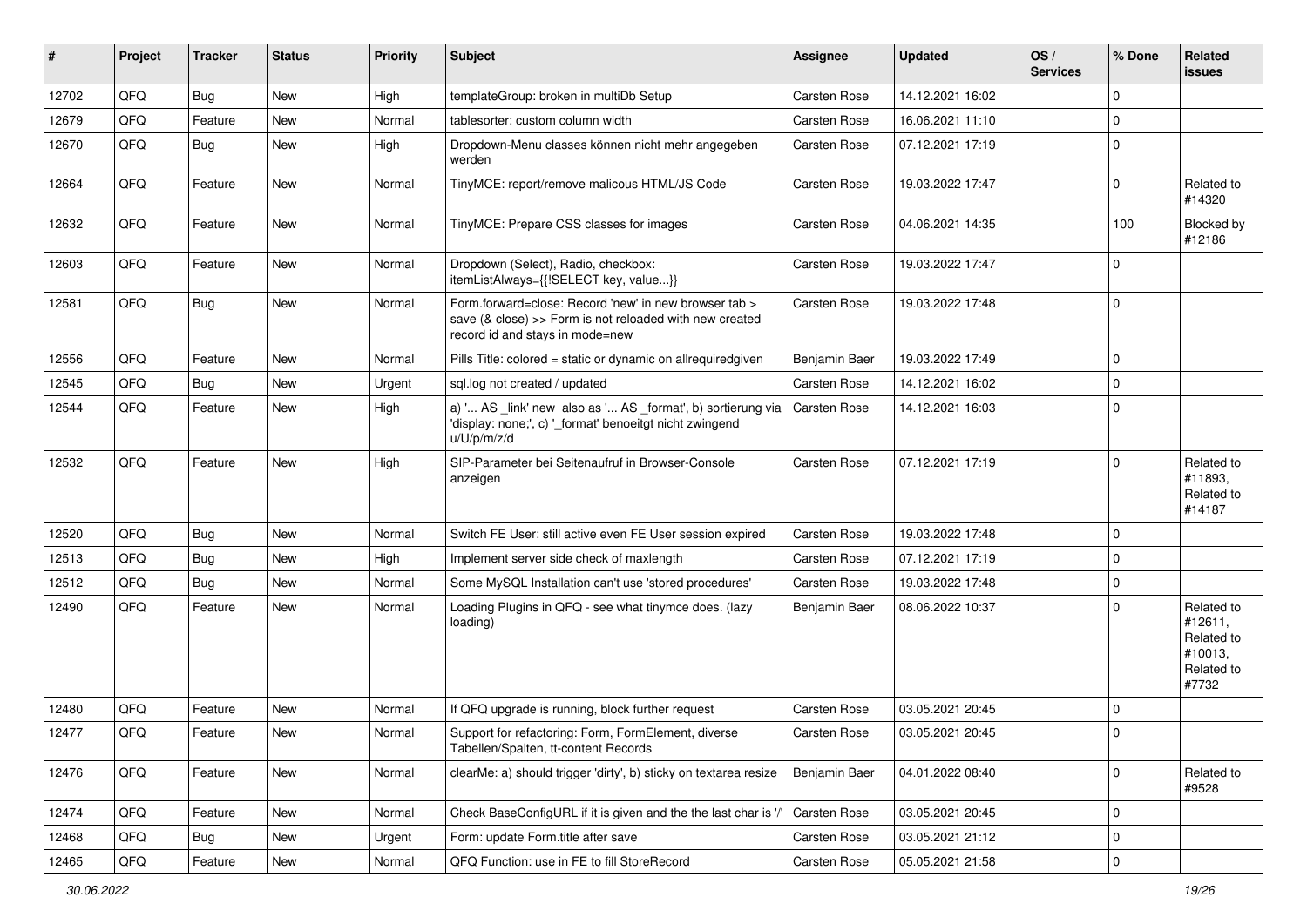| #     | Project | <b>Tracker</b> | <b>Status</b> | <b>Priority</b> | Subject                                                                                                                                             | <b>Assignee</b>     | <b>Updated</b>   | OS/<br><b>Services</b> | % Done      | Related<br>issues                                                     |
|-------|---------|----------------|---------------|-----------------|-----------------------------------------------------------------------------------------------------------------------------------------------------|---------------------|------------------|------------------------|-------------|-----------------------------------------------------------------------|
| 12702 | QFQ     | Bug            | New           | High            | templateGroup: broken in multiDb Setup                                                                                                              | <b>Carsten Rose</b> | 14.12.2021 16:02 |                        | $\Omega$    |                                                                       |
| 12679 | QFQ     | Feature        | New           | Normal          | tablesorter: custom column width                                                                                                                    | <b>Carsten Rose</b> | 16.06.2021 11:10 |                        | $\mathbf 0$ |                                                                       |
| 12670 | QFQ     | <b>Bug</b>     | New           | High            | Dropdown-Menu classes können nicht mehr angegeben<br>werden                                                                                         | <b>Carsten Rose</b> | 07.12.2021 17:19 |                        | $\mathbf 0$ |                                                                       |
| 12664 | QFQ     | Feature        | New           | Normal          | TinyMCE: report/remove malicous HTML/JS Code                                                                                                        | Carsten Rose        | 19.03.2022 17:47 |                        | $\mathbf 0$ | Related to<br>#14320                                                  |
| 12632 | QFQ     | Feature        | New           | Normal          | TinyMCE: Prepare CSS classes for images                                                                                                             | <b>Carsten Rose</b> | 04.06.2021 14:35 |                        | 100         | Blocked by<br>#12186                                                  |
| 12603 | QFQ     | Feature        | <b>New</b>    | Normal          | Dropdown (Select), Radio, checkbox:<br>itemListAlways={{!SELECT key, value}}                                                                        | <b>Carsten Rose</b> | 19.03.2022 17:47 |                        | $\mathbf 0$ |                                                                       |
| 12581 | QFQ     | <b>Bug</b>     | New           | Normal          | Form.forward=close: Record 'new' in new browser tab ><br>save (& close) >> Form is not reloaded with new created<br>record id and stays in mode=new | <b>Carsten Rose</b> | 19.03.2022 17:48 |                        | $\mathbf 0$ |                                                                       |
| 12556 | QFQ     | Feature        | New           | Normal          | Pills Title: colored = static or dynamic on allrequiredgiven                                                                                        | Benjamin Baer       | 19.03.2022 17:49 |                        | $\mathbf 0$ |                                                                       |
| 12545 | QFQ     | Bug            | New           | Urgent          | sql.log not created / updated                                                                                                                       | <b>Carsten Rose</b> | 14.12.2021 16:02 |                        | $\mathbf 0$ |                                                                       |
| 12544 | QFQ     | Feature        | New           | High            | a) ' AS _link' new also as ' AS _format', b) sortierung via<br>'display: none;', c) '_format' benoeitgt nicht zwingend<br>u/U/p/m/z/d               | <b>Carsten Rose</b> | 14.12.2021 16:03 |                        | $\mathbf 0$ |                                                                       |
| 12532 | QFQ     | Feature        | New           | High            | SIP-Parameter bei Seitenaufruf in Browser-Console<br>anzeigen                                                                                       | <b>Carsten Rose</b> | 07.12.2021 17:19 |                        | $\Omega$    | Related to<br>#11893.<br>Related to<br>#14187                         |
| 12520 | QFQ     | <b>Bug</b>     | <b>New</b>    | Normal          | Switch FE User: still active even FE User session expired                                                                                           | <b>Carsten Rose</b> | 19.03.2022 17:48 |                        | $\mathbf 0$ |                                                                       |
| 12513 | QFQ     | Bug            | New           | High            | Implement server side check of maxlength                                                                                                            | <b>Carsten Rose</b> | 07.12.2021 17:19 |                        | $\mathbf 0$ |                                                                       |
| 12512 | QFQ     | <b>Bug</b>     | New           | Normal          | Some MySQL Installation can't use 'stored procedures'                                                                                               | <b>Carsten Rose</b> | 19.03.2022 17:48 |                        | $\mathbf 0$ |                                                                       |
| 12490 | QFQ     | Feature        | New           | Normal          | Loading Plugins in QFQ - see what tinymce does. (lazy<br>loading)                                                                                   | Benjamin Baer       | 08.06.2022 10:37 |                        | $\Omega$    | Related to<br>#12611,<br>Related to<br>#10013,<br>Related to<br>#7732 |
| 12480 | QFQ     | Feature        | <b>New</b>    | Normal          | If QFQ upgrade is running, block further request                                                                                                    | <b>Carsten Rose</b> | 03.05.2021 20:45 |                        | $\mathbf 0$ |                                                                       |
| 12477 | QFQ     | Feature        | New           | Normal          | Support for refactoring: Form, FormElement, diverse<br>Tabellen/Spalten, tt-content Records                                                         | <b>Carsten Rose</b> | 03.05.2021 20:45 |                        | $\Omega$    |                                                                       |
| 12476 | QFQ     | Feature        | New           | Normal          | clearMe: a) should trigger 'dirty', b) sticky on textarea resize                                                                                    | Benjamin Baer       | 04.01.2022 08:40 |                        | $\mathbf 0$ | Related to<br>#9528                                                   |
| 12474 | QFQ     | Feature        | New           | Normal          | Check BaseConfigURL if it is given and the the last char is '/                                                                                      | Carsten Rose        | 03.05.2021 20:45 |                        | $\mathbf 0$ |                                                                       |
| 12468 | QFQ     | <b>Bug</b>     | New           | Urgent          | Form: update Form.title after save                                                                                                                  | Carsten Rose        | 03.05.2021 21:12 |                        | $\mathbf 0$ |                                                                       |
| 12465 | QFG     | Feature        | New           | Normal          | QFQ Function: use in FE to fill StoreRecord                                                                                                         | Carsten Rose        | 05.05.2021 21:58 |                        | $\mathbf 0$ |                                                                       |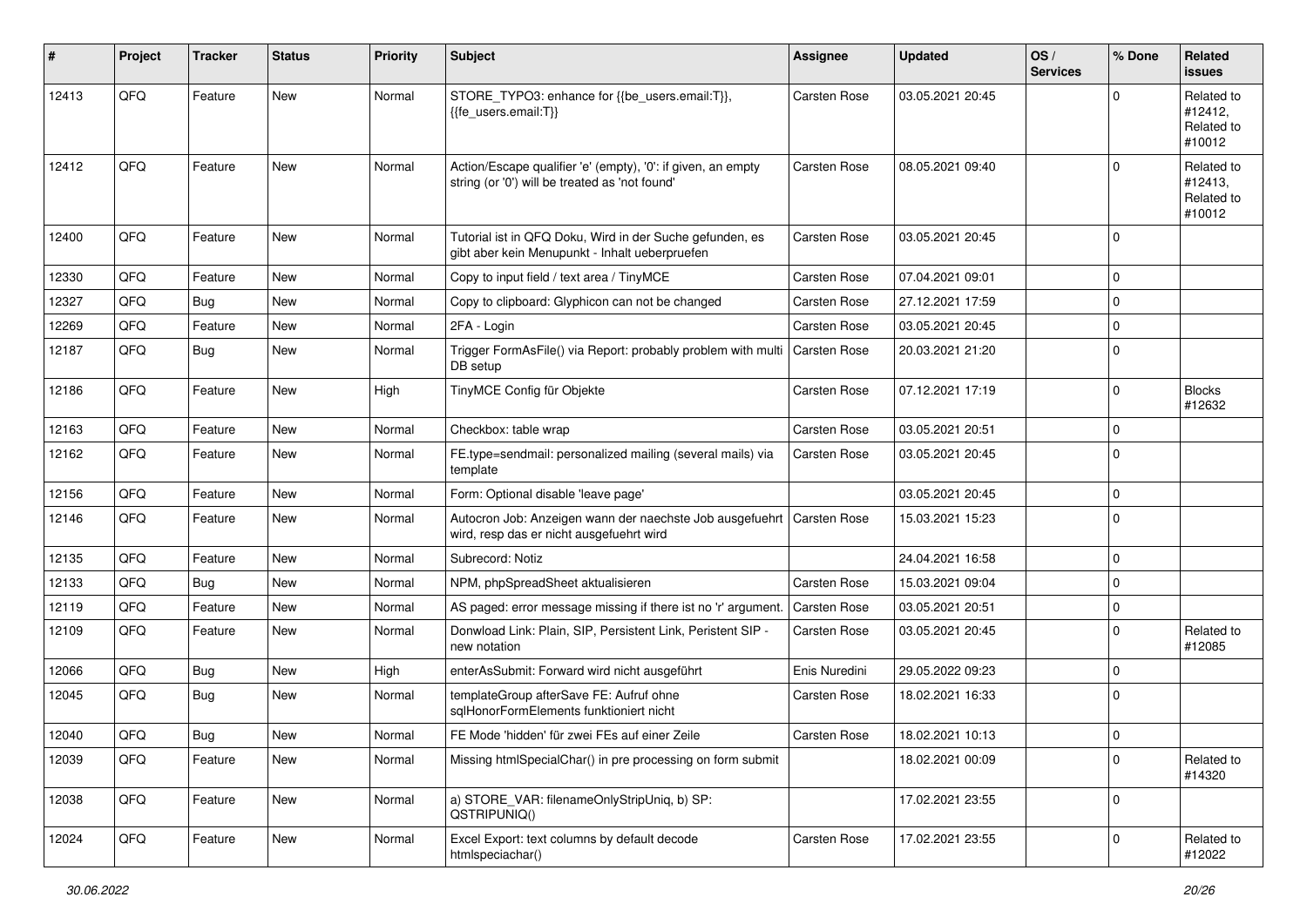| #     | Project | <b>Tracker</b> | <b>Status</b> | <b>Priority</b> | <b>Subject</b>                                                                                                 | <b>Assignee</b>     | <b>Updated</b>   | OS/<br><b>Services</b> | % Done      | Related<br>issues                             |
|-------|---------|----------------|---------------|-----------------|----------------------------------------------------------------------------------------------------------------|---------------------|------------------|------------------------|-------------|-----------------------------------------------|
| 12413 | QFQ     | Feature        | New           | Normal          | STORE_TYPO3: enhance for {{be_users.email:T}},<br>{{fe users.email:T}}                                         | <b>Carsten Rose</b> | 03.05.2021 20:45 |                        | $\Omega$    | Related to<br>#12412,<br>Related to<br>#10012 |
| 12412 | QFQ     | Feature        | <b>New</b>    | Normal          | Action/Escape qualifier 'e' (empty), '0': if given, an empty<br>string (or '0') will be treated as 'not found' | <b>Carsten Rose</b> | 08.05.2021 09:40 |                        | $\Omega$    | Related to<br>#12413,<br>Related to<br>#10012 |
| 12400 | QFQ     | Feature        | <b>New</b>    | Normal          | Tutorial ist in QFQ Doku, Wird in der Suche gefunden, es<br>gibt aber kein Menupunkt - Inhalt ueberpruefen     | <b>Carsten Rose</b> | 03.05.2021 20:45 |                        | $\mathbf 0$ |                                               |
| 12330 | QFQ     | Feature        | New           | Normal          | Copy to input field / text area / TinyMCE                                                                      | <b>Carsten Rose</b> | 07.04.2021 09:01 |                        | $\Omega$    |                                               |
| 12327 | QFQ     | <b>Bug</b>     | <b>New</b>    | Normal          | Copy to clipboard: Glyphicon can not be changed                                                                | Carsten Rose        | 27.12.2021 17:59 |                        | $\mathbf 0$ |                                               |
| 12269 | QFQ     | Feature        | <b>New</b>    | Normal          | 2FA - Login                                                                                                    | <b>Carsten Rose</b> | 03.05.2021 20:45 |                        | $\mathbf 0$ |                                               |
| 12187 | QFQ     | <b>Bug</b>     | New           | Normal          | Trigger FormAsFile() via Report: probably problem with multi<br>DB setup                                       | Carsten Rose        | 20.03.2021 21:20 |                        | $\mathbf 0$ |                                               |
| 12186 | QFQ     | Feature        | <b>New</b>    | High            | TinyMCE Config für Objekte                                                                                     | Carsten Rose        | 07.12.2021 17:19 |                        | $\Omega$    | <b>Blocks</b><br>#12632                       |
| 12163 | QFQ     | Feature        | <b>New</b>    | Normal          | Checkbox: table wrap                                                                                           | <b>Carsten Rose</b> | 03.05.2021 20:51 |                        | $\mathbf 0$ |                                               |
| 12162 | QFQ     | Feature        | <b>New</b>    | Normal          | FE.type=sendmail: personalized mailing (several mails) via<br>template                                         | <b>Carsten Rose</b> | 03.05.2021 20:45 |                        | $\Omega$    |                                               |
| 12156 | QFQ     | Feature        | <b>New</b>    | Normal          | Form: Optional disable 'leave page'                                                                            |                     | 03.05.2021 20:45 |                        | $\mathbf 0$ |                                               |
| 12146 | QFQ     | Feature        | New           | Normal          | Autocron Job: Anzeigen wann der naechste Job ausgefuehrt<br>wird, resp das er nicht ausgefuehrt wird           | <b>Carsten Rose</b> | 15.03.2021 15:23 |                        | $\mathbf 0$ |                                               |
| 12135 | QFQ     | Feature        | <b>New</b>    | Normal          | Subrecord: Notiz                                                                                               |                     | 24.04.2021 16:58 |                        | $\mathbf 0$ |                                               |
| 12133 | QFQ     | <b>Bug</b>     | <b>New</b>    | Normal          | NPM, phpSpreadSheet aktualisieren                                                                              | <b>Carsten Rose</b> | 15.03.2021 09:04 |                        | $\mathbf 0$ |                                               |
| 12119 | QFQ     | Feature        | <b>New</b>    | Normal          | AS paged: error message missing if there ist no 'r' argument.                                                  | <b>Carsten Rose</b> | 03.05.2021 20:51 |                        | $\mathbf 0$ |                                               |
| 12109 | QFQ     | Feature        | <b>New</b>    | Normal          | Donwload Link: Plain, SIP, Persistent Link, Peristent SIP -<br>new notation                                    | <b>Carsten Rose</b> | 03.05.2021 20:45 |                        | $\Omega$    | Related to<br>#12085                          |
| 12066 | QFQ     | <b>Bug</b>     | <b>New</b>    | High            | enterAsSubmit: Forward wird nicht ausgeführt                                                                   | Enis Nuredini       | 29.05.2022 09:23 |                        | $\mathbf 0$ |                                               |
| 12045 | QFQ     | Bug            | <b>New</b>    | Normal          | templateGroup afterSave FE: Aufruf ohne<br>sqlHonorFormElements funktioniert nicht                             | <b>Carsten Rose</b> | 18.02.2021 16:33 |                        | $\mathbf 0$ |                                               |
| 12040 | QFQ     | Bug            | New           | Normal          | FE Mode 'hidden' für zwei FEs auf einer Zeile                                                                  | <b>Carsten Rose</b> | 18.02.2021 10:13 |                        | $\Omega$    |                                               |
| 12039 | QFQ     | Feature        | New           | Normal          | Missing htmlSpecialChar() in pre processing on form submit                                                     |                     | 18.02.2021 00:09 |                        | $\mathbf 0$ | Related to<br>#14320                          |
| 12038 | QFQ     | Feature        | New           | Normal          | a) STORE_VAR: filenameOnlyStripUniq, b) SP:<br>QSTRIPUNIQ()                                                    |                     | 17.02.2021 23:55 |                        | 0           |                                               |
| 12024 | QFQ     | Feature        | New           | Normal          | Excel Export: text columns by default decode<br>htmlspeciachar()                                               | Carsten Rose        | 17.02.2021 23:55 |                        | $\mathbf 0$ | Related to<br>#12022                          |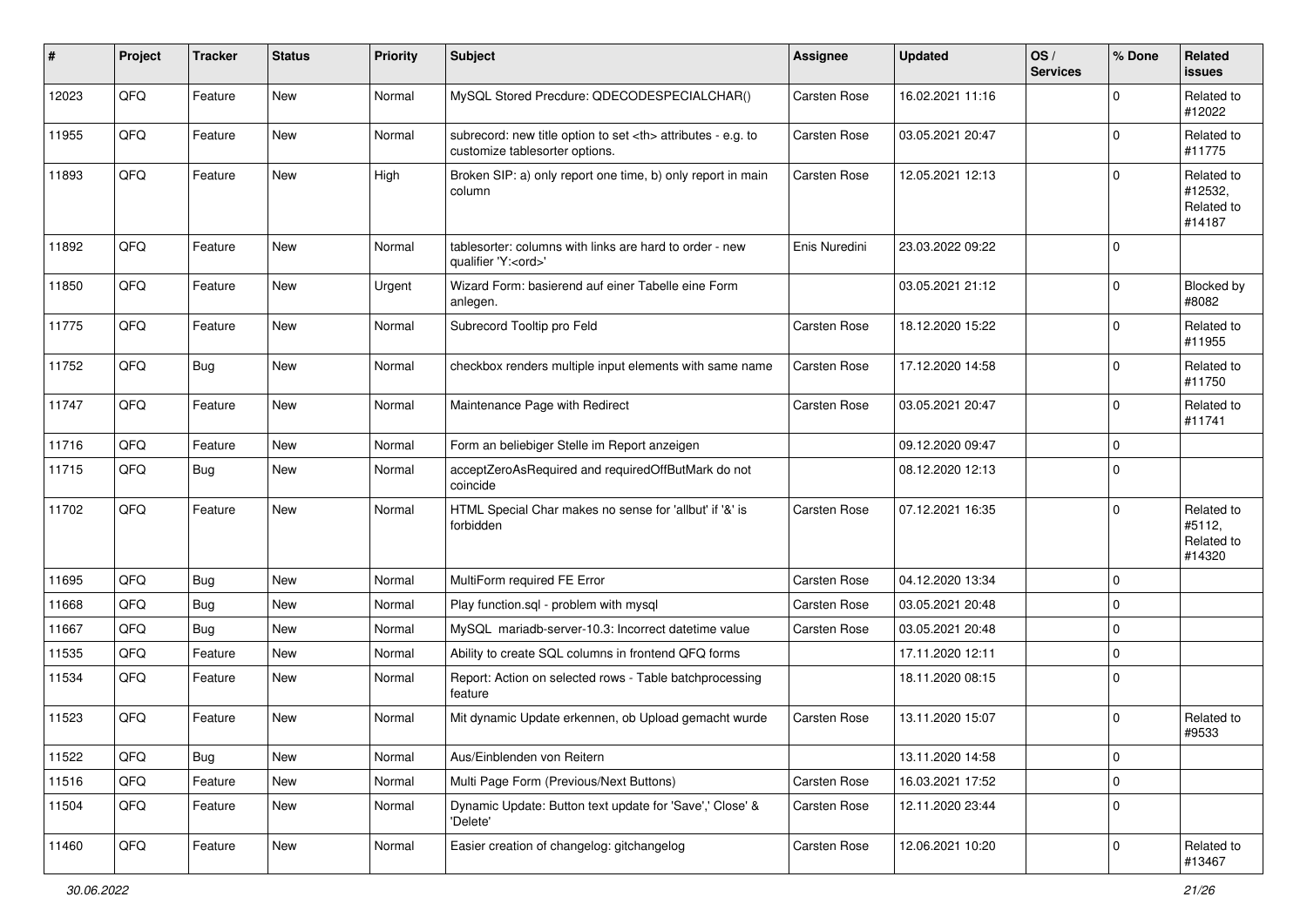| #     | Project | <b>Tracker</b> | <b>Status</b> | Priority | <b>Subject</b>                                                                                       | <b>Assignee</b>                                        | <b>Updated</b>   | OS/<br><b>Services</b> | % Done      | Related<br>issues                             |                      |
|-------|---------|----------------|---------------|----------|------------------------------------------------------------------------------------------------------|--------------------------------------------------------|------------------|------------------------|-------------|-----------------------------------------------|----------------------|
| 12023 | QFQ     | Feature        | <b>New</b>    | Normal   | MySQL Stored Precdure: QDECODESPECIALCHAR()                                                          | Carsten Rose                                           | 16.02.2021 11:16 |                        | $\Omega$    | Related to<br>#12022                          |                      |
| 11955 | QFQ     | Feature        | New           | Normal   | subrecord: new title option to set <th> attributes - e.g. to<br/>customize tablesorter options.</th> | attributes - e.g. to<br>customize tablesorter options. | Carsten Rose     | 03.05.2021 20:47       |             | $\mathbf 0$                                   | Related to<br>#11775 |
| 11893 | QFQ     | Feature        | New           | High     | Broken SIP: a) only report one time, b) only report in main<br>column                                | <b>Carsten Rose</b>                                    | 12.05.2021 12:13 |                        | $\Omega$    | Related to<br>#12532,<br>Related to<br>#14187 |                      |
| 11892 | QFQ     | Feature        | New           | Normal   | tablesorter: columns with links are hard to order - new<br>qualifier 'Y: <ord>'</ord>                | Enis Nuredini                                          | 23.03.2022 09:22 |                        | $\mathbf 0$ |                                               |                      |
| 11850 | QFQ     | Feature        | New           | Urgent   | Wizard Form: basierend auf einer Tabelle eine Form<br>anlegen.                                       |                                                        | 03.05.2021 21:12 |                        | $\Omega$    | Blocked by<br>#8082                           |                      |
| 11775 | QFQ     | Feature        | New           | Normal   | Subrecord Tooltip pro Feld                                                                           | Carsten Rose                                           | 18.12.2020 15:22 |                        | $\mathbf 0$ | Related to<br>#11955                          |                      |
| 11752 | QFQ     | <b>Bug</b>     | New           | Normal   | checkbox renders multiple input elements with same name                                              | Carsten Rose                                           | 17.12.2020 14:58 |                        | $\mathbf 0$ | Related to<br>#11750                          |                      |
| 11747 | QFQ     | Feature        | New           | Normal   | Maintenance Page with Redirect                                                                       | Carsten Rose                                           | 03.05.2021 20:47 |                        | $\mathbf 0$ | Related to<br>#11741                          |                      |
| 11716 | QFQ     | Feature        | New           | Normal   | Form an beliebiger Stelle im Report anzeigen                                                         |                                                        | 09.12.2020 09:47 |                        | $\mathbf 0$ |                                               |                      |
| 11715 | QFQ     | <b>Bug</b>     | <b>New</b>    | Normal   | acceptZeroAsRequired and requiredOffButMark do not<br>coincide                                       |                                                        | 08.12.2020 12:13 |                        | $\mathbf 0$ |                                               |                      |
| 11702 | QFQ     | Feature        | <b>New</b>    | Normal   | HTML Special Char makes no sense for 'allbut' if '&' is<br>forbidden                                 | <b>Carsten Rose</b>                                    | 07.12.2021 16:35 |                        | $\Omega$    | Related to<br>#5112,<br>Related to<br>#14320  |                      |
| 11695 | QFQ     | Bug            | New           | Normal   | MultiForm required FE Error                                                                          | <b>Carsten Rose</b>                                    | 04.12.2020 13:34 |                        | $\mathbf 0$ |                                               |                      |
| 11668 | QFQ     | <b>Bug</b>     | New           | Normal   | Play function.sql - problem with mysql                                                               | <b>Carsten Rose</b>                                    | 03.05.2021 20:48 |                        | $\mathbf 0$ |                                               |                      |
| 11667 | QFQ     | <b>Bug</b>     | New           | Normal   | MySQL mariadb-server-10.3: Incorrect datetime value                                                  | Carsten Rose                                           | 03.05.2021 20:48 |                        | $\mathbf 0$ |                                               |                      |
| 11535 | QFQ     | Feature        | <b>New</b>    | Normal   | Ability to create SQL columns in frontend QFQ forms                                                  |                                                        | 17.11.2020 12:11 |                        | $\Omega$    |                                               |                      |
| 11534 | QFQ     | Feature        | New           | Normal   | Report: Action on selected rows - Table batchprocessing<br>feature                                   |                                                        | 18.11.2020 08:15 |                        | $\Omega$    |                                               |                      |
| 11523 | QFQ     | Feature        | <b>New</b>    | Normal   | Mit dynamic Update erkennen, ob Upload gemacht wurde                                                 | <b>Carsten Rose</b>                                    | 13.11.2020 15:07 |                        | $\mathbf 0$ | Related to<br>#9533                           |                      |
| 11522 | QFQ     | <b>Bug</b>     | New           | Normal   | Aus/Einblenden von Reitern                                                                           |                                                        | 13.11.2020 14:58 |                        | $\mathbf 0$ |                                               |                      |
| 11516 | QFQ     | Feature        | New           | Normal   | Multi Page Form (Previous/Next Buttons)                                                              | Carsten Rose                                           | 16.03.2021 17:52 |                        | $\mathbf 0$ |                                               |                      |
| 11504 | QFQ     | Feature        | New           | Normal   | Dynamic Update: Button text update for 'Save',' Close' &<br>'Delete'                                 | Carsten Rose                                           | 12.11.2020 23:44 |                        | $\mathbf 0$ |                                               |                      |
| 11460 | QFO     | Feature        | New           | Normal   | Easier creation of changelog: gitchangelog                                                           | Carsten Rose                                           | 12.06.2021 10:20 |                        | $\mathbf 0$ | Related to<br>#13467                          |                      |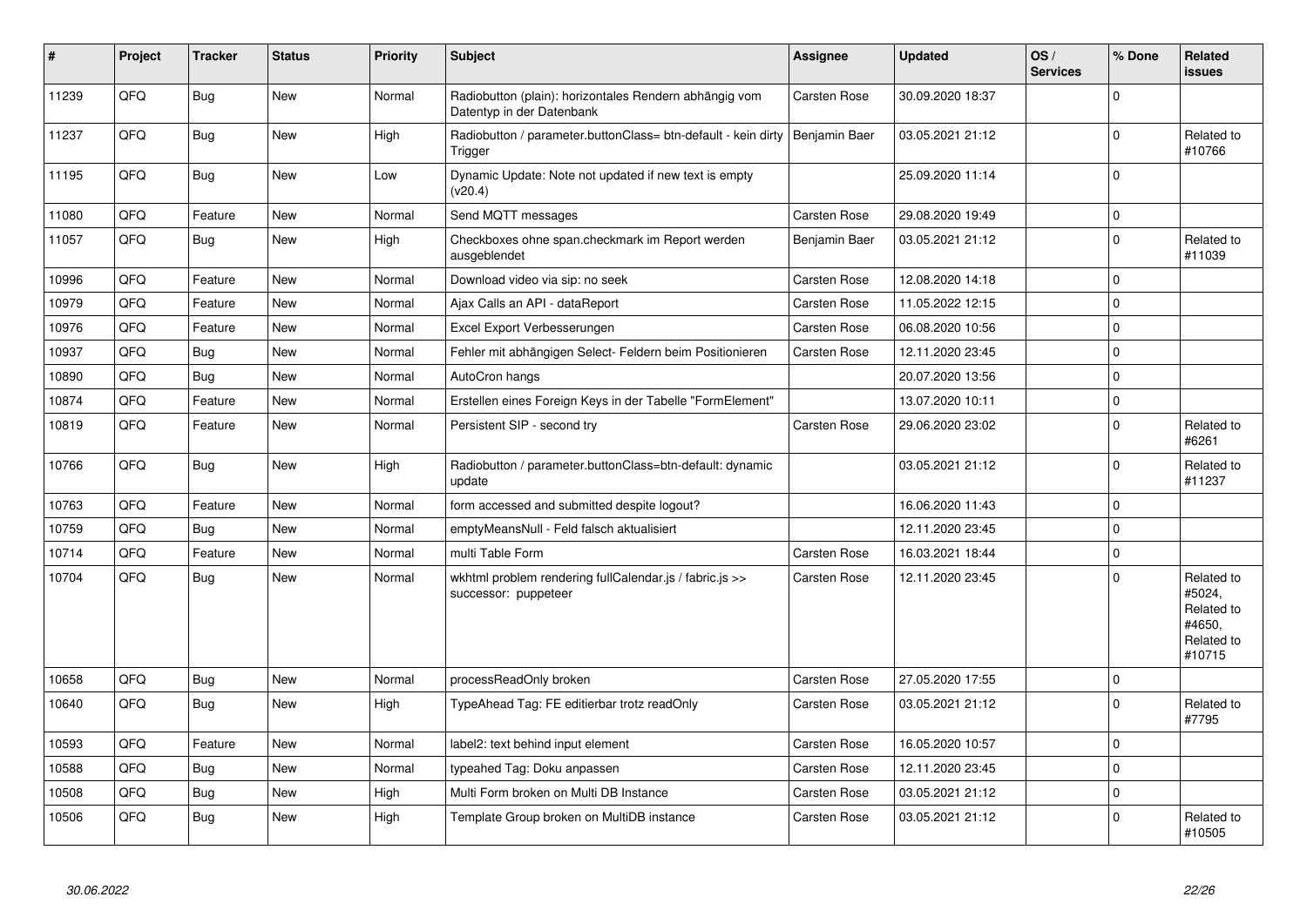| $\vert$ # | Project | <b>Tracker</b> | <b>Status</b> | <b>Priority</b> | <b>Subject</b>                                                                      | <b>Assignee</b>     | <b>Updated</b>   | OS/<br><b>Services</b> | % Done       | Related<br><b>issues</b>                                             |
|-----------|---------|----------------|---------------|-----------------|-------------------------------------------------------------------------------------|---------------------|------------------|------------------------|--------------|----------------------------------------------------------------------|
| 11239     | QFQ     | Bug            | <b>New</b>    | Normal          | Radiobutton (plain): horizontales Rendern abhängig vom<br>Datentyp in der Datenbank | <b>Carsten Rose</b> | 30.09.2020 18:37 |                        | $\mathbf 0$  |                                                                      |
| 11237     | QFQ     | Bug            | <b>New</b>    | High            | Radiobutton / parameter.buttonClass= btn-default - kein dirty<br>Trigger            | Benjamin Baer       | 03.05.2021 21:12 |                        | $\mathbf 0$  | Related to<br>#10766                                                 |
| 11195     | QFQ     | <b>Bug</b>     | <b>New</b>    | Low             | Dynamic Update: Note not updated if new text is empty<br>(v20.4)                    |                     | 25.09.2020 11:14 |                        | $\mathbf 0$  |                                                                      |
| 11080     | QFQ     | Feature        | <b>New</b>    | Normal          | Send MQTT messages                                                                  | <b>Carsten Rose</b> | 29.08.2020 19:49 |                        | $\mathbf{0}$ |                                                                      |
| 11057     | QFQ     | <b>Bug</b>     | <b>New</b>    | High            | Checkboxes ohne span.checkmark im Report werden<br>ausgeblendet                     | Benjamin Baer       | 03.05.2021 21:12 |                        | $\mathbf 0$  | Related to<br>#11039                                                 |
| 10996     | QFQ     | Feature        | <b>New</b>    | Normal          | Download video via sip: no seek                                                     | Carsten Rose        | 12.08.2020 14:18 |                        | $\mathbf 0$  |                                                                      |
| 10979     | QFQ     | Feature        | <b>New</b>    | Normal          | Ajax Calls an API - dataReport                                                      | <b>Carsten Rose</b> | 11.05.2022 12:15 |                        | $\mathbf 0$  |                                                                      |
| 10976     | QFQ     | Feature        | <b>New</b>    | Normal          | Excel Export Verbesserungen                                                         | <b>Carsten Rose</b> | 06.08.2020 10:56 |                        | $\mathbf 0$  |                                                                      |
| 10937     | QFQ     | <b>Bug</b>     | <b>New</b>    | Normal          | Fehler mit abhängigen Select- Feldern beim Positionieren                            | Carsten Rose        | 12.11.2020 23:45 |                        | $\mathbf 0$  |                                                                      |
| 10890     | QFQ     | Bug            | <b>New</b>    | Normal          | AutoCron hangs                                                                      |                     | 20.07.2020 13:56 |                        | $\mathbf 0$  |                                                                      |
| 10874     | QFQ     | Feature        | New           | Normal          | Erstellen eines Foreign Keys in der Tabelle "FormElement"                           |                     | 13.07.2020 10:11 |                        | $\pmb{0}$    |                                                                      |
| 10819     | QFQ     | Feature        | New           | Normal          | Persistent SIP - second try                                                         | <b>Carsten Rose</b> | 29.06.2020 23:02 |                        | $\mathbf 0$  | Related to<br>#6261                                                  |
| 10766     | QFQ     | Bug            | New           | High            | Radiobutton / parameter.buttonClass=btn-default: dynamic<br>update                  |                     | 03.05.2021 21:12 |                        | $\mathbf 0$  | Related to<br>#11237                                                 |
| 10763     | QFQ     | Feature        | <b>New</b>    | Normal          | form accessed and submitted despite logout?                                         |                     | 16.06.2020 11:43 |                        | $\mathbf 0$  |                                                                      |
| 10759     | QFQ     | Bug            | New           | Normal          | emptyMeansNull - Feld falsch aktualisiert                                           |                     | 12.11.2020 23:45 |                        | $\mathbf 0$  |                                                                      |
| 10714     | QFQ     | Feature        | <b>New</b>    | Normal          | multi Table Form                                                                    | <b>Carsten Rose</b> | 16.03.2021 18:44 |                        | $\mathbf 0$  |                                                                      |
| 10704     | QFQ     | <b>Bug</b>     | New           | Normal          | wkhtml problem rendering fullCalendar.js / fabric.js >><br>successor: puppeteer     | <b>Carsten Rose</b> | 12.11.2020 23:45 |                        | $\Omega$     | Related to<br>#5024,<br>Related to<br>#4650.<br>Related to<br>#10715 |
| 10658     | QFQ     | <b>Bug</b>     | <b>New</b>    | Normal          | processReadOnly broken                                                              | Carsten Rose        | 27.05.2020 17:55 |                        | $\mathbf 0$  |                                                                      |
| 10640     | QFQ     | <b>Bug</b>     | New           | High            | TypeAhead Tag: FE editierbar trotz readOnly                                         | <b>Carsten Rose</b> | 03.05.2021 21:12 |                        | $\mathbf 0$  | Related to<br>#7795                                                  |
| 10593     | QFQ     | Feature        | New           | Normal          | label2: text behind input element                                                   | <b>Carsten Rose</b> | 16.05.2020 10:57 |                        | $\mathbf 0$  |                                                                      |
| 10588     | QFQ     | <b>Bug</b>     | <b>New</b>    | Normal          | typeahed Tag: Doku anpassen                                                         | Carsten Rose        | 12.11.2020 23:45 |                        | $\mathbf 0$  |                                                                      |
| 10508     | QFQ     | Bug            | <b>New</b>    | High            | Multi Form broken on Multi DB Instance                                              | Carsten Rose        | 03.05.2021 21:12 |                        | $\pmb{0}$    |                                                                      |
| 10506     | QFQ     | <b>Bug</b>     | New           | High            | Template Group broken on MultiDB instance                                           | <b>Carsten Rose</b> | 03.05.2021 21:12 |                        | $\mathbf 0$  | Related to<br>#10505                                                 |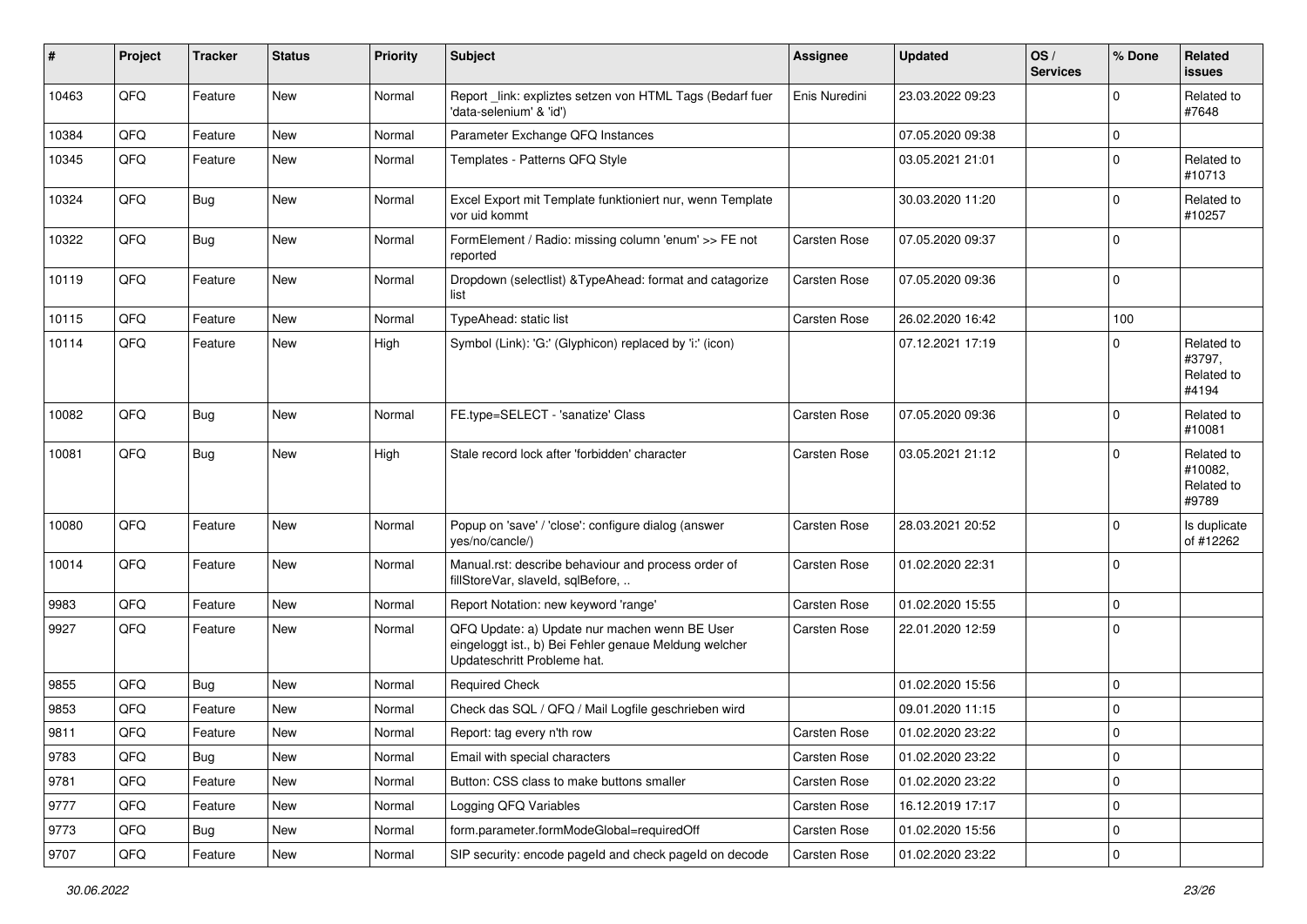| #     | Project | <b>Tracker</b> | <b>Status</b> | Priority | <b>Subject</b>                                                                                                                        | <b>Assignee</b>     | <b>Updated</b>   | OS/<br><b>Services</b> | % Done      | <b>Related</b><br>issues                     |
|-------|---------|----------------|---------------|----------|---------------------------------------------------------------------------------------------------------------------------------------|---------------------|------------------|------------------------|-------------|----------------------------------------------|
| 10463 | QFQ     | Feature        | <b>New</b>    | Normal   | Report_link: expliztes setzen von HTML Tags (Bedarf fuer<br>'data-selenium' & 'id')                                                   | Enis Nuredini       | 23.03.2022 09:23 |                        | $\Omega$    | Related to<br>#7648                          |
| 10384 | QFQ     | Feature        | New           | Normal   | Parameter Exchange QFQ Instances                                                                                                      |                     | 07.05.2020 09:38 |                        | $\mathbf 0$ |                                              |
| 10345 | QFQ     | Feature        | <b>New</b>    | Normal   | Templates - Patterns QFQ Style                                                                                                        |                     | 03.05.2021 21:01 |                        | $\Omega$    | Related to<br>#10713                         |
| 10324 | QFQ     | <b>Bug</b>     | New           | Normal   | Excel Export mit Template funktioniert nur, wenn Template<br>vor uid kommt                                                            |                     | 30.03.2020 11:20 |                        | $\mathbf 0$ | Related to<br>#10257                         |
| 10322 | QFQ     | <b>Bug</b>     | New           | Normal   | FormElement / Radio: missing column 'enum' >> FE not<br>reported                                                                      | Carsten Rose        | 07.05.2020 09:37 |                        | $\Omega$    |                                              |
| 10119 | QFQ     | Feature        | New           | Normal   | Dropdown (selectlist) & Type Ahead: format and catagorize<br>list                                                                     | Carsten Rose        | 07.05.2020 09:36 |                        | $\mathbf 0$ |                                              |
| 10115 | QFQ     | Feature        | <b>New</b>    | Normal   | TypeAhead: static list                                                                                                                | Carsten Rose        | 26.02.2020 16:42 |                        | 100         |                                              |
| 10114 | QFQ     | Feature        | New           | High     | Symbol (Link): 'G:' (Glyphicon) replaced by 'i:' (icon)                                                                               |                     | 07.12.2021 17:19 |                        | $\Omega$    | Related to<br>#3797,<br>Related to<br>#4194  |
| 10082 | QFQ     | <b>Bug</b>     | New           | Normal   | FE.type=SELECT - 'sanatize' Class                                                                                                     | Carsten Rose        | 07.05.2020 09:36 |                        | $\mathbf 0$ | Related to<br>#10081                         |
| 10081 | QFQ     | <b>Bug</b>     | New           | High     | Stale record lock after 'forbidden' character                                                                                         | Carsten Rose        | 03.05.2021 21:12 |                        | $\Omega$    | Related to<br>#10082,<br>Related to<br>#9789 |
| 10080 | QFQ     | Feature        | <b>New</b>    | Normal   | Popup on 'save' / 'close': configure dialog (answer<br>yes/no/cancle/)                                                                | <b>Carsten Rose</b> | 28.03.2021 20:52 |                        | $\mathbf 0$ | Is duplicate<br>of #12262                    |
| 10014 | QFQ     | Feature        | New           | Normal   | Manual.rst: describe behaviour and process order of<br>fillStoreVar, slaveId, sqlBefore,                                              | <b>Carsten Rose</b> | 01.02.2020 22:31 |                        | $\Omega$    |                                              |
| 9983  | QFQ     | Feature        | New           | Normal   | Report Notation: new keyword 'range'                                                                                                  | <b>Carsten Rose</b> | 01.02.2020 15:55 |                        | $\mathbf 0$ |                                              |
| 9927  | QFQ     | Feature        | New           | Normal   | QFQ Update: a) Update nur machen wenn BE User<br>eingeloggt ist., b) Bei Fehler genaue Meldung welcher<br>Updateschritt Probleme hat. | Carsten Rose        | 22.01.2020 12:59 |                        | $\mathbf 0$ |                                              |
| 9855  | QFQ     | <b>Bug</b>     | New           | Normal   | <b>Required Check</b>                                                                                                                 |                     | 01.02.2020 15:56 |                        | $\mathbf 0$ |                                              |
| 9853  | QFQ     | Feature        | New           | Normal   | Check das SQL / QFQ / Mail Logfile geschrieben wird                                                                                   |                     | 09.01.2020 11:15 |                        | $\Omega$    |                                              |
| 9811  | QFQ     | Feature        | New           | Normal   | Report: tag every n'th row                                                                                                            | <b>Carsten Rose</b> | 01.02.2020 23:22 |                        | $\Omega$    |                                              |
| 9783  | QFQ     | <b>Bug</b>     | New           | Normal   | Email with special characters                                                                                                         | Carsten Rose        | 01.02.2020 23:22 |                        | $\mathbf 0$ |                                              |
| 9781  | QFQ     | Feature        | New           | Normal   | Button: CSS class to make buttons smaller                                                                                             | Carsten Rose        | 01.02.2020 23:22 |                        | $\mathbf 0$ |                                              |
| 9777  | QFQ     | Feature        | New           | Normal   | Logging QFQ Variables                                                                                                                 | Carsten Rose        | 16.12.2019 17:17 |                        | 0           |                                              |
| 9773  | QFQ     | <b>Bug</b>     | New           | Normal   | form.parameter.formModeGlobal=requiredOff                                                                                             | Carsten Rose        | 01.02.2020 15:56 |                        | 0           |                                              |
| 9707  | QFG     | Feature        | New           | Normal   | SIP security: encode pageld and check pageld on decode                                                                                | Carsten Rose        | 01.02.2020 23:22 |                        | $\mathbf 0$ |                                              |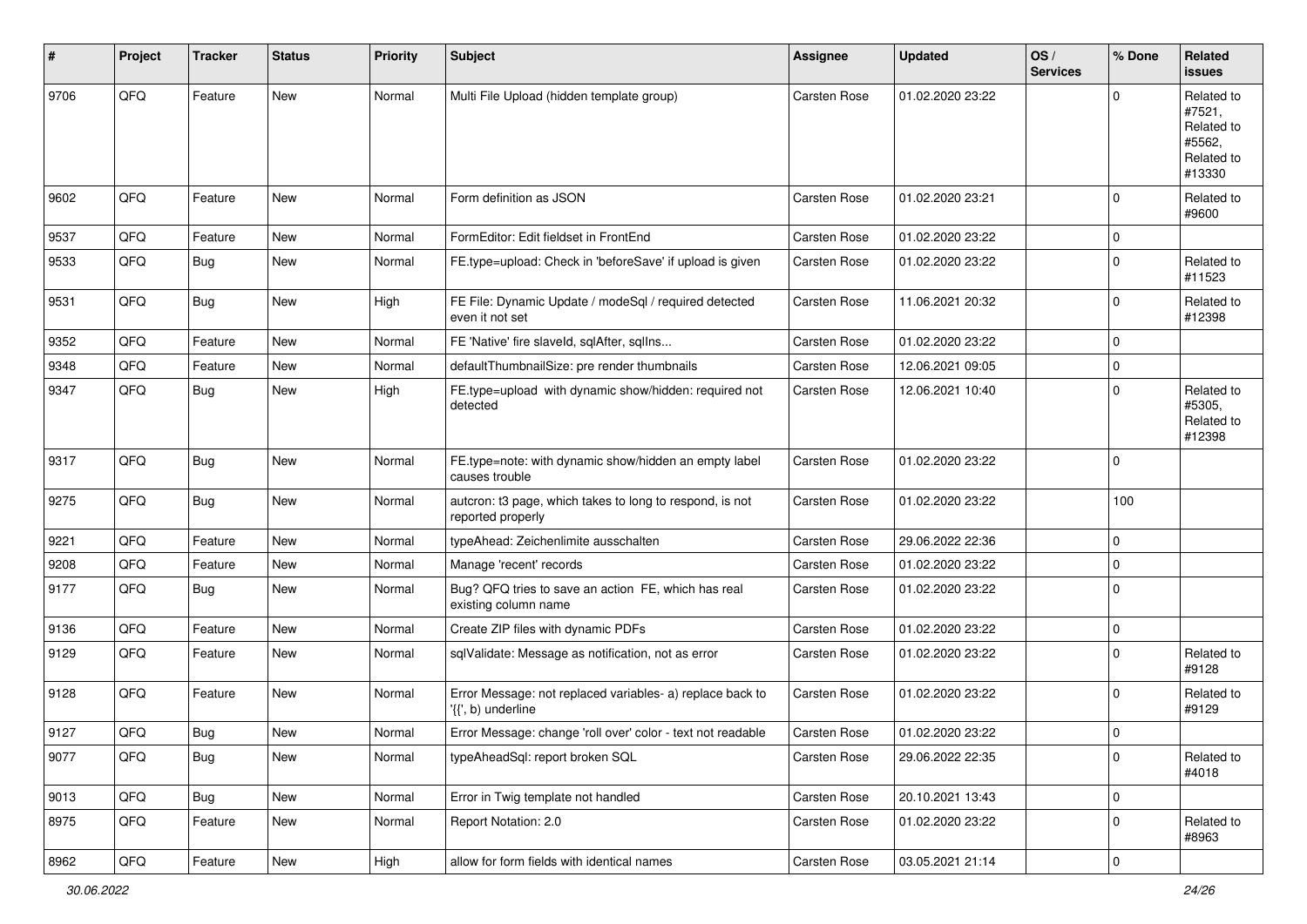| $\vert$ # | Project | <b>Tracker</b> | <b>Status</b> | Priority | <b>Subject</b>                                                                  | <b>Assignee</b>     | <b>Updated</b>   | OS/<br><b>Services</b> | % Done      | Related<br><b>issues</b>                                             |
|-----------|---------|----------------|---------------|----------|---------------------------------------------------------------------------------|---------------------|------------------|------------------------|-------------|----------------------------------------------------------------------|
| 9706      | QFQ     | Feature        | <b>New</b>    | Normal   | Multi File Upload (hidden template group)                                       | Carsten Rose        | 01.02.2020 23:22 |                        | $\Omega$    | Related to<br>#7521,<br>Related to<br>#5562,<br>Related to<br>#13330 |
| 9602      | QFQ     | Feature        | <b>New</b>    | Normal   | Form definition as JSON                                                         | Carsten Rose        | 01.02.2020 23:21 |                        | $\mathbf 0$ | Related to<br>#9600                                                  |
| 9537      | QFQ     | Feature        | <b>New</b>    | Normal   | FormEditor: Edit fieldset in FrontEnd                                           | Carsten Rose        | 01.02.2020 23:22 |                        | $\mathbf 0$ |                                                                      |
| 9533      | QFQ     | <b>Bug</b>     | <b>New</b>    | Normal   | FE.type=upload: Check in 'beforeSave' if upload is given                        | Carsten Rose        | 01.02.2020 23:22 |                        | $\mathbf 0$ | Related to<br>#11523                                                 |
| 9531      | QFQ     | <b>Bug</b>     | <b>New</b>    | High     | FE File: Dynamic Update / modeSql / required detected<br>even it not set        | Carsten Rose        | 11.06.2021 20:32 |                        | $\mathbf 0$ | Related to<br>#12398                                                 |
| 9352      | QFQ     | Feature        | New           | Normal   | FE 'Native' fire slaveld, sqlAfter, sqlIns                                      | Carsten Rose        | 01.02.2020 23:22 |                        | $\mathbf 0$ |                                                                      |
| 9348      | QFQ     | Feature        | <b>New</b>    | Normal   | defaultThumbnailSize: pre render thumbnails                                     | Carsten Rose        | 12.06.2021 09:05 |                        | $\mathbf 0$ |                                                                      |
| 9347      | QFQ     | Bug            | New           | High     | FE.type=upload with dynamic show/hidden: required not<br>detected               | Carsten Rose        | 12.06.2021 10:40 |                        | $\mathbf 0$ | Related to<br>#5305,<br>Related to<br>#12398                         |
| 9317      | QFQ     | Bug            | <b>New</b>    | Normal   | FE.type=note: with dynamic show/hidden an empty label<br>causes trouble         | Carsten Rose        | 01.02.2020 23:22 |                        | $\mathbf 0$ |                                                                      |
| 9275      | QFQ     | <b>Bug</b>     | New           | Normal   | autcron: t3 page, which takes to long to respond, is not<br>reported properly   | Carsten Rose        | 01.02.2020 23:22 |                        | 100         |                                                                      |
| 9221      | QFQ     | Feature        | New           | Normal   | typeAhead: Zeichenlimite ausschalten                                            | Carsten Rose        | 29.06.2022 22:36 |                        | $\mathbf 0$ |                                                                      |
| 9208      | QFQ     | Feature        | New           | Normal   | Manage 'recent' records                                                         | Carsten Rose        | 01.02.2020 23:22 |                        | $\pmb{0}$   |                                                                      |
| 9177      | QFQ     | Bug            | <b>New</b>    | Normal   | Bug? QFQ tries to save an action FE, which has real<br>existing column name     | Carsten Rose        | 01.02.2020 23:22 |                        | $\mathbf 0$ |                                                                      |
| 9136      | QFQ     | Feature        | <b>New</b>    | Normal   | Create ZIP files with dynamic PDFs                                              | Carsten Rose        | 01.02.2020 23:22 |                        | $\mathbf 0$ |                                                                      |
| 9129      | QFQ     | Feature        | <b>New</b>    | Normal   | sqlValidate: Message as notification, not as error                              | Carsten Rose        | 01.02.2020 23:22 |                        | $\mathbf 0$ | Related to<br>#9128                                                  |
| 9128      | QFQ     | Feature        | New           | Normal   | Error Message: not replaced variables- a) replace back to<br>'{{', b) underline | Carsten Rose        | 01.02.2020 23:22 |                        | $\mathbf 0$ | Related to<br>#9129                                                  |
| 9127      | QFQ     | Bug            | New           | Normal   | Error Message: change 'roll over' color - text not readable                     | <b>Carsten Rose</b> | 01.02.2020 23:22 |                        | $\mathbf 0$ |                                                                      |
| 9077      | QFQ     | <b>Bug</b>     | <b>New</b>    | Normal   | typeAheadSql: report broken SQL                                                 | Carsten Rose        | 29.06.2022 22:35 |                        | $\mathbf 0$ | Related to<br>#4018                                                  |
| 9013      | QFQ     | <b>Bug</b>     | <b>New</b>    | Normal   | Error in Twig template not handled                                              | Carsten Rose        | 20.10.2021 13:43 |                        | $\mathbf 0$ |                                                                      |
| 8975      | QFQ     | Feature        | New           | Normal   | Report Notation: 2.0                                                            | Carsten Rose        | 01.02.2020 23:22 |                        | $\pmb{0}$   | Related to<br>#8963                                                  |
| 8962      | QFG     | Feature        | New           | High     | allow for form fields with identical names                                      | Carsten Rose        | 03.05.2021 21:14 |                        | $\pmb{0}$   |                                                                      |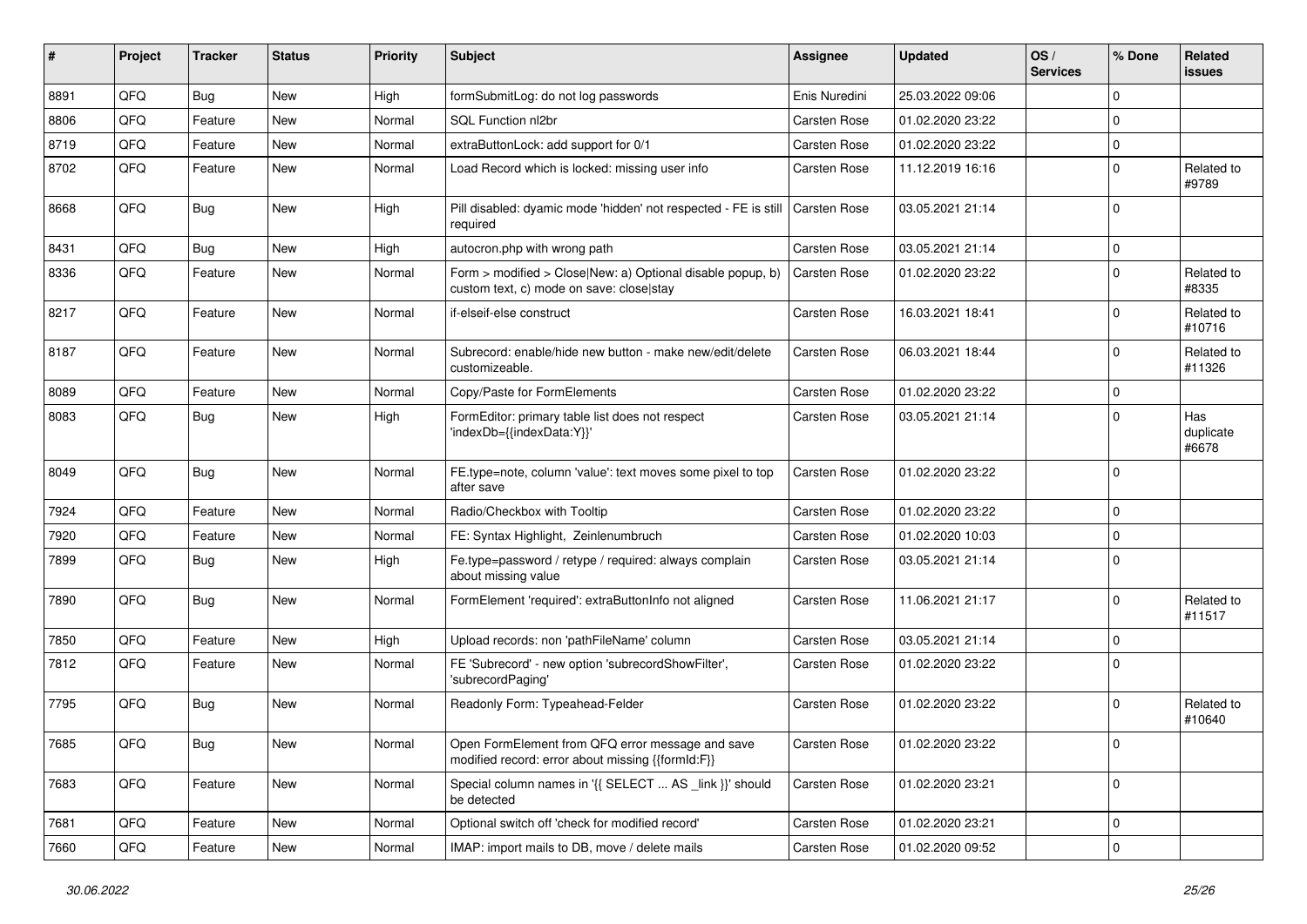| ∦    | Project | <b>Tracker</b> | <b>Status</b> | Priority | Subject                                                                                                | <b>Assignee</b>     | <b>Updated</b>   | OS/<br><b>Services</b> | % Done      | <b>Related</b><br>issues  |
|------|---------|----------------|---------------|----------|--------------------------------------------------------------------------------------------------------|---------------------|------------------|------------------------|-------------|---------------------------|
| 8891 | QFQ     | Bug            | New           | High     | formSubmitLog: do not log passwords                                                                    | Enis Nuredini       | 25.03.2022 09:06 |                        | $\Omega$    |                           |
| 8806 | QFQ     | Feature        | <b>New</b>    | Normal   | SQL Function nl2br                                                                                     | Carsten Rose        | 01.02.2020 23:22 |                        | $\Omega$    |                           |
| 8719 | QFQ     | Feature        | New           | Normal   | extraButtonLock: add support for 0/1                                                                   | Carsten Rose        | 01.02.2020 23:22 |                        | $\mathbf 0$ |                           |
| 8702 | QFQ     | Feature        | <b>New</b>    | Normal   | Load Record which is locked: missing user info                                                         | <b>Carsten Rose</b> | 11.12.2019 16:16 |                        | $\mathbf 0$ | Related to<br>#9789       |
| 8668 | QFQ     | Bug            | <b>New</b>    | High     | Pill disabled: dyamic mode 'hidden' not respected - FE is still   Carsten Rose<br>required             |                     | 03.05.2021 21:14 |                        | $\mathbf 0$ |                           |
| 8431 | QFQ     | Bug            | <b>New</b>    | High     | autocron.php with wrong path                                                                           | <b>Carsten Rose</b> | 03.05.2021 21:14 |                        | $\mathbf 0$ |                           |
| 8336 | QFQ     | Feature        | New           | Normal   | Form > modified > Close New: a) Optional disable popup, b)<br>custom text, c) mode on save: close stay | <b>Carsten Rose</b> | 01.02.2020 23:22 |                        | $\mathbf 0$ | Related to<br>#8335       |
| 8217 | QFQ     | Feature        | <b>New</b>    | Normal   | if-elseif-else construct                                                                               | <b>Carsten Rose</b> | 16.03.2021 18:41 |                        | $\Omega$    | Related to<br>#10716      |
| 8187 | QFQ     | Feature        | New           | Normal   | Subrecord: enable/hide new button - make new/edit/delete<br>customizeable.                             | <b>Carsten Rose</b> | 06.03.2021 18:44 |                        | $\Omega$    | Related to<br>#11326      |
| 8089 | QFQ     | Feature        | <b>New</b>    | Normal   | Copy/Paste for FormElements                                                                            | <b>Carsten Rose</b> | 01.02.2020 23:22 |                        | $\mathbf 0$ |                           |
| 8083 | QFQ     | <b>Bug</b>     | <b>New</b>    | High     | FormEditor: primary table list does not respect<br>'indexDb={{indexData:Y}}'                           | Carsten Rose        | 03.05.2021 21:14 |                        | $\Omega$    | Has<br>duplicate<br>#6678 |
| 8049 | QFQ     | Bug            | <b>New</b>    | Normal   | FE.type=note, column 'value': text moves some pixel to top<br>after save                               | <b>Carsten Rose</b> | 01.02.2020 23:22 |                        | $\Omega$    |                           |
| 7924 | QFQ     | Feature        | <b>New</b>    | Normal   | Radio/Checkbox with Tooltip                                                                            | <b>Carsten Rose</b> | 01.02.2020 23:22 |                        | $\mathbf 0$ |                           |
| 7920 | QFQ     | Feature        | New           | Normal   | FE: Syntax Highlight, Zeinlenumbruch                                                                   | <b>Carsten Rose</b> | 01.02.2020 10:03 |                        | $\mathbf 0$ |                           |
| 7899 | QFQ     | <b>Bug</b>     | <b>New</b>    | High     | Fe.type=password / retype / required: always complain<br>about missing value                           | <b>Carsten Rose</b> | 03.05.2021 21:14 |                        | $\mathbf 0$ |                           |
| 7890 | QFQ     | <b>Bug</b>     | <b>New</b>    | Normal   | FormElement 'required': extraButtonInfo not aligned                                                    | Carsten Rose        | 11.06.2021 21:17 |                        | $\mathbf 0$ | Related to<br>#11517      |
| 7850 | QFQ     | Feature        | <b>New</b>    | High     | Upload records: non 'pathFileName' column                                                              | <b>Carsten Rose</b> | 03.05.2021 21:14 |                        | $\mathbf 0$ |                           |
| 7812 | QFQ     | Feature        | New           | Normal   | FE 'Subrecord' - new option 'subrecordShowFilter',<br>'subrecordPaging'                                | <b>Carsten Rose</b> | 01.02.2020 23:22 |                        | $\Omega$    |                           |
| 7795 | QFQ     | Bug            | <b>New</b>    | Normal   | Readonly Form: Typeahead-Felder                                                                        | <b>Carsten Rose</b> | 01.02.2020 23:22 |                        | $\Omega$    | Related to<br>#10640      |
| 7685 | QFQ     | <b>Bug</b>     | New           | Normal   | Open FormElement from QFQ error message and save<br>modified record: error about missing {{formId:F}}  | Carsten Rose        | 01.02.2020 23:22 |                        | 0           |                           |
| 7683 | QFQ     | Feature        | New           | Normal   | Special column names in '{{ SELECT  AS _link }}' should<br>be detected                                 | Carsten Rose        | 01.02.2020 23:21 |                        | $\mathbf 0$ |                           |
| 7681 | QFQ     | Feature        | New           | Normal   | Optional switch off 'check for modified record'                                                        | Carsten Rose        | 01.02.2020 23:21 |                        | $\mathbf 0$ |                           |
| 7660 | QFG     | Feature        | New           | Normal   | IMAP: import mails to DB, move / delete mails                                                          | Carsten Rose        | 01.02.2020 09:52 |                        | $\mathbf 0$ |                           |